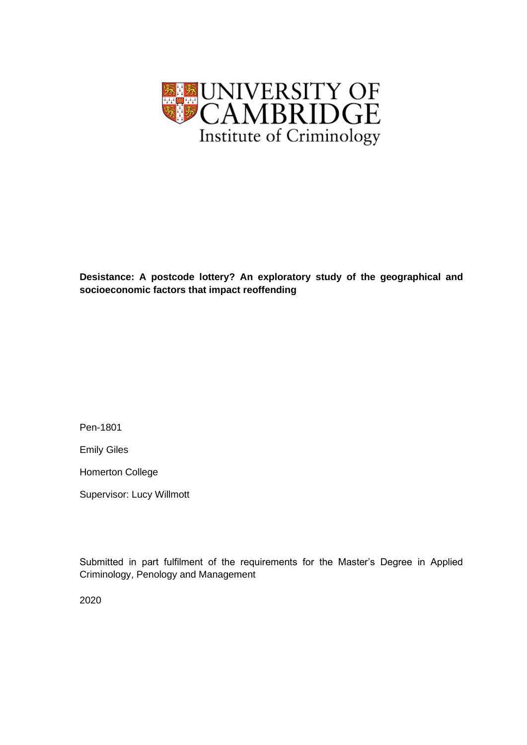

**Desistance: A postcode lottery? An exploratory study of the geographical and socioeconomic factors that impact reoffending**

Pen-1801

Emily Giles

Homerton College

Supervisor: Lucy Willmott

Submitted in part fulfilment of the requirements for the Master's Degree in Applied Criminology, Penology and Management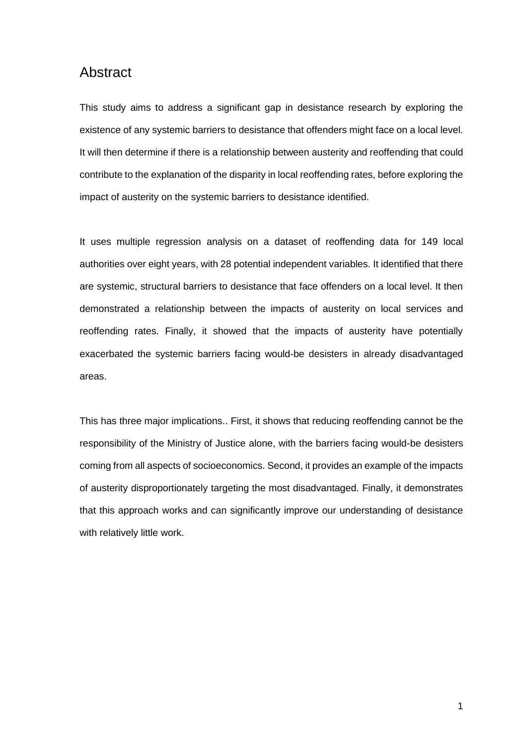## Abstract

This study aims to address a significant gap in desistance research by exploring the existence of any systemic barriers to desistance that offenders might face on a local level. It will then determine if there is a relationship between austerity and reoffending that could contribute to the explanation of the disparity in local reoffending rates, before exploring the impact of austerity on the systemic barriers to desistance identified.

It uses multiple regression analysis on a dataset of reoffending data for 149 local authorities over eight years, with 28 potential independent variables. It identified that there are systemic, structural barriers to desistance that face offenders on a local level. It then demonstrated a relationship between the impacts of austerity on local services and reoffending rates. Finally, it showed that the impacts of austerity have potentially exacerbated the systemic barriers facing would-be desisters in already disadvantaged areas.

This has three major implications.. First, it shows that reducing reoffending cannot be the responsibility of the Ministry of Justice alone, with the barriers facing would-be desisters coming from all aspects of socioeconomics. Second, it provides an example of the impacts of austerity disproportionately targeting the most disadvantaged. Finally, it demonstrates that this approach works and can significantly improve our understanding of desistance with relatively little work.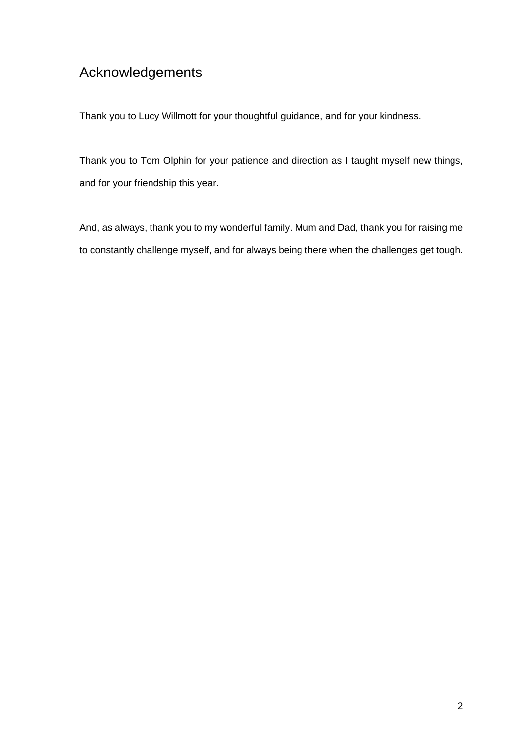# Acknowledgements

Thank you to Lucy Willmott for your thoughtful guidance, and for your kindness.

Thank you to Tom Olphin for your patience and direction as I taught myself new things, and for your friendship this year.

And, as always, thank you to my wonderful family. Mum and Dad, thank you for raising me to constantly challenge myself, and for always being there when the challenges get tough.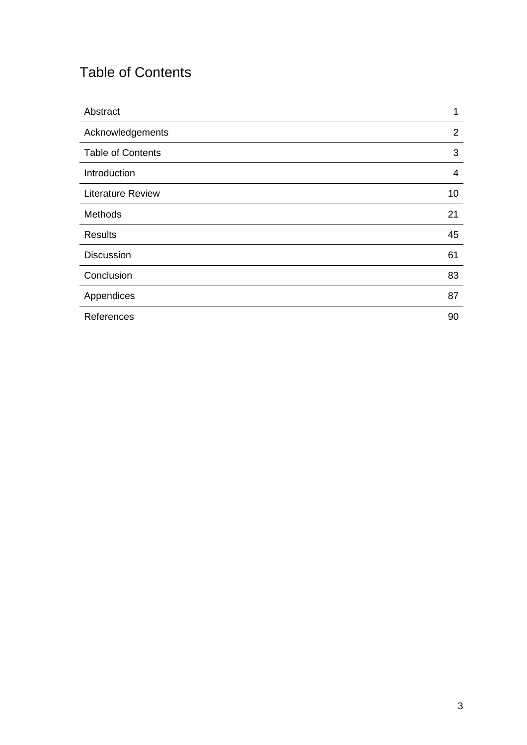# Table of Contents

| Abstract                 | $\mathbf 1$    |
|--------------------------|----------------|
| Acknowledgements         | $\overline{2}$ |
| <b>Table of Contents</b> | 3              |
| Introduction             | 4              |
| <b>Literature Review</b> | 10             |
| Methods                  | 21             |
| <b>Results</b>           | 45             |
| <b>Discussion</b>        | 61             |
| Conclusion               | 83             |
| Appendices               | 87             |
| References               | 90             |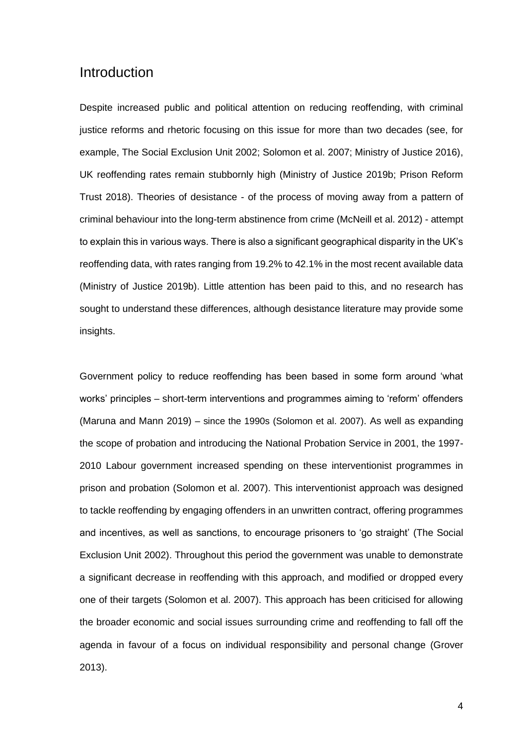## Introduction

Despite increased public and political attention on reducing reoffending, with criminal justice reforms and rhetoric focusing on this issue for more than two decades (see, for example, [The Social Exclusion Unit 2002; Solomon et al. 2007; Ministry of Justice 2016\),](http://f1000.com/work/citation?ids=7918197,7918236,6863291&pre=&pre=&pre=&suf=&suf=&suf=&sa=0,0,0) UK reoffending rates remain stubbornly high [\(Ministry of Justice 2019b; Prison Reform](http://f1000.com/work/citation?ids=6863381,6863292&pre=&pre=&suf=&suf=&sa=0,0)  [Trust 2018\).](http://f1000.com/work/citation?ids=6863381,6863292&pre=&pre=&suf=&suf=&sa=0,0) Theories of desistance - of the process of moving away from a pattern of criminal behaviour into the long-term abstinence from crime [\(McNeill et al. 2012\)](http://f1000.com/work/citation?ids=6863283&pre=&suf=&sa=0) - attempt to explain this in various ways. There is also a significant geographical disparity in the UK's reoffending data, with rates ranging from 19.2% to 42.1% in the most recent available data [\(Ministry of Justice 2019b\).](http://f1000.com/work/citation?ids=6863381&pre=&suf=&sa=0) Little attention has been paid to this, and no research has sought to understand these differences, although desistance literature may provide some insights.

Government policy to reduce reoffending has been based in some form around 'what works' principles – short-term interventions and programmes aiming to 'reform' offenders [\(Maruna and Mann 2019\)](http://f1000.com/work/citation?ids=6863285&pre=&suf=&sa=0) – since the 1990s [\(Solomon et al. 2007\)](http://f1000.com/work/citation?ids=7918236&pre=&suf=&sa=0). As well as expanding the scope of probation and introducing the National Probation Service in 2001, the 1997- 2010 Labour government increased spending on these interventionist programmes in prison and probation [\(Solomon et al. 2007\).](http://f1000.com/work/citation?ids=7918236&pre=&suf=&sa=0) This interventionist approach was designed to tackle reoffending by engaging offenders in an unwritten contract, offering programmes and incentives, as well as sanctions, to encourage prisoners to 'go straight' [\(The Social](http://f1000.com/work/citation?ids=7918197&pre=&suf=&sa=0)  [Exclusion Unit 2002\).](http://f1000.com/work/citation?ids=7918197&pre=&suf=&sa=0) Throughout this period the government was unable to demonstrate a significant decrease in reoffending with this approach, and modified or dropped every one of their targets [\(Solomon et al. 2007\).](http://f1000.com/work/citation?ids=7918236&pre=&suf=&sa=0) This approach has been criticised for allowing the broader economic and social issues surrounding crime and reoffending to fall off the agenda in favour of a focus on individual responsibility and personal change [\(Grover](http://f1000.com/work/citation?ids=8005900&pre=&suf=&sa=0)  [2013\).](http://f1000.com/work/citation?ids=8005900&pre=&suf=&sa=0)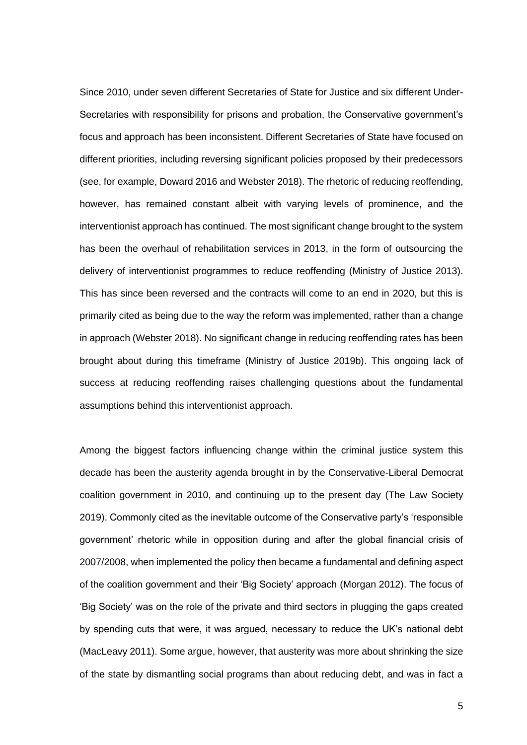Since 2010, under seven different Secretaries of State for Justice and six different Under-Secretaries with responsibility for prisons and probation, the Conservative government's focus and approach has been inconsistent. Different Secretaries of State have focused on different priorities, including reversing significant policies proposed by their predecessors (see, for example, [Doward 2016](http://f1000.com/work/citation?ids=8006098&pre=&suf=&sa=0) and [Webster 2018\)](http://f1000.com/work/citation?ids=8006102&pre=&suf=&sa=0). The rhetoric of reducing reoffending, however, has remained constant albeit with varying levels of prominence, and the interventionist approach has continued. The most significant change brought to the system has been the overhaul of rehabilitation services in 2013, in the form of outsourcing the delivery of interventionist programmes to reduce reoffending [\(Ministry of Justice 2013\).](http://f1000.com/work/citation?ids=6863290&pre=&suf=&sa=0) This has since been reversed and the contracts will come to an end in 2020, but this is primarily cited as being due to the way the reform was implemented, rather than a change in approac[h \(Webster 2018\).](http://f1000.com/work/citation?ids=8006102&pre=&suf=&sa=0) No significant change in reducing reoffending rates has been brought about during this timeframe [\(Ministry of Justice 2019b\).](http://f1000.com/work/citation?ids=6863381&pre=&suf=&sa=0) This ongoing lack of success at reducing reoffending raises challenging questions about the fundamental assumptions behind this interventionist approach.

Among the biggest factors influencing change within the criminal justice system this decade has been the austerity agenda brought in by the Conservative-Liberal Democrat coalition government in 2010, and continuing up to the present day [\(The Law Society](http://f1000.com/work/citation?ids=6873468&pre=&suf=&sa=0)  [2019\).](http://f1000.com/work/citation?ids=6873468&pre=&suf=&sa=0) Commonly cited as the inevitable outcome of the Conservative party's 'responsible government' rhetoric while in opposition during and after the global financial crisis of 2007/2008, when implemented the policy then became a fundamental and defining aspect of the coalition government and their 'Big Society' approach [\(Morgan 2012\).](http://f1000.com/work/citation?ids=7918296&pre=&suf=&sa=0) The focus of 'Big Society' was on the role of the private and third sectors in plugging the gaps created by spending cuts that were, it was argued, necessary to reduce the UK's national debt [\(MacLeavy 2011\).](http://f1000.com/work/citation?ids=6863268&pre=&suf=&sa=0) Some argue, however, that austerity was more about shrinking the size of the state by dismantling social programs than about reducing debt, and was in fact a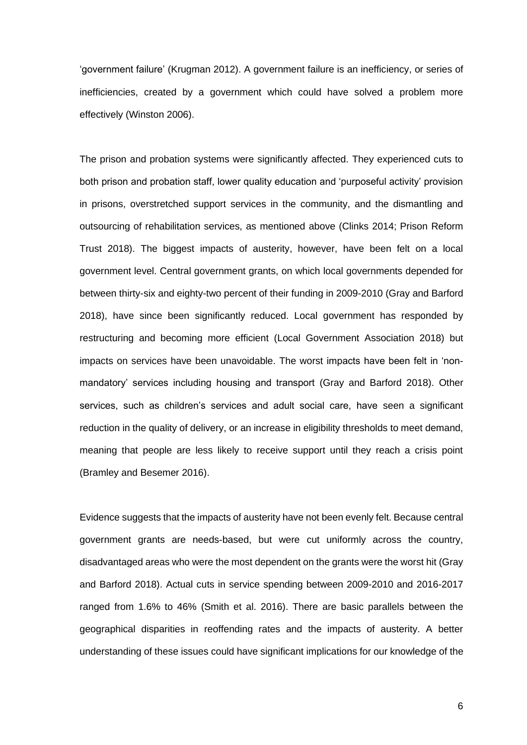'government failure' [\(Krugman 2012\).](http://f1000.com/work/citation?ids=6875177&pre=&suf=&sa=0) A government failure is an inefficiency, or series of inefficiencies, created by a government which could have solved a problem more effectively [\(Winston 2006\).](http://f1000.com/work/citation?ids=6871684&pre=&suf=&sa=0)

The prison and probation systems were significantly affected. They experienced cuts to both prison and probation staff, lower quality education and 'purposeful activity' provision in prisons, overstretched support services in the community, and the dismantling and outsourcing of rehabilitation services, as mentioned above [\(Clinks 2014; Prison Reform](http://f1000.com/work/citation?ids=6865955,6863292&pre=&pre=&suf=&suf=&sa=0,0)  [Trust 2018\).](http://f1000.com/work/citation?ids=6865955,6863292&pre=&pre=&suf=&suf=&sa=0,0) The biggest impacts of austerity, however, have been felt on a local government level. Central government grants, on which local governments depended for between thirty-six and eighty-two percent of their funding in 2009-2010 [\(Gray and Barford](http://f1000.com/work/citation?ids=6863272&pre=&suf=&sa=0)  [2018\),](http://f1000.com/work/citation?ids=6863272&pre=&suf=&sa=0) have since been significantly reduced. Local government has responded by restructuring and becoming more efficient [\(Local Government Association 2018\)](http://f1000.com/work/citation?ids=6863270&pre=&suf=&sa=0) but impacts on services have been unavoidable. The worst impacts have been felt in 'nonmandatory' services including housing and transport [\(Gray and Barford 2018\).](http://f1000.com/work/citation?ids=6863272&pre=&suf=&sa=0) Other services, such as children's services and adult social care, have seen a significant reduction in the quality of delivery, or an increase in eligibility thresholds to meet demand, meaning that people are less likely to receive support until they reach a crisis point [\(Bramley and Besemer 2016\).](http://f1000.com/work/citation?ids=6883050&pre=&suf=&sa=0)

Evidence suggests that the impacts of austerity have not been evenly felt. Because central government grants are needs-based, but were cut uniformly across the country, disadvantaged areas who were the most dependent on the grants were the worst hit [\(Gray](http://f1000.com/work/citation?ids=6863272&pre=&suf=&sa=0)  [and Barford 2018\).](http://f1000.com/work/citation?ids=6863272&pre=&suf=&sa=0) Actual cuts in service spending between 2009-2010 and 2016-2017 ranged from 1.6% to 46% [\(Smith et al. 2016\).](http://f1000.com/work/citation?ids=6863279&pre=&suf=&sa=0) There are basic parallels between the geographical disparities in reoffending rates and the impacts of austerity. A better understanding of these issues could have significant implications for our knowledge of the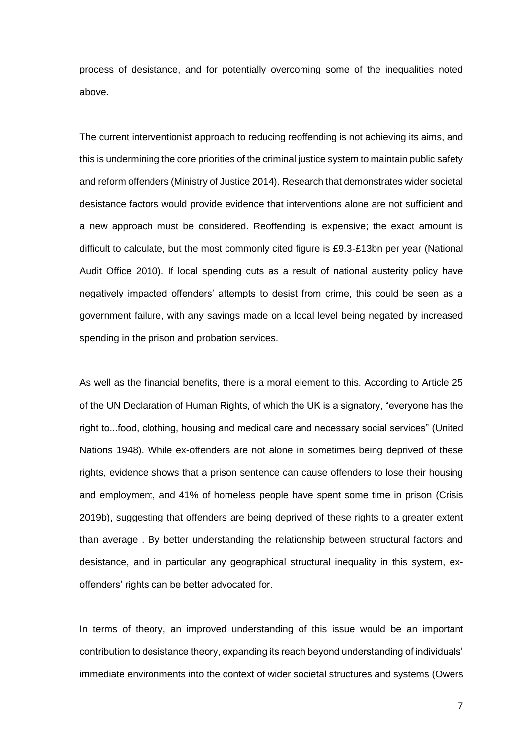process of desistance, and for potentially overcoming some of the inequalities noted above.

The current interventionist approach to reducing reoffending is not achieving its aims, and this is undermining the core priorities of the criminal justice system to maintain public safety and reform offenders [\(Ministry of Justice 2014\).](http://f1000.com/work/citation?ids=6865977&pre=&suf=&sa=0) Research that demonstrates wider societal desistance factors would provide evidence that interventions alone are not sufficient and a new approach must be considered. Reoffending is expensive; the exact amount is difficult to calculate, but the most commonly cited figure is £9.3-£13bn per year [\(National](http://f1000.com/work/citation?ids=6865974&pre=&suf=&sa=0)  [Audit Office 2010\).](http://f1000.com/work/citation?ids=6865974&pre=&suf=&sa=0) If local spending cuts as a result of national austerity policy have negatively impacted offenders' attempts to desist from crime, this could be seen as a government failure, with any savings made on a local level being negated by increased spending in the prison and probation services.

As well as the financial benefits, there is a moral element to this. According to Article 25 of the UN Declaration of Human Rights, of which the UK is a signatory, "everyone has the right to...food, clothing, housing and medical care and necessary social services" [\(United](http://f1000.com/work/citation?ids=6871519&pre=&suf=&sa=0)  [Nations 1948\).](http://f1000.com/work/citation?ids=6871519&pre=&suf=&sa=0) While ex-offenders are not alone in sometimes being deprived of these rights, evidence shows that a prison sentence can cause offenders to lose their housing and employment, and 41% of homeless people have spent some time in prison [\(Crisis](http://f1000.com/work/citation?ids=6871571&pre=&suf=&sa=0)  [2019b\),](http://f1000.com/work/citation?ids=6871571&pre=&suf=&sa=0) suggesting that offenders are being deprived of these rights to a greater extent than average . By better understanding the relationship between structural factors and desistance, and in particular any geographical structural inequality in this system, exoffenders' rights can be better advocated for.

In terms of theory, an improved understanding of this issue would be an important contribution to desistance theory, expanding its reach beyond understanding of individuals' immediate environments into the context of wider societal structures and systems [\(Owers](http://f1000.com/work/citation?ids=6863281&pre=&suf=&sa=0)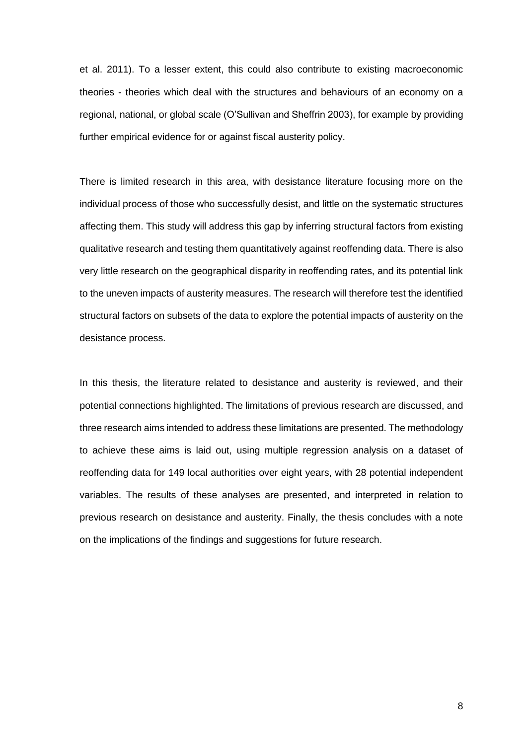[et al. 2011\).](http://f1000.com/work/citation?ids=6863281&pre=&suf=&sa=0) To a lesser extent, this could also contribute to existing macroeconomic theories - theories which deal with the structures and behaviours of an economy on a regional, national, or global scale [\(O'Sullivan and Sheffrin 2003\),](http://f1000.com/work/citation?ids=7918626&pre=&suf=&sa=0) for example by providing further empirical evidence for or against fiscal austerity policy.

There is limited research in this area, with desistance literature focusing more on the individual process of those who successfully desist, and little on the systematic structures affecting them. This study will address this gap by inferring structural factors from existing qualitative research and testing them quantitatively against reoffending data. There is also very little research on the geographical disparity in reoffending rates, and its potential link to the uneven impacts of austerity measures. The research will therefore test the identified structural factors on subsets of the data to explore the potential impacts of austerity on the desistance process.

In this thesis, the literature related to desistance and austerity is reviewed, and their potential connections highlighted. The limitations of previous research are discussed, and three research aims intended to address these limitations are presented. The methodology to achieve these aims is laid out, using multiple regression analysis on a dataset of reoffending data for 149 local authorities over eight years, with 28 potential independent variables. The results of these analyses are presented, and interpreted in relation to previous research on desistance and austerity. Finally, the thesis concludes with a note on the implications of the findings and suggestions for future research.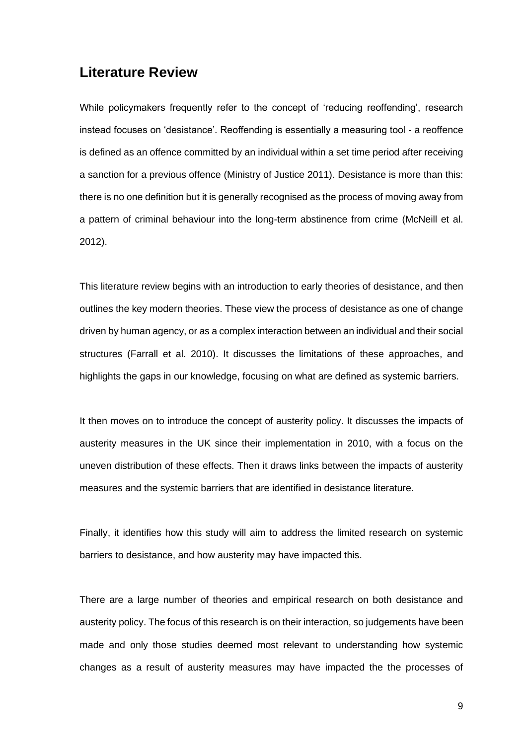## **Literature Review**

While policymakers frequently refer to the concept of 'reducing reoffending', research instead focuses on 'desistance'. Reoffending is essentially a measuring tool - a reoffence is defined as an offence committed by an individual within a set time period after receiving a sanction for a previous offence [\(Ministry of Justice 2011\).](http://f1000.com/work/citation?ids=8006456&pre=&suf=&sa=0) Desistance is more than this: there is no one definition but it is generally recognised as the process of moving away from a pattern of criminal behaviour into the long-term abstinence from crime [\(McNeill et al.](http://f1000.com/work/citation?ids=6863283&pre=&suf=&sa=0)  [2012\).](http://f1000.com/work/citation?ids=6863283&pre=&suf=&sa=0)

This literature review begins with an introduction to early theories of desistance, and then outlines the key modern theories. These view the process of desistance as one of change driven by human agency, or as a complex interaction between an individual and their social structures [\(Farrall](http://f1000.com/work/citation?ids=7784022&pre=&suf=&sa=0) [et al. 2010\).](http://f1000.com/work/citation?ids=7784022&pre=&suf=&sa=0) It discusses the limitations of these approaches, and highlights the gaps in our knowledge, focusing on what are defined as systemic barriers.

It then moves on to introduce the concept of austerity policy. It discusses the impacts of austerity measures in the UK since their implementation in 2010, with a focus on the uneven distribution of these effects. Then it draws links between the impacts of austerity measures and the systemic barriers that are identified in desistance literature.

Finally, it identifies how this study will aim to address the limited research on systemic barriers to desistance, and how austerity may have impacted this.

There are a large number of theories and empirical research on both desistance and austerity policy. The focus of this research is on their interaction, so judgements have been made and only those studies deemed most relevant to understanding how systemic changes as a result of austerity measures may have impacted the the processes of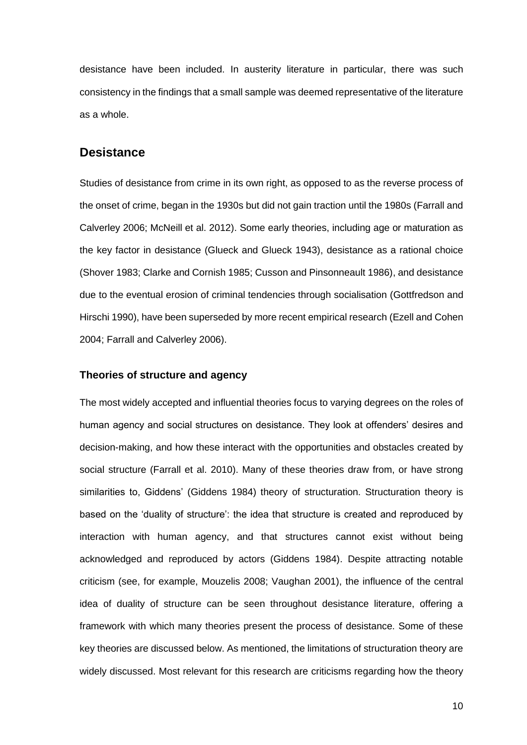desistance have been included. In austerity literature in particular, there was such consistency in the findings that a small sample was deemed representative of the literature as a whole.

### **Desistance**

Studies of desistance from crime in its own right, as opposed to as the reverse process of the onset of crime, began in the 1930s but did not gain traction until the 1980s [\(Farrall and](http://f1000.com/work/citation?ids=6863284,6863283&pre=&pre=&suf=&suf=&sa=0,0)  [Calverley 2006; McNeill et al. 2012\).](http://f1000.com/work/citation?ids=6863284,6863283&pre=&pre=&suf=&suf=&sa=0,0) Some early theories, including age or maturation as the key factor in desistance [\(Glueck and Glueck 1943\),](http://f1000.com/work/citation?ids=6871773&pre=&suf=&sa=0) desistance as a rational choice [\(Shover 1983; Clarke and Cornish 1985; Cusson and Pinsonneault 1986\),](http://f1000.com/work/citation?ids=6865986,3733220,6865989&pre=&pre=&pre=&suf=&suf=&suf=&sa=0,0,0) and desistance due to the eventual erosion of criminal tendencies through socialisation [\(Gottfredson and](http://f1000.com/work/citation?ids=6865995&pre=&suf=&sa=0)  [Hirschi 1990\),](http://f1000.com/work/citation?ids=6865995&pre=&suf=&sa=0) have been superseded by more recent empirical research [\(Ezell and Cohen](http://f1000.com/work/citation?ids=6866000,6863284&pre=&pre=&suf=&suf=&sa=0,0)  [2004; Farrall and Calverley 2006\).](http://f1000.com/work/citation?ids=6866000,6863284&pre=&pre=&suf=&suf=&sa=0,0)

#### **Theories of structure and agency**

The most widely accepted and influential theories focus to varying degrees on the roles of human agency and social structures on desistance. They look at offenders' desires and decision-making, and how these interact with the opportunities and obstacles created by social structure [\(Farrall](http://f1000.com/work/citation?ids=7995495&pre=&suf=&sa=0) [et al. 2010\).](http://f1000.com/work/citation?ids=7995495&pre=&suf=&sa=0) Many of these theories draw from, or have strong similarities to, Giddens' [\(Giddens 1984\)](http://f1000.com/work/citation?ids=8008948&pre=&suf=&sa=0) theory of structuration. Structuration theory is based on the 'duality of structure': the idea that structure is created and reproduced by interaction with human agency, and that structures cannot exist without being acknowledged and reproduced by actors [\(Giddens 1984\).](http://f1000.com/work/citation?ids=8008948&pre=&suf=&sa=0) Despite attracting notable criticism (see, for example, [Mouzelis 2008; Vaughan 2001\),](http://f1000.com/work/citation?ids=8006463,8008962&pre=&pre=&suf=&suf=&sa=0,0) the influence of the central idea of duality of structure can be seen throughout desistance literature, offering a framework with which many theories present the process of desistance. Some of these key theories are discussed below. As mentioned, the limitations of structuration theory are widely discussed. Most relevant for this research are criticisms regarding how the theory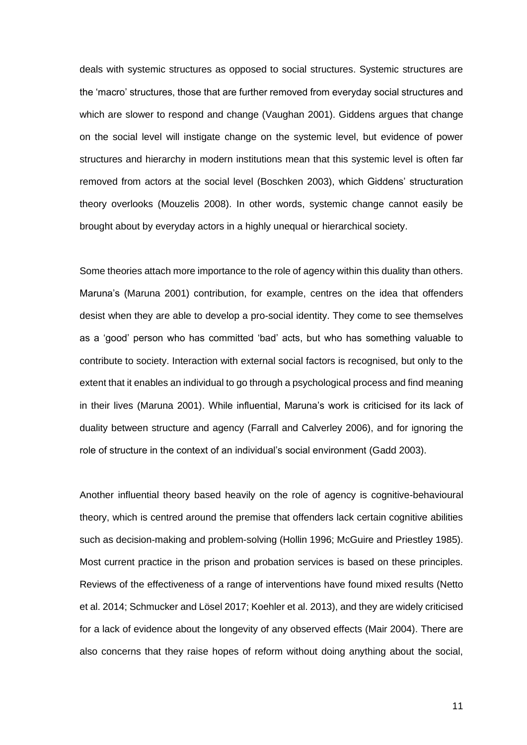deals with systemic structures as opposed to social structures. Systemic structures are the 'macro' structures, those that are further removed from everyday social structures and which are slower to respond and change [\(Vaughan 2001\).](http://f1000.com/work/citation?ids=8008962&pre=&suf=&sa=0) Giddens argues that change on the social level will instigate change on the systemic level, but evidence of power structures and hierarchy in modern institutions mean that this systemic level is often far removed from actors at the social level [\(Boschken 2003\),](http://f1000.com/work/citation?ids=8008987&pre=&suf=&sa=0) which Giddens' structuration theory overlooks [\(Mouzelis 2008\).](http://f1000.com/work/citation?ids=8006463&pre=&suf=&sa=0) In other words, systemic change cannot easily be brought about by everyday actors in a highly unequal or hierarchical society.

Some theories attach more importance to the role of agency within this duality than others. Maruna's [\(Maruna 2001\)](http://f1000.com/work/citation?ids=6863184&pre=&suf=&sa=0) contribution, for example, centres on the idea that offenders desist when they are able to develop a pro-social identity. They come to see themselves as a 'good' person who has committed 'bad' acts, but who has something valuable to contribute to society. Interaction with external social factors is recognised, but only to the extent that it enables an individual to go through a psychological process and find meaning in their lives [\(Maruna 2001\).](http://f1000.com/work/citation?ids=6863184&pre=&suf=&sa=0) While influential, Maruna's work is criticised for its lack of duality between structure and agency [\(Farrall and Calverley 2006\),](http://f1000.com/work/citation?ids=6863284&pre=&suf=&sa=0) and for ignoring the role of structure in the context of an individual's social environment [\(Gadd 2003\).](http://f1000.com/work/citation?ids=6863282&pre=&suf=&sa=0)

Another influential theory based heavily on the role of agency is cognitive-behavioural theory, which is centred around the premise that offenders lack certain cognitive abilities such as decision-making and problem-solving [\(Hollin 1996; McGuire and Priestley 1985\).](http://f1000.com/work/citation?ids=6866029,6866033&pre=&pre=&suf=&suf=&sa=0,0) Most current practice in the prison and probation services is based on these principles. Reviews of the effectiveness of a range of interventions have found mixed results [\(Netto](http://f1000.com/work/citation?ids=8003017,8005471,8005474&pre=&pre=&pre=&suf=&suf=&suf=&sa=0,0,0)  [et al. 2014; Schmucker and Lösel 2017; Koehler et al. 2013\),](http://f1000.com/work/citation?ids=8003017,8005471,8005474&pre=&pre=&pre=&suf=&suf=&suf=&sa=0,0,0) and they are widely criticised for a lack of evidence about the longevity of any observed effects [\(Mair 2004\).](http://f1000.com/work/citation?ids=6866039&pre=&suf=&sa=0) There are also concerns that they raise hopes of reform without doing anything about the social,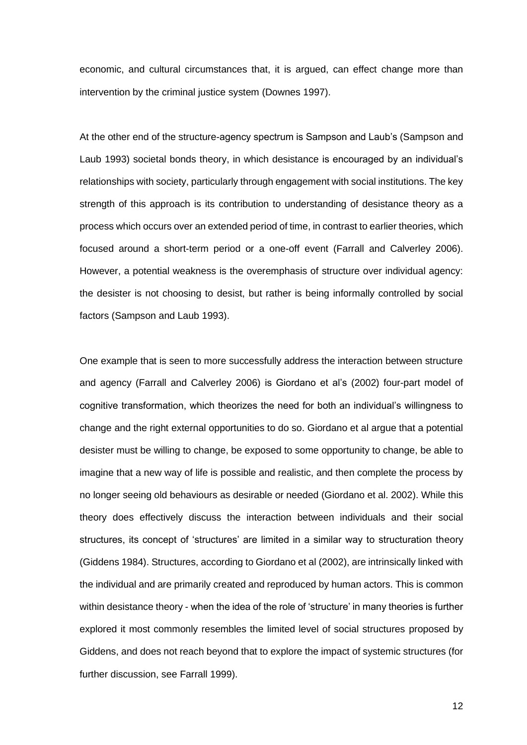economic, and cultural circumstances that, it is argued, can effect change more than intervention by the criminal justice system [\(Downes 1997\).](http://f1000.com/work/citation?ids=6872109&pre=&suf=&sa=0)

At the other end of the structure-agency spectrum is Sampson and Laub's [\(Sampson and](http://f1000.com/work/citation?ids=6866006&pre=&suf=&sa=0)  [Laub 1993\)](http://f1000.com/work/citation?ids=6866006&pre=&suf=&sa=0) societal bonds theory, in which desistance is encouraged by an individual's relationships with society, particularly through engagement with social institutions. The key strength of this approach is its contribution to understanding of desistance theory as a process which occurs over an extended period of time, in contrast to earlier theories, which focused around a short-term period or a one-off event [\(Farrall and Calverley 2006\).](http://f1000.com/work/citation?ids=6863284&pre=&suf=&sa=0) However, a potential weakness is the overemphasis of structure over individual agency: the desister is not choosing to desist, but rather is being informally controlled by social factors [\(Sampson and Laub 1993\).](http://f1000.com/work/citation?ids=6866006&pre=&suf=&sa=0)

One example that is seen to more successfully address the interaction between structure and agency [\(Farrall and Calverley 2006\)](http://f1000.com/work/citation?ids=6863284&pre=&suf=&sa=0) is Giordano et al's [\(2002\)](http://f1000.com/work/citation?ids=6866008&pre=&suf=&sa=0) four-part model of cognitive transformation, which theorizes the need for both an individual's willingness to change and the right external opportunities to do so. Giordano et al argue that a potential desister must be willing to change, be exposed to some opportunity to change, be able to imagine that a new way of life is possible and realistic, and then complete the process by no longer seeing old behaviours as desirable or needed [\(Giordano et al. 2002\).](http://f1000.com/work/citation?ids=6866008&pre=&suf=&sa=0) While this theory does effectively discuss the interaction between individuals and their social structures, its concept of 'structures' are limited in a similar way to structuration theory [\(Giddens 1984\).](http://f1000.com/work/citation?ids=8008948&pre=&suf=&sa=0) Structures, according to Giordano et al [\(2002\),](http://f1000.com/work/citation?ids=6866008&pre=&suf=&sa=0) are intrinsically linked with the individual and are primarily created and reproduced by human actors. This is common within desistance theory - when the idea of the role of 'structure' in many theories is further explored it most commonly resembles the limited level of social structures proposed by Giddens, and does not reach beyond that to explore the impact of systemic structures (for further discussion, see [Farrall 1999\).](http://f1000.com/work/citation?ids=8005380&pre=&suf=&sa=0)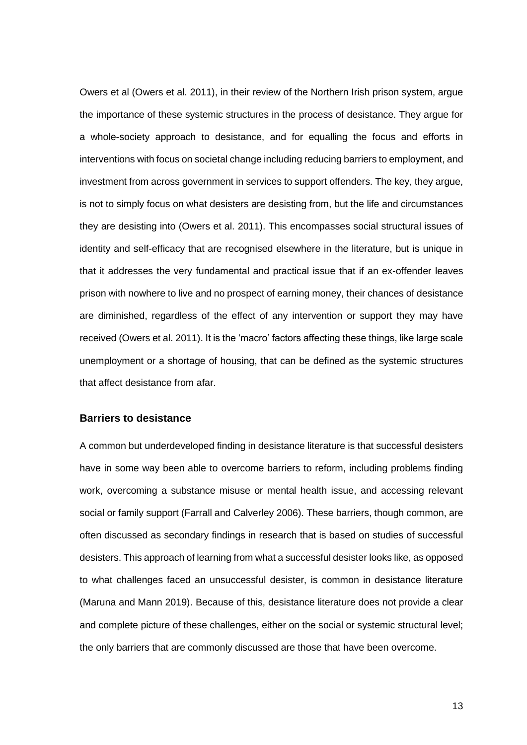Owers et al [\(Owers et al. 2011\),](http://f1000.com/work/citation?ids=6863281&pre=&suf=&sa=0) in their review of the Northern Irish prison system, argue the importance of these systemic structures in the process of desistance. They argue for a whole-society approach to desistance, and for equalling the focus and efforts in interventions with focus on societal change including reducing barriers to employment, and investment from across government in services to support offenders. The key, they argue, is not to simply focus on what desisters are desisting from, but the life and circumstances they are desisting into [\(Owers et al. 2011\).](http://f1000.com/work/citation?ids=6863281&pre=&suf=&sa=0) This encompasses social structural issues of identity and self-efficacy that are recognised elsewhere in the literature, but is unique in that it addresses the very fundamental and practical issue that if an ex-offender leaves prison with nowhere to live and no prospect of earning money, their chances of desistance are diminished, regardless of the effect of any intervention or support they may have received [\(Owers et al. 2011\).](http://f1000.com/work/citation?ids=6863281&pre=&suf=&sa=0) It is the 'macro' factors affecting these things, like large scale unemployment or a shortage of housing, that can be defined as the systemic structures that affect desistance from afar.

### **Barriers to desistance**

A common but underdeveloped finding in desistance literature is that successful desisters have in some way been able to overcome barriers to reform, including problems finding work, overcoming a substance misuse or mental health issue, and accessing relevant social or family support [\(Farrall and Calverley 2006\).](http://f1000.com/work/citation?ids=6863284&pre=&suf=&sa=0) These barriers, though common, are often discussed as secondary findings in research that is based on studies of successful desisters. This approach of learning from what a successful desister looks like, as opposed to what challenges faced an unsuccessful desister, is common in desistance literature [\(Maruna and Mann 2019\).](http://f1000.com/work/citation?ids=6863285&pre=&suf=&sa=0) Because of this, desistance literature does not provide a clear and complete picture of these challenges, either on the social or systemic structural level; the only barriers that are commonly discussed are those that have been overcome.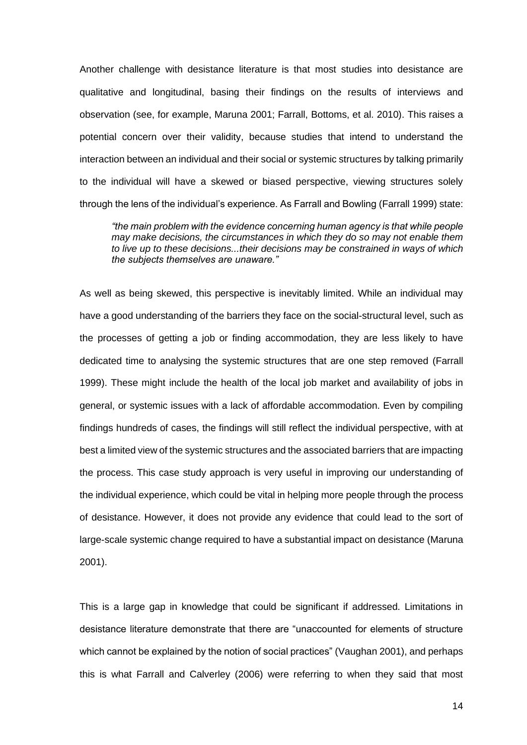Another challenge with desistance literature is that most studies into desistance are qualitative and longitudinal, basing their findings on the results of interviews and observation (see, for example, [Maruna 2001; Farrall, Bottoms, et al. 2010\).](http://f1000.com/work/citation?ids=6863184,7995495&pre=&pre=&suf=&suf=&sa=0,0) This raises a potential concern over their validity, because studies that intend to understand the interaction between an individual and their social or systemic structures by talking primarily to the individual will have a skewed or biased perspective, viewing structures solely through the lens of the individual's experience. As Farrall and Bowling [\(Farrall 1999\)](http://f1000.com/work/citation?ids=8005380&pre=&suf=&sa=0) state:

*"the main problem with the evidence concerning human agency is that while people may make decisions, the circumstances in which they do so may not enable them to live up to these decisions...their decisions may be constrained in ways of which the subjects themselves are unaware."*

As well as being skewed, this perspective is inevitably limited. While an individual may have a good understanding of the barriers they face on the social-structural level, such as the processes of getting a job or finding accommodation, they are less likely to have dedicated time to analysing the systemic structures that are one step removed [\(Farrall](http://f1000.com/work/citation?ids=8005380&pre=&suf=&sa=0)  [1999\).](http://f1000.com/work/citation?ids=8005380&pre=&suf=&sa=0) These might include the health of the local job market and availability of jobs in general, or systemic issues with a lack of affordable accommodation. Even by compiling findings hundreds of cases, the findings will still reflect the individual perspective, with at best a limited view of the systemic structures and the associated barriers that are impacting the process. This case study approach is very useful in improving our understanding of the individual experience, which could be vital in helping more people through the process of desistance. However, it does not provide any evidence that could lead to the sort of large-scale systemic change required to have a substantial impact on desistance [\(Maruna](http://f1000.com/work/citation?ids=6863184&pre=&suf=&sa=0)  [2001\).](http://f1000.com/work/citation?ids=6863184&pre=&suf=&sa=0)

This is a large gap in knowledge that could be significant if addressed. Limitations in desistance literature demonstrate that there are "unaccounted for elements of structure which cannot be explained by the notion of social practices" [\(Vaughan 2001\),](http://f1000.com/work/citation?ids=8008962&pre=&suf=&sa=0) and perhaps this is what Farrall and Calverley (2006) were referring to when they said that most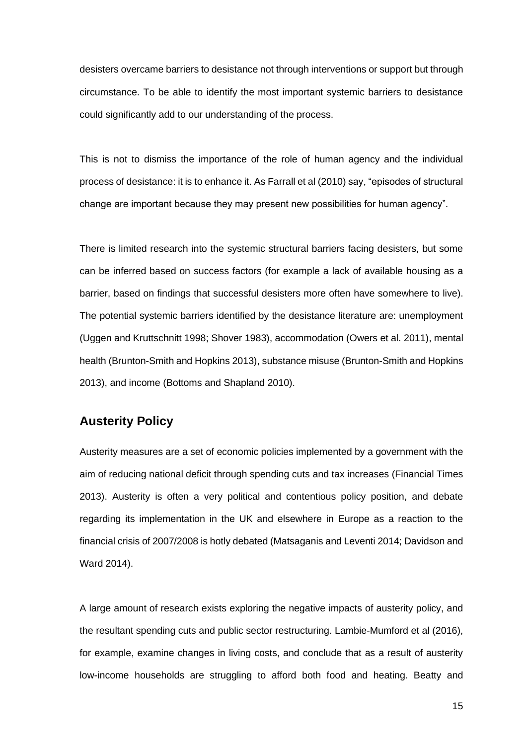desisters overcame barriers to desistance not through interventions or support but through circumstance. To be able to identify the most important systemic barriers to desistance could significantly add to our understanding of the process.

This is not to dismiss the importance of the role of human agency and the individual process of desistance: it is to enhance it. As Farrall et al [\(2010\)](http://f1000.com/work/citation?ids=7784022&pre=&suf=&sa=0) say, "episodes of structural change are important because they may present new possibilities for human agency".

There is limited research into the systemic structural barriers facing desisters, but some can be inferred based on success factors (for example a lack of available housing as a barrier, based on findings that successful desisters more often have somewhere to live). The potential systemic barriers identified by the desistance literature are: unemployment [\(Uggen and Kruttschnitt 1998; Shover 1983\),](http://f1000.com/work/citation?ids=3584804,6865986&pre=&pre=&suf=&suf=&sa=0,0) accommodation [\(Owers et al. 2011\),](http://f1000.com/work/citation?ids=6863281&pre=&suf=&sa=0) mental healt[h \(Brunton-Smith and Hopkins 2013\),](http://f1000.com/work/citation?ids=6863286&pre=&suf=&sa=0) substance misuse [\(Brunton-Smith and Hopkins](http://f1000.com/work/citation?ids=6863286&pre=&suf=&sa=0)  [2013\),](http://f1000.com/work/citation?ids=6863286&pre=&suf=&sa=0) and income [\(Bottoms and Shapland 2010\).](http://f1000.com/work/citation?ids=7784052&pre=&suf=&sa=0)

### **Austerity Policy**

Austerity measures are a set of economic policies implemented by a government with the aim of reducing national deficit through spending cuts and tax increases [\(Financial Times](http://f1000.com/work/citation?ids=8007477&pre=&suf=&sa=0)  [2013\).](http://f1000.com/work/citation?ids=8007477&pre=&suf=&sa=0) Austerity is often a very political and contentious policy position, and debate regarding its implementation in the UK and elsewhere in Europe as a reaction to the financial crisis of 2007/2008 is hotly debated [\(Matsaganis and Leventi 2014; Davidson and](http://f1000.com/work/citation?ids=6863267,6863263&pre=&pre=&suf=&suf=&sa=0,0)  [Ward 2014\).](http://f1000.com/work/citation?ids=6863267,6863263&pre=&pre=&suf=&suf=&sa=0,0)

A large amount of research exists exploring the negative impacts of austerity policy, and the resultant spending cuts and public sector restructuring. Lambie-Mumford et al [\(2016\),](http://f1000.com/work/citation?ids=6883041&pre=&suf=&sa=0) for example, examine changes in living costs, and conclude that as a result of austerity low-income households are struggling to afford both food and heating. Beatty and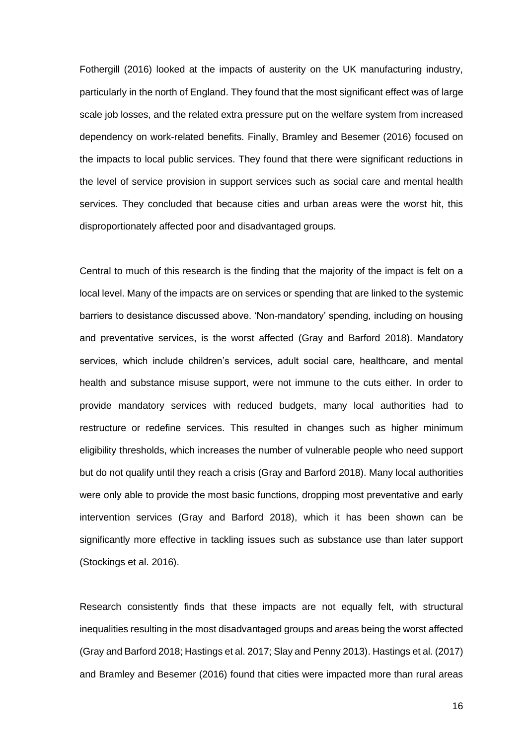Fothergill [\(2016\)](http://f1000.com/work/citation?ids=6883047&pre=&suf=&sa=0) looked at the impacts of austerity on the UK manufacturing industry, particularly in the north of England. They found that the most significant effect was of large scale job losses, and the related extra pressure put on the welfare system from increased dependency on work-related benefits. Finally, [Bramley and Besemer \(2016\)](http://f1000.com/work/citation?ids=6883050&pre=&suf=&sa=0) focused on the impacts to local public services. They found that there were significant reductions in the level of service provision in support services such as social care and mental health services. They concluded that because cities and urban areas were the worst hit, this disproportionately affected poor and disadvantaged groups.

Central to much of this research is the finding that the majority of the impact is felt on a local level. Many of the impacts are on services or spending that are linked to the systemic barriers to desistance discussed above. 'Non-mandatory' spending, including on housing and preventative services, is the worst affected [\(Gray and Barford](http://f1000.com/work/citation?ids=6863272&pre=&suf=&sa=0) 2018). Mandatory services, which include children's services, adult social care, healthcare, and mental health and substance misuse support, were not immune to the cuts either. In order to provide mandatory services with reduced budgets, many local authorities had to restructure or redefine services. This resulted in changes such as higher minimum eligibility thresholds, which increases the number of vulnerable people who need support but do not qualify until they reach a crisis [\(Gray and Barford 2018\).](http://f1000.com/work/citation?ids=6863272&pre=&suf=&sa=0) Many local authorities were only able to provide the most basic functions, dropping most preventative and early intervention services [\(Gray and Barford 2018\),](http://f1000.com/work/citation?ids=6863272&pre=&suf=&sa=0) which it has been shown can be significantly more effective in tackling issues such as substance use than later support [\(Stockings et al. 2016\).](http://f1000.com/work/citation?ids=6698889&pre=&suf=&sa=0)

Research consistently finds that these impacts are not equally felt, with structural inequalities resulting in the most disadvantaged groups and areas being the worst affected [\(Gray and Barford 2018; Hastings et al. 2017; Slay and Penny 2013\).](http://f1000.com/work/citation?ids=6863272,5495636,6866047&pre=&pre=&pre=&suf=&suf=&suf=&sa=0,0,0) Hastings et al. (2017) and [Bramley and Besemer \(2016\)](http://f1000.com/work/citation?ids=6883050&pre=&suf=&sa=0) found that cities were impacted more than rural areas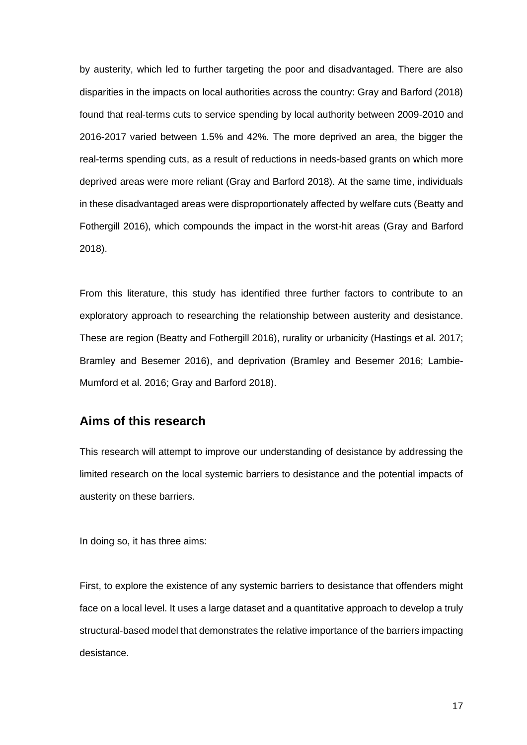by austerity, which led to further targeting the poor and disadvantaged. There are also disparities in the impacts on local authorities across the country: Gray and Barford (2018) found that real-terms cuts to service spending by local authority between 2009-2010 and 2016-2017 varied between 1.5% and 42%. The more deprived an area, the bigger the real-terms spending cuts, as a result of reductions in needs-based grants on which more deprived areas were more reliant (Gray and Barford 2018). At the same time, individuals in these disadvantaged areas were disproportionately affected by welfare cuts [\(Beatty and](http://f1000.com/work/citation?ids=6863266&pre=&suf=&sa=0)  [Fothergill 2016\),](http://f1000.com/work/citation?ids=6863266&pre=&suf=&sa=0) which compounds the impact in the worst-hit areas (Gray and Barford 2018).

From this literature, this study has identified three further factors to contribute to an exploratory approach to researching the relationship between austerity and desistance. These are region [\(Beatty and Fothergill 2016\),](http://f1000.com/work/citation?ids=6883047&pre=&suf=&sa=0) rurality or urbanicity [\(Hastings et al.](http://f1000.com/work/citation?ids=5495636,6883050&pre=&pre=&suf=&suf=&sa=0,0) 2017; [Bramley and Besemer 2016\),](http://f1000.com/work/citation?ids=5495636,6883050&pre=&pre=&suf=&suf=&sa=0,0) and deprivation [\(Bramley and Besemer 2016; Lambie-](http://f1000.com/work/citation?ids=6883050,6883041,6863272&pre=&pre=&pre=&suf=&suf=&suf=&sa=0,0,0)[Mumford et al. 2016; Gray and Barford 2018\).](http://f1000.com/work/citation?ids=6883050,6883041,6863272&pre=&pre=&pre=&suf=&suf=&suf=&sa=0,0,0)

### **Aims of this research**

This research will attempt to improve our understanding of desistance by addressing the limited research on the local systemic barriers to desistance and the potential impacts of austerity on these barriers.

In doing so, it has three aims:

First, to explore the existence of any systemic barriers to desistance that offenders might face on a local level. It uses a large dataset and a quantitative approach to develop a truly structural-based model that demonstrates the relative importance of the barriers impacting desistance.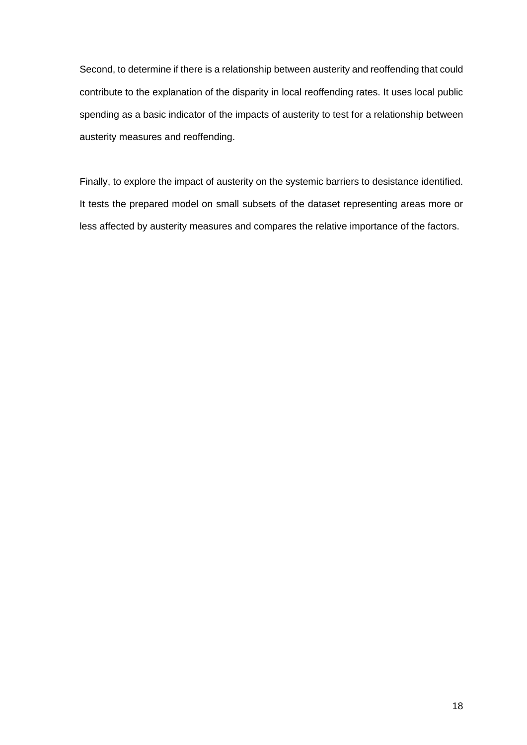Second, to determine if there is a relationship between austerity and reoffending that could contribute to the explanation of the disparity in local reoffending rates. It uses local public spending as a basic indicator of the impacts of austerity to test for a relationship between austerity measures and reoffending.

Finally, to explore the impact of austerity on the systemic barriers to desistance identified. It tests the prepared model on small subsets of the dataset representing areas more or less affected by austerity measures and compares the relative importance of the factors.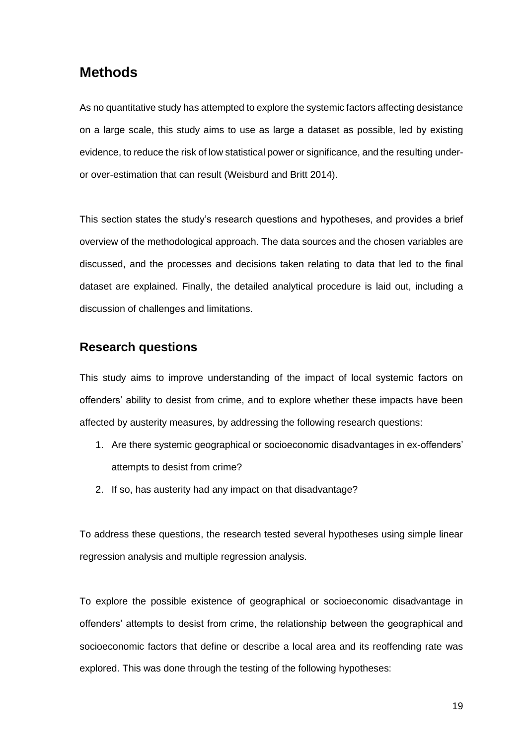## **Methods**

As no quantitative study has attempted to explore the systemic factors affecting desistance on a large scale, this study aims to use as large a dataset as possible, led by existing evidence, to reduce the risk of low statistical power or significance, and the resulting underor over-estimation that can result [\(Weisburd and Britt 2014\).](http://f1000.com/work/citation?ids=7998661&pre=&suf=&sa=0)

This section states the study's research questions and hypotheses, and provides a brief overview of the methodological approach. The data sources and the chosen variables are discussed, and the processes and decisions taken relating to data that led to the final dataset are explained. Finally, the detailed analytical procedure is laid out, including a discussion of challenges and limitations.

### **Research questions**

This study aims to improve understanding of the impact of local systemic factors on offenders' ability to desist from crime, and to explore whether these impacts have been affected by austerity measures, by addressing the following research questions:

- 1. Are there systemic geographical or socioeconomic disadvantages in ex-offenders' attempts to desist from crime?
- 2. If so, has austerity had any impact on that disadvantage?

To address these questions, the research tested several hypotheses using simple linear regression analysis and multiple regression analysis.

To explore the possible existence of geographical or socioeconomic disadvantage in offenders' attempts to desist from crime, the relationship between the geographical and socioeconomic factors that define or describe a local area and its reoffending rate was explored. This was done through the testing of the following hypotheses: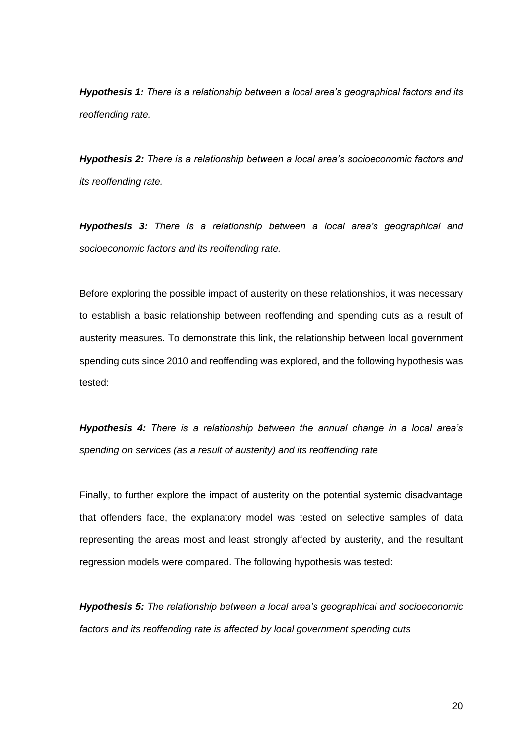*Hypothesis 1: There is a relationship between a local area's geographical factors and its reoffending rate.*

*Hypothesis 2: There is a relationship between a local area's socioeconomic factors and its reoffending rate.*

*Hypothesis 3: There is a relationship between a local area's geographical and socioeconomic factors and its reoffending rate.*

Before exploring the possible impact of austerity on these relationships, it was necessary to establish a basic relationship between reoffending and spending cuts as a result of austerity measures. To demonstrate this link, the relationship between local government spending cuts since 2010 and reoffending was explored, and the following hypothesis was tested:

*Hypothesis 4: There is a relationship between the annual change in a local area's spending on services (as a result of austerity) and its reoffending rate*

Finally, to further explore the impact of austerity on the potential systemic disadvantage that offenders face, the explanatory model was tested on selective samples of data representing the areas most and least strongly affected by austerity, and the resultant regression models were compared. The following hypothesis was tested:

*Hypothesis 5: The relationship between a local area's geographical and socioeconomic factors and its reoffending rate is affected by local government spending cuts*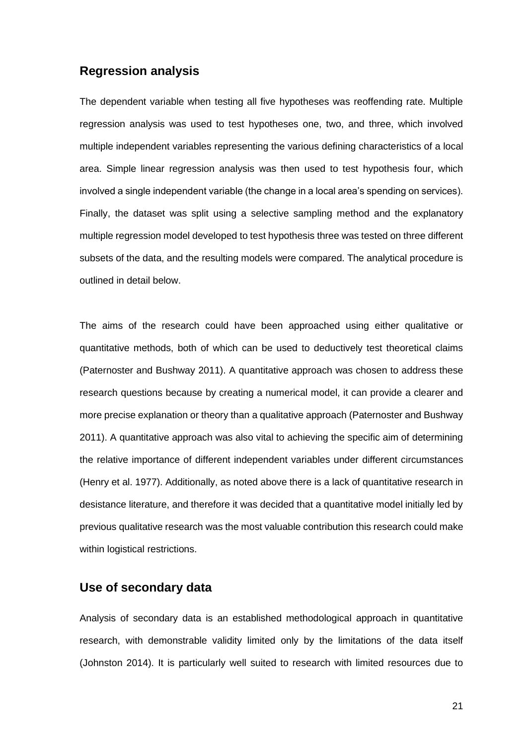### **Regression analysis**

The dependent variable when testing all five hypotheses was reoffending rate. Multiple regression analysis was used to test hypotheses one, two, and three, which involved multiple independent variables representing the various defining characteristics of a local area. Simple linear regression analysis was then used to test hypothesis four, which involved a single independent variable (the change in a local area's spending on services). Finally, the dataset was split using a selective sampling method and the explanatory multiple regression model developed to test hypothesis three was tested on three different subsets of the data, and the resulting models were compared. The analytical procedure is outlined in detail below.

The aims of the research could have been approached using either qualitative or quantitative methods, both of which can be used to deductively test theoretical claims [\(Paternoster and Bushway 2011\).](http://f1000.com/work/citation?ids=7750297&pre=&suf=&sa=0) A quantitative approach was chosen to address these research questions because by creating a numerical model, it can provide a clearer and more precise explanation or theory than a qualitative approach [\(Paternoster and Bushway](http://f1000.com/work/citation?ids=7750297&pre=&suf=&sa=0)  [2011\).](http://f1000.com/work/citation?ids=7750297&pre=&suf=&sa=0) A quantitative approach was also vital to achieving the specific aim of determining the relative importance of different independent variables under different circumstances [\(Henry et al. 1977\).](http://f1000.com/work/citation?ids=4833002&pre=&suf=&sa=0) Additionally, as noted above there is a lack of quantitative research in desistance literature, and therefore it was decided that a quantitative model initially led by previous qualitative research was the most valuable contribution this research could make within logistical restrictions.

### **Use of secondary data**

Analysis of secondary data is an established methodological approach in quantitative research, with demonstrable validity limited only by the limitations of the data itself [\(Johnston 2014\).](http://f1000.com/work/citation?ids=7992366&pre=&suf=&sa=0) It is particularly well suited to research with limited resources due to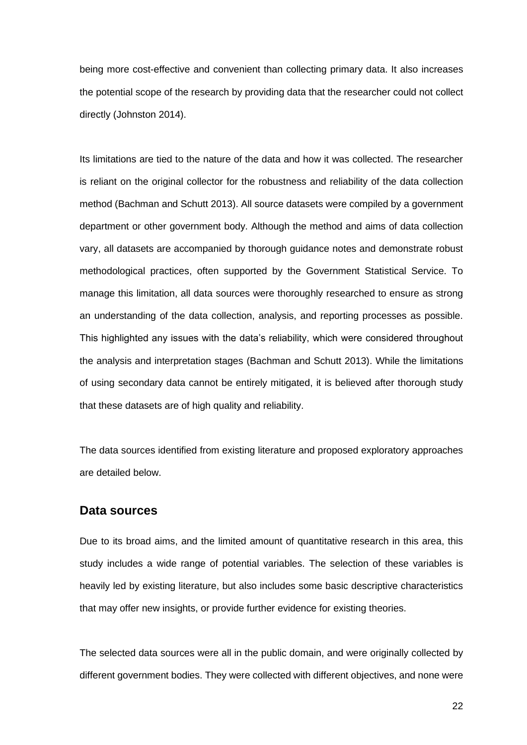being more cost-effective and convenient than collecting primary data. It also increases the potential scope of the research by providing data that the researcher could not collect directly [\(Johnston 2014\).](http://f1000.com/work/citation?ids=7992366&pre=&suf=&sa=0)

Its limitations are tied to the nature of the data and how it was collected. The researcher is reliant on the original collector for the robustness and reliability of the data collection method [\(Bachman and Schutt 2013\).](http://f1000.com/work/citation?ids=7992380&pre=&suf=&sa=0) All source datasets were compiled by a government department or other government body. Although the method and aims of data collection vary, all datasets are accompanied by thorough guidance notes and demonstrate robust methodological practices, often supported by the Government Statistical Service. To manage this limitation, all data sources were thoroughly researched to ensure as strong an understanding of the data collection, analysis, and reporting processes as possible. This highlighted any issues with the data's reliability, which were considered throughout the analysis and interpretation stages [\(Bachman and Schutt 2013\).](http://f1000.com/work/citation?ids=7992380&pre=&suf=&sa=0) While the limitations of using secondary data cannot be entirely mitigated, it is believed after thorough study that these datasets are of high quality and reliability.

The data sources identified from existing literature and proposed exploratory approaches are detailed below.

### **Data sources**

Due to its broad aims, and the limited amount of quantitative research in this area, this study includes a wide range of potential variables. The selection of these variables is heavily led by existing literature, but also includes some basic descriptive characteristics that may offer new insights, or provide further evidence for existing theories.

The selected data sources were all in the public domain, and were originally collected by different government bodies. They were collected with different objectives, and none were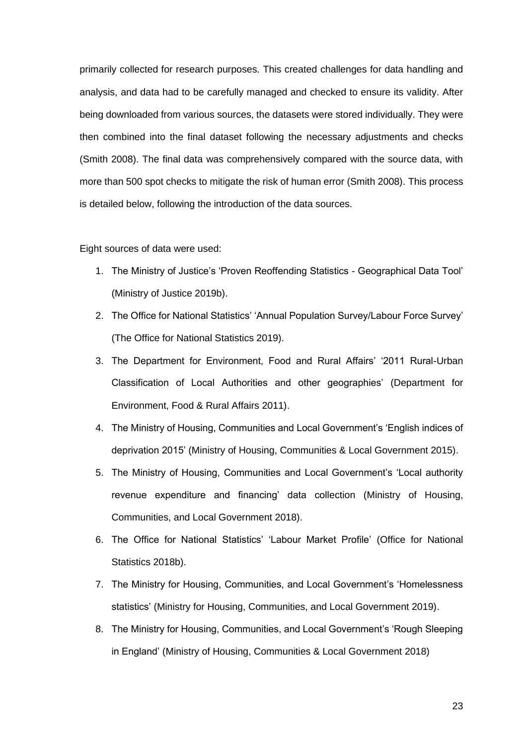primarily collected for research purposes. This created challenges for data handling and analysis, and data had to be carefully managed and checked to ensure its validity. After being downloaded from various sources, the datasets were stored individually. They were then combined into the final dataset following the necessary adjustments and checks [\(Smith 2008\).](http://f1000.com/work/citation?ids=6863296&pre=&suf=&sa=0) The final data was comprehensively compared with the source data, with more than 500 spot checks to mitigate the risk of human error [\(Smith 2008\).](http://f1000.com/work/citation?ids=6863296&pre=&suf=&sa=0) This process is detailed below, following the introduction of the data sources.

#### Eight sources of data were used:

- 1. The Ministry of Justice's 'Proven Reoffending Statistics Geographical Data Tool' [\(Ministry of Justice 2019b\).](http://f1000.com/work/citation?ids=6863381&pre=&suf=&sa=0)
- 2. The Office for National Statistics' 'Annual Population Survey/Labour Force Survey' [\(The Office for National Statistics 2019\).](http://f1000.com/work/citation?ids=7750628&pre=&suf=&sa=0)
- 3. The Department for Environment, Food and Rural Affairs' '2011 Rural-Urban Classification of Local Authorities and other geographies' [\(Department for](http://f1000.com/work/citation?ids=7750632&pre=&suf=&sa=0)  [Environment, Food & Rural Affairs 2011\).](http://f1000.com/work/citation?ids=7750632&pre=&suf=&sa=0)
- 4. The Ministry of Housing, Communities and Local Government's 'English indices of deprivation 2015' [\(Ministry of Housing, Communities & Local Government 2015\).](http://f1000.com/work/citation?ids=7750641&pre=&suf=&sa=0)
- 5. The Ministry of Housing, Communities and Local Government's 'Local authority revenue expenditure and financing' data collection [\(Ministry of Housing,](http://f1000.com/work/citation?ids=6863376&pre=&suf=&sa=0)  [Communities, and Local Government 2018\).](http://f1000.com/work/citation?ids=6863376&pre=&suf=&sa=0)
- 6. The Office for National Statistics' 'Labour Market Profile' [\(Office for National](http://f1000.com/work/citation?ids=7750654&pre=&suf=&sa=0)  [Statistics 2018b\).](http://f1000.com/work/citation?ids=7750654&pre=&suf=&sa=0)
- 7. The Ministry for Housing, Communities, and Local Government's 'Homelessness statistics' [\(Ministry for Housing, Communities, and Local Government 2019\).](http://f1000.com/work/citation?ids=6884253&pre=&suf=&sa=0)
- 8. The Ministry for Housing, Communities, and Local Government's 'Rough Sleeping in England' [\(Ministry of Housing, Communities & Local Government 2018\)](http://f1000.com/work/citation?ids=7998112&pre=&suf=&sa=0)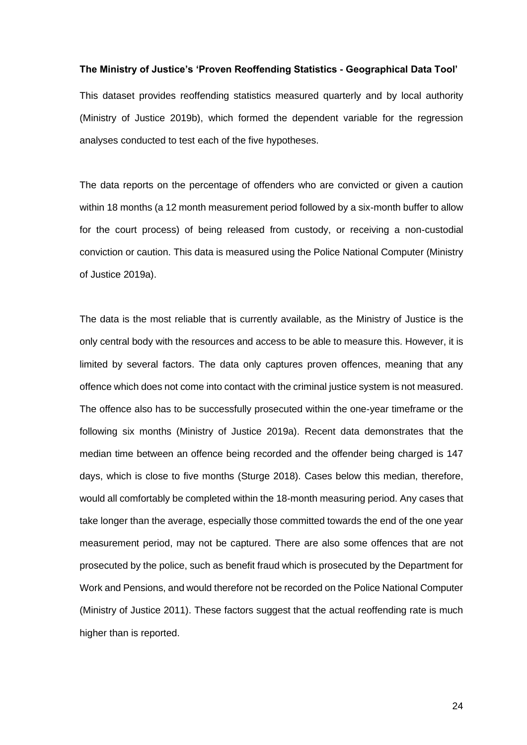#### **The Ministry of Justice's 'Proven Reoffending Statistics - Geographical Data Tool'**

This dataset provides reoffending statistics measured quarterly and by local authority [\(Ministry of Justice 2019b\),](http://f1000.com/work/citation?ids=6863381&pre=&suf=&sa=0) which formed the dependent variable for the regression analyses conducted to test each of the five hypotheses.

The data reports on the percentage of offenders who are convicted or given a caution within 18 months (a 12 month measurement period followed by a six-month buffer to allow for the court process) of being released from custody, or receiving a non-custodial conviction or caution. This data is measured using the Police National Computer [\(Ministry](http://f1000.com/work/citation?ids=7773961&pre=&suf=&sa=0)  [of Justice 2019a\).](http://f1000.com/work/citation?ids=7773961&pre=&suf=&sa=0)

The data is the most reliable that is currently available, as the Ministry of Justice is the only central body with the resources and access to be able to measure this. However, it is limited by several factors. The data only captures proven offences, meaning that any offence which does not come into contact with the criminal justice system is not measured. The offence also has to be successfully prosecuted within the one-year timeframe or the following six months [\(Ministry of Justice 2019a\).](http://f1000.com/work/citation?ids=7773961&pre=&suf=&sa=0) Recent data demonstrates that the median time between an offence being recorded and the offender being charged is 147 days, which is close to five months [\(Sturge 2018\).](http://f1000.com/work/citation?ids=7773994&pre=&suf=&sa=0) Cases below this median, therefore, would all comfortably be completed within the 18-month measuring period. Any cases that take longer than the average, especially those committed towards the end of the one year measurement period, may not be captured. There are also some offences that are not prosecuted by the police, such as benefit fraud which is prosecuted by the Department for Work and Pensions, and would therefore not be recorded on the Police National Computer [\(Ministry of Justice 2011\)](http://f1000.com/work/citation?ids=8006456&pre=&suf=&sa=0). These factors suggest that the actual reoffending rate is much higher than is reported.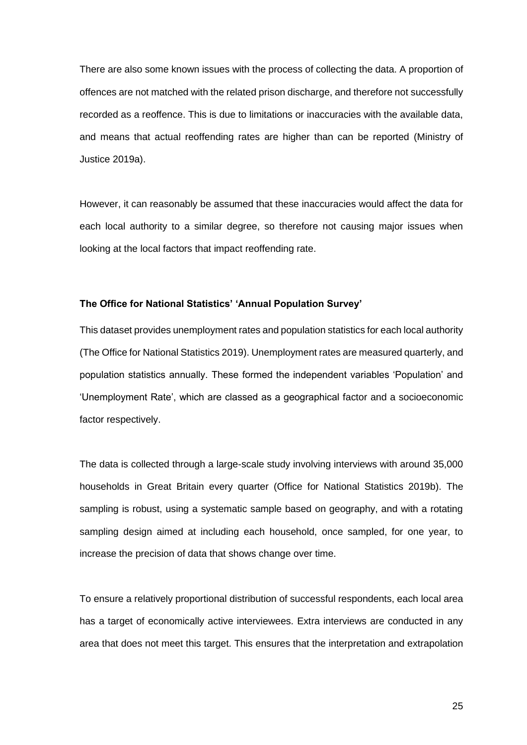There are also some known issues with the process of collecting the data. A proportion of offences are not matched with the related prison discharge, and therefore not successfully recorded as a reoffence. This is due to limitations or inaccuracies with the available data, and means that actual reoffending rates are higher than can be reported [\(Ministry of](http://f1000.com/work/citation?ids=7773961&pre=&suf=&sa=0)  [Justice 2019a\).](http://f1000.com/work/citation?ids=7773961&pre=&suf=&sa=0)

However, it can reasonably be assumed that these inaccuracies would affect the data for each local authority to a similar degree, so therefore not causing major issues when looking at the local factors that impact reoffending rate.

### **The Office for National Statistics' 'Annual Population Survey'**

This dataset provides unemployment rates and population statistics for each local authority [\(The Office for National Statistics 2019\)](http://f1000.com/work/citation?ids=7750628&pre=&suf=&sa=0). Unemployment rates are measured quarterly, and population statistics annually. These formed the independent variables 'Population' and 'Unemployment Rate', which are classed as a geographical factor and a socioeconomic factor respectively.

The data is collected through a large-scale study involving interviews with around 35,000 households in Great Britain every quarter [\(Office for National Statistics 2019b\).](http://f1000.com/work/citation?ids=7774389&pre=&suf=&sa=0) The sampling is robust, using a systematic sample based on geography, and with a rotating sampling design aimed at including each household, once sampled, for one year, to increase the precision of data that shows change over time.

To ensure a relatively proportional distribution of successful respondents, each local area has a target of economically active interviewees. Extra interviews are conducted in any area that does not meet this target. This ensures that the interpretation and extrapolation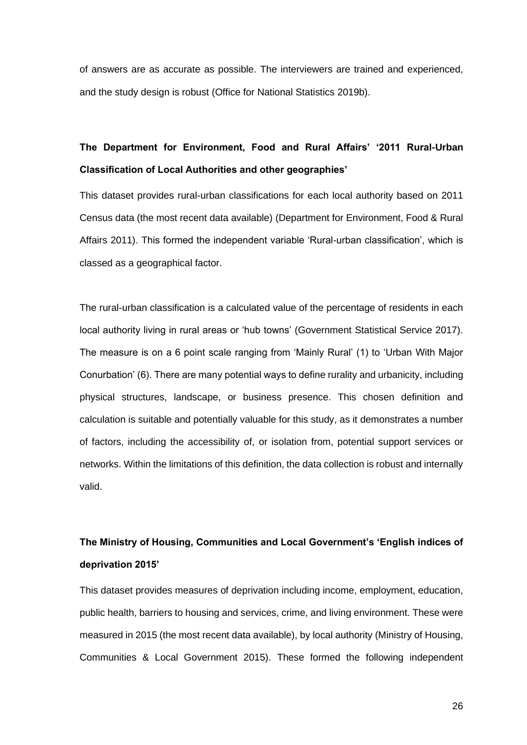of answers are as accurate as possible. The interviewers are trained and experienced, and the study design is robust [\(Office for National Statistics 2019b\).](http://f1000.com/work/citation?ids=7774389&pre=&suf=&sa=0)

# **The Department for Environment, Food and Rural Affairs' '2011 Rural-Urban Classification of Local Authorities and other geographies'**

This dataset provides rural-urban classifications for each local authority based on 2011 Census data (the most recent data available) [\(Department for Environment, Food & Rural](http://f1000.com/work/citation?ids=7750632&pre=&suf=&sa=0)  [Affairs 2011\).](http://f1000.com/work/citation?ids=7750632&pre=&suf=&sa=0) This formed the independent variable 'Rural-urban classification', which is classed as a geographical factor.

The rural-urban classification is a calculated value of the percentage of residents in each local authority living in rural areas or 'hub towns' [\(Government Statistical Service 2017\).](http://f1000.com/work/citation?ids=7774481&pre=&suf=&sa=0) The measure is on a 6 point scale ranging from 'Mainly Rural' (1) to 'Urban With Major Conurbation' (6). There are many potential ways to define rurality and urbanicity, including physical structures, landscape, or business presence. This chosen definition and calculation is suitable and potentially valuable for this study, as it demonstrates a number of factors, including the accessibility of, or isolation from, potential support services or networks. Within the limitations of this definition, the data collection is robust and internally valid.

# **The Ministry of Housing, Communities and Local Government's 'English indices of deprivation 2015'**

This dataset provides measures of deprivation including income, employment, education, public health, barriers to housing and services, crime, and living environment. These were measured in 2015 (the most recent data available), by local authority [\(Ministry of Housing,](http://f1000.com/work/citation?ids=7750641&pre=&suf=&sa=0)  [Communities & Local Government 2015\).](http://f1000.com/work/citation?ids=7750641&pre=&suf=&sa=0) These formed the following independent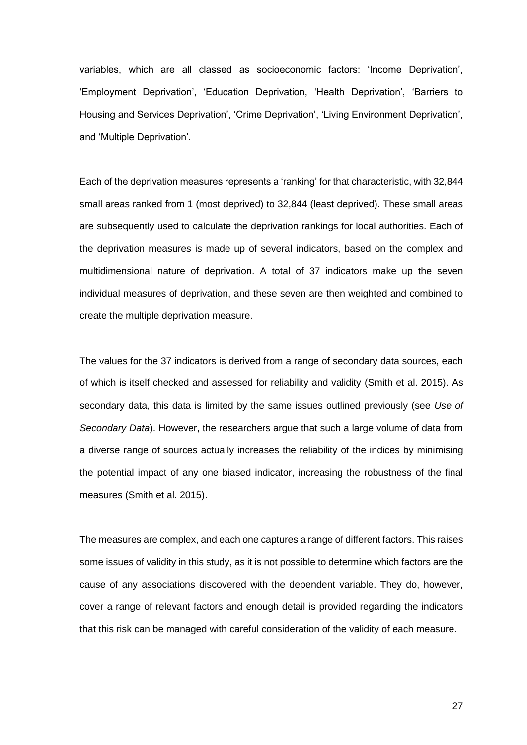variables, which are all classed as socioeconomic factors: 'Income Deprivation', 'Employment Deprivation', 'Education Deprivation, 'Health Deprivation', 'Barriers to Housing and Services Deprivation', 'Crime Deprivation', 'Living Environment Deprivation', and 'Multiple Deprivation'.

Each of the deprivation measures represents a 'ranking' for that characteristic, with 32,844 small areas ranked from 1 (most deprived) to 32,844 (least deprived). These small areas are subsequently used to calculate the deprivation rankings for local authorities. Each of the deprivation measures is made up of several indicators, based on the complex and multidimensional nature of deprivation. A total of 37 indicators make up the seven individual measures of deprivation, and these seven are then weighted and combined to create the multiple deprivation measure.

The values for the 37 indicators is derived from a range of secondary data sources, each of which is itself checked and assessed for reliability and validity [\(Smith et al. 2015\).](http://f1000.com/work/citation?ids=7997336&pre=&suf=&sa=0) As secondary data, this data is limited by the same issues outlined previously (see *Use of Secondary Data*). However, the researchers argue that such a large volume of data from a diverse range of sources actually increases the reliability of the indices by minimising the potential impact of any one biased indicator, increasing the robustness of the final measures [\(Smith et al. 2015\).](http://f1000.com/work/citation?ids=7997336&pre=&suf=&sa=0)

The measures are complex, and each one captures a range of different factors. This raises some issues of validity in this study, as it is not possible to determine which factors are the cause of any associations discovered with the dependent variable. They do, however, cover a range of relevant factors and enough detail is provided regarding the indicators that this risk can be managed with careful consideration of the validity of each measure.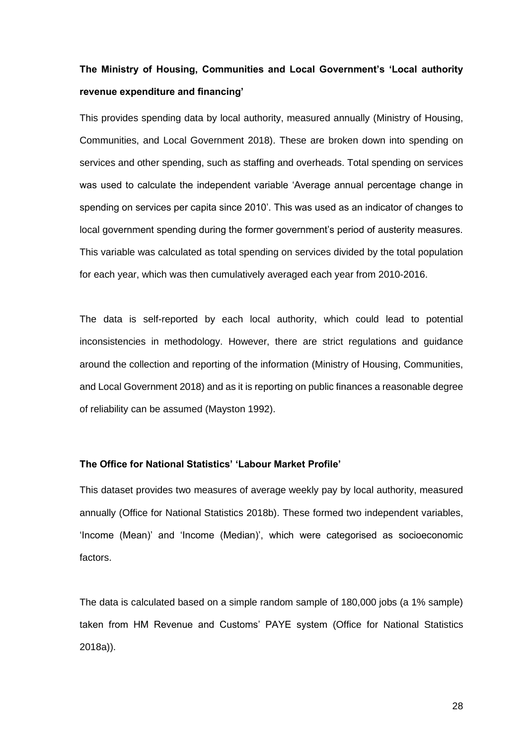## **The Ministry of Housing, Communities and Local Government's 'Local authority revenue expenditure and financing'**

This provides spending data by local authority, measured annually [\(Ministry of Housing,](http://f1000.com/work/citation?ids=6863376&pre=&suf=&sa=0)  [Communities, and Local Government 2018\).](http://f1000.com/work/citation?ids=6863376&pre=&suf=&sa=0) These are broken down into spending on services and other spending, such as staffing and overheads. Total spending on services was used to calculate the independent variable 'Average annual percentage change in spending on services per capita since 2010'. This was used as an indicator of changes to local government spending during the former government's period of austerity measures. This variable was calculated as total spending on services divided by the total population for each year, which was then cumulatively averaged each year from 2010-2016.

The data is self-reported by each local authority, which could lead to potential inconsistencies in methodology. However, there are strict regulations and guidance around the collection and reporting of the information [\(Ministry of Housing, Communities,](http://f1000.com/work/citation?ids=6863376&pre=&suf=&sa=0)  [and Local Government 2018\)](http://f1000.com/work/citation?ids=6863376&pre=&suf=&sa=0) and as it is reporting on public finances a reasonable degree of reliability can be assumed [\(Mayston 1992\).](http://f1000.com/work/citation?ids=7998874&pre=&suf=&sa=0)

### **The Office for National Statistics' 'Labour Market Profile'**

This dataset provides two measures of average weekly pay by local authority, measured annually [\(Office for National Statistics 2018b\).](http://f1000.com/work/citation?ids=7750654&pre=&suf=&sa=0) These formed two independent variables, 'Income (Mean)' and 'Income (Median)', which were categorised as socioeconomic factors.

The data is calculated based on a simple random sample of 180,000 jobs (a 1% sample) taken from HM Revenue and Customs' PAYE system [\(Office for National Statistics](http://f1000.com/work/citation?ids=7998042&pre=&suf=&sa=0)  [2018a\)\)](http://f1000.com/work/citation?ids=7998042&pre=&suf=&sa=0).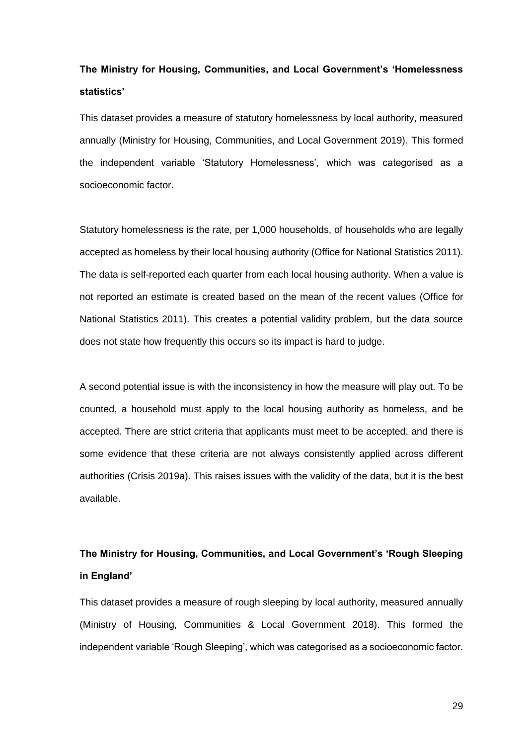# **The Ministry for Housing, Communities, and Local Government's 'Homelessness statistics'**

This dataset provides a measure of statutory homelessness by local authority, measured annually [\(Ministry for Housing, Communities, and Local Government 2019\).](http://f1000.com/work/citation?ids=6884253&pre=&suf=&sa=0) This formed the independent variable 'Statutory Homelessness', which was categorised as a socioeconomic factor.

Statutory homelessness is the rate, per 1,000 households, of households who are legally accepted as homeless by their local housing authority [\(Office for National Statistics 2011\).](http://f1000.com/work/citation?ids=7998074&pre=&suf=&sa=0) The data is self-reported each quarter from each local housing authority. When a value is not reported an estimate is created based on the mean of the recent values [\(Office for](http://f1000.com/work/citation?ids=7998074&pre=&suf=&sa=0)  [National Statistics 2011\).](http://f1000.com/work/citation?ids=7998074&pre=&suf=&sa=0) This creates a potential validity problem, but the data source does not state how frequently this occurs so its impact is hard to judge.

A second potential issue is with the inconsistency in how the measure will play out. To be counted, a household must apply to the local housing authority as homeless, and be accepted. There are strict criteria that applicants must meet to be accepted, and there is some evidence that these criteria are not always consistently applied across different authorities [\(Crisis 2019a\).](http://f1000.com/work/citation?ids=7998100&pre=&suf=&sa=0) This raises issues with the validity of the data, but it is the best available.

# **The Ministry for Housing, Communities, and Local Government's 'Rough Sleeping in England'**

This dataset provides a measure of rough sleeping by local authority, measured annually [\(Ministry of Housing, Communities & Local Government 2018\).](http://f1000.com/work/citation?ids=7998112&pre=&suf=&sa=0) This formed the independent variable 'Rough Sleeping', which was categorised as a socioeconomic factor.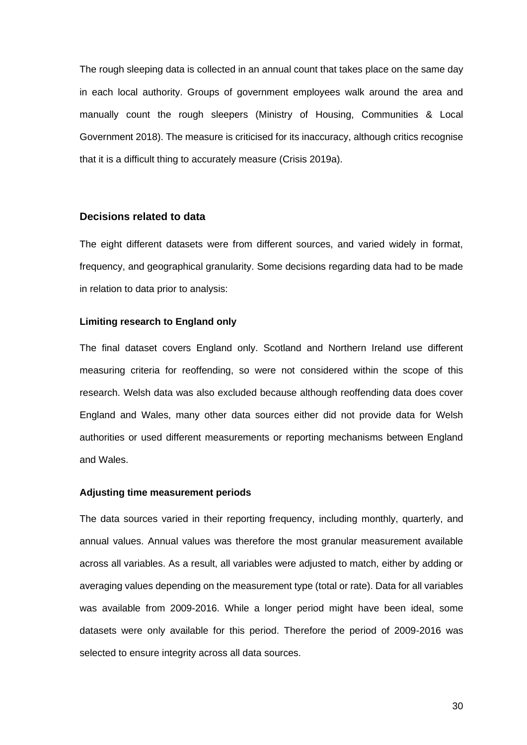The rough sleeping data is collected in an annual count that takes place on the same day in each local authority. Groups of government employees walk around the area and manually count the rough sleepers [\(Ministry of Housing, Communities & Local](http://f1000.com/work/citation?ids=7998112&pre=&suf=&sa=0) [Government 2018\).](http://f1000.com/work/citation?ids=7998112&pre=&suf=&sa=0) The measure is criticised for its inaccuracy, although critics recognise that it is a difficult thing to accurately measure [\(Crisis 2019a\).](http://f1000.com/work/citation?ids=7998100&pre=&suf=&sa=0)

#### **Decisions related to data**

The eight different datasets were from different sources, and varied widely in format, frequency, and geographical granularity. Some decisions regarding data had to be made in relation to data prior to analysis:

### **Limiting research to England only**

The final dataset covers England only. Scotland and Northern Ireland use different measuring criteria for reoffending, so were not considered within the scope of this research. Welsh data was also excluded because although reoffending data does cover England and Wales, many other data sources either did not provide data for Welsh authorities or used different measurements or reporting mechanisms between England and Wales.

### **Adjusting time measurement periods**

The data sources varied in their reporting frequency, including monthly, quarterly, and annual values. Annual values was therefore the most granular measurement available across all variables. As a result, all variables were adjusted to match, either by adding or averaging values depending on the measurement type (total or rate). Data for all variables was available from 2009-2016. While a longer period might have been ideal, some datasets were only available for this period. Therefore the period of 2009-2016 was selected to ensure integrity across all data sources.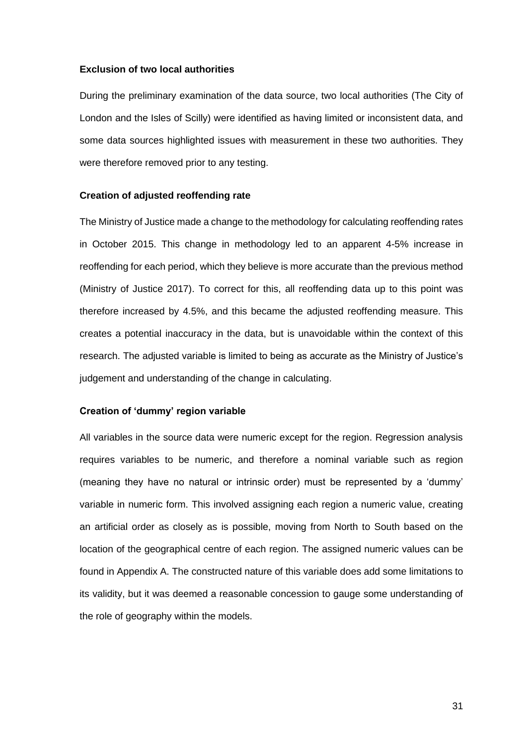#### **Exclusion of two local authorities**

During the preliminary examination of the data source, two local authorities (The City of London and the Isles of Scilly) were identified as having limited or inconsistent data, and some data sources highlighted issues with measurement in these two authorities. They were therefore removed prior to any testing.

#### **Creation of adjusted reoffending rate**

The Ministry of Justice made a change to the methodology for calculating reoffending rates in October 2015. This change in methodology led to an apparent 4-5% increase in reoffending for each period, which they believe is more accurate than the previous method [\(Ministry of Justice 2017\).](http://f1000.com/work/citation?ids=7778999&pre=&suf=&sa=0) To correct for this, all reoffending data up to this point was therefore increased by 4.5%, and this became the adjusted reoffending measure. This creates a potential inaccuracy in the data, but is unavoidable within the context of this research. The adjusted variable is limited to being as accurate as the Ministry of Justice's judgement and understanding of the change in calculating.

### **Creation of 'dummy' region variable**

All variables in the source data were numeric except for the region. Regression analysis requires variables to be numeric, and therefore a nominal variable such as region (meaning they have no natural or intrinsic order) must be represented by a 'dummy' variable in numeric form. This involved assigning each region a numeric value, creating an artificial order as closely as is possible, moving from North to South based on the location of the geographical centre of each region. The assigned numeric values can be found in Appendix A. The constructed nature of this variable does add some limitations to its validity, but it was deemed a reasonable concession to gauge some understanding of the role of geography within the models.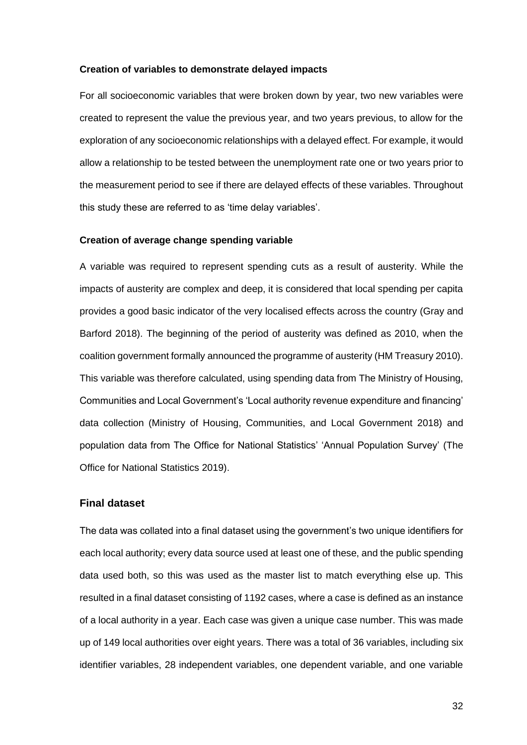### **Creation of variables to demonstrate delayed impacts**

For all socioeconomic variables that were broken down by year, two new variables were created to represent the value the previous year, and two years previous, to allow for the exploration of any socioeconomic relationships with a delayed effect. For example, it would allow a relationship to be tested between the unemployment rate one or two years prior to the measurement period to see if there are delayed effects of these variables. Throughout this study these are referred to as 'time delay variables'.

#### **Creation of average change spending variable**

A variable was required to represent spending cuts as a result of austerity. While the impacts of austerity are complex and deep, it is considered that local spending per capita provides a good basic indicator of the very localised effects across the country [\(Gray and](http://f1000.com/work/citation?ids=6863272&pre=&suf=&sa=0)  [Barford 2018\).](http://f1000.com/work/citation?ids=6863272&pre=&suf=&sa=0) The beginning of the period of austerity was defined as 2010, when the coalition government formally announced the programme of austerity [\(HM Treasury 2010\).](http://f1000.com/work/citation?ids=7998936&pre=&suf=&sa=0) This variable was therefore calculated, using spending data from The Ministry of Housing, Communities and Local Government's 'Local authority revenue expenditure and financing' data collection [\(Ministry of Housing, Communities, and Local Government 2018\)](http://f1000.com/work/citation?ids=6863376&pre=&suf=&sa=0) and population data from The Office for National Statistics' 'Annual Population Survey' [\(The](http://f1000.com/work/citation?ids=7750628&pre=&suf=&sa=0)  [Office for National Statistics 2019\).](http://f1000.com/work/citation?ids=7750628&pre=&suf=&sa=0)

### **Final dataset**

The data was collated into a final dataset using the government's two unique identifiers for each local authority; every data source used at least one of these, and the public spending data used both, so this was used as the master list to match everything else up. This resulted in a final dataset consisting of 1192 cases, where a case is defined as an instance of a local authority in a year. Each case was given a unique case number. This was made up of 149 local authorities over eight years. There was a total of 36 variables, including six identifier variables, 28 independent variables, one dependent variable, and one variable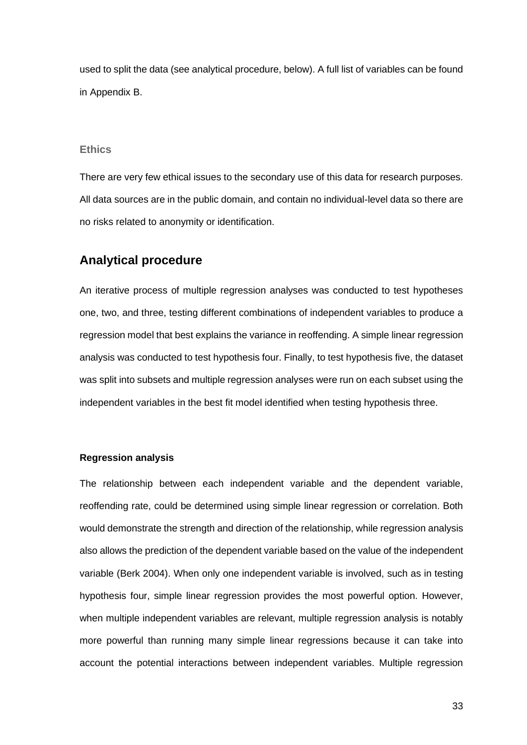used to split the data (see analytical procedure, below). A full list of variables can be found in Appendix B.

### **Ethics**

There are very few ethical issues to the secondary use of this data for research purposes. All data sources are in the public domain, and contain no individual-level data so there are no risks related to anonymity or identification.

### **Analytical procedure**

An iterative process of multiple regression analyses was conducted to test hypotheses one, two, and three, testing different combinations of independent variables to produce a regression model that best explains the variance in reoffending. A simple linear regression analysis was conducted to test hypothesis four. Finally, to test hypothesis five, the dataset was split into subsets and multiple regression analyses were run on each subset using the independent variables in the best fit model identified when testing hypothesis three.

### **Regression analysis**

The relationship between each independent variable and the dependent variable, reoffending rate, could be determined using simple linear regression or correlation. Both would demonstrate the strength and direction of the relationship, while regression analysis also allows the prediction of the dependent variable based on the value of the independent variable [\(Berk 2004\).](http://f1000.com/work/citation?ids=7725051&pre=&suf=&sa=0) When only one independent variable is involved, such as in testing hypothesis four, simple linear regression provides the most powerful option. However, when multiple independent variables are relevant, multiple regression analysis is notably more powerful than running many simple linear regressions because it can take into account the potential interactions between independent variables. Multiple regression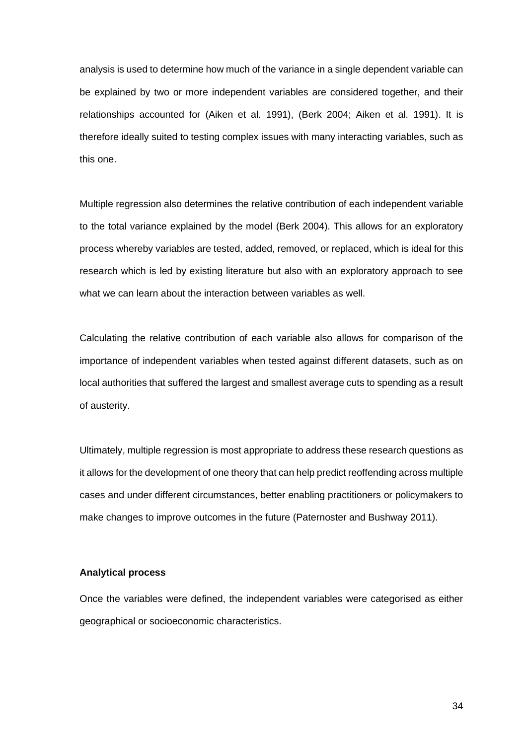analysis is used to determine how much of the variance in a single dependent variable can be explained by two or more independent variables are considered together, and their relationships accounted for [\(Aiken et al. 1991\),](http://f1000.com/work/citation?ids=7725006&pre=&suf=&sa=0) [\(Berk 2004; Aiken et al. 1991\).](http://f1000.com/work/citation?ids=7725051,7725006&pre=&pre=&suf=&suf=&sa=0,0) It is therefore ideally suited to testing complex issues with many interacting variables, such as this one.

Multiple regression also determines the relative contribution of each independent variable to the total variance explained by the model [\(Berk 2004\).](http://f1000.com/work/citation?ids=7725051&pre=&suf=&sa=0) This allows for an exploratory process whereby variables are tested, added, removed, or replaced, which is ideal for this research which is led by existing literature but also with an exploratory approach to see what we can learn about the interaction between variables as well.

Calculating the relative contribution of each variable also allows for comparison of the importance of independent variables when tested against different datasets, such as on local authorities that suffered the largest and smallest average cuts to spending as a result of austerity.

Ultimately, multiple regression is most appropriate to address these research questions as it allows for the development of one theory that can help predict reoffending across multiple cases and under different circumstances, better enabling practitioners or policymakers to make changes to improve outcomes in the future [\(Paternoster and Bushway 2011\).](http://f1000.com/work/citation?ids=7750297&pre=&suf=&sa=0)

### **Analytical process**

Once the variables were defined, the independent variables were categorised as either geographical or socioeconomic characteristics.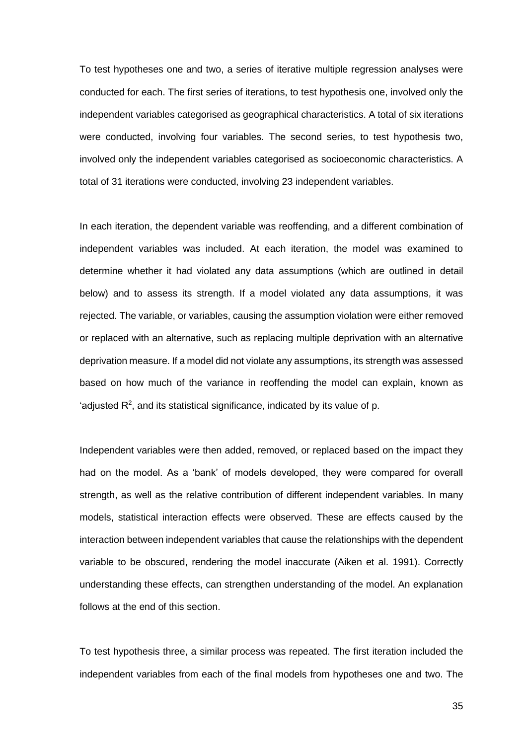To test hypotheses one and two, a series of iterative multiple regression analyses were conducted for each. The first series of iterations, to test hypothesis one, involved only the independent variables categorised as geographical characteristics. A total of six iterations were conducted, involving four variables. The second series, to test hypothesis two, involved only the independent variables categorised as socioeconomic characteristics. A total of 31 iterations were conducted, involving 23 independent variables.

In each iteration, the dependent variable was reoffending, and a different combination of independent variables was included. At each iteration, the model was examined to determine whether it had violated any data assumptions (which are outlined in detail below) and to assess its strength. If a model violated any data assumptions, it was rejected. The variable, or variables, causing the assumption violation were either removed or replaced with an alternative, such as replacing multiple deprivation with an alternative deprivation measure. If a model did not violate any assumptions, its strength was assessed based on how much of the variance in reoffending the model can explain, known as 'adjusted  $R<sup>2</sup>$ , and its statistical significance, indicated by its value of p.

Independent variables were then added, removed, or replaced based on the impact they had on the model. As a 'bank' of models developed, they were compared for overall strength, as well as the relative contribution of different independent variables. In many models, statistical interaction effects were observed. These are effects caused by the interaction between independent variables that cause the relationships with the dependent variable to be obscured, rendering the model inaccurate [\(Aiken et al. 1991\).](http://f1000.com/work/citation?ids=7725006&pre=&suf=&sa=0) Correctly understanding these effects, can strengthen understanding of the model. An explanation follows at the end of this section.

To test hypothesis three, a similar process was repeated. The first iteration included the independent variables from each of the final models from hypotheses one and two. The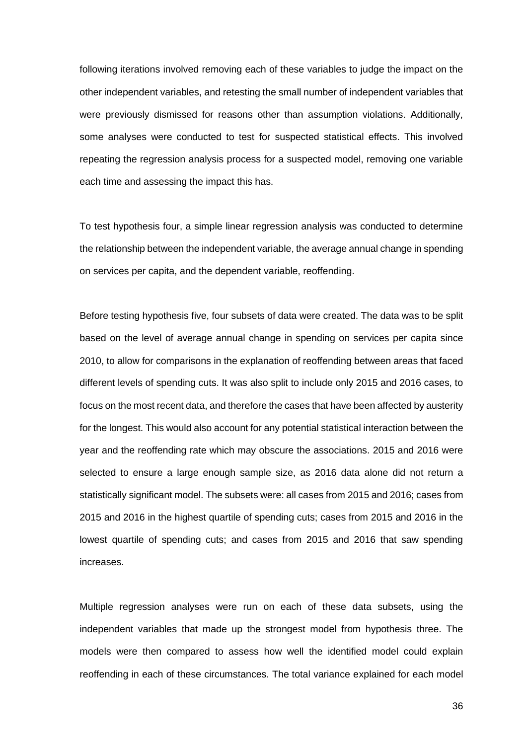following iterations involved removing each of these variables to judge the impact on the other independent variables, and retesting the small number of independent variables that were previously dismissed for reasons other than assumption violations. Additionally, some analyses were conducted to test for suspected statistical effects. This involved repeating the regression analysis process for a suspected model, removing one variable each time and assessing the impact this has.

To test hypothesis four, a simple linear regression analysis was conducted to determine the relationship between the independent variable, the average annual change in spending on services per capita, and the dependent variable, reoffending.

Before testing hypothesis five, four subsets of data were created. The data was to be split based on the level of average annual change in spending on services per capita since 2010, to allow for comparisons in the explanation of reoffending between areas that faced different levels of spending cuts. It was also split to include only 2015 and 2016 cases, to focus on the most recent data, and therefore the cases that have been affected by austerity for the longest. This would also account for any potential statistical interaction between the year and the reoffending rate which may obscure the associations. 2015 and 2016 were selected to ensure a large enough sample size, as 2016 data alone did not return a statistically significant model. The subsets were: all cases from 2015 and 2016; cases from 2015 and 2016 in the highest quartile of spending cuts; cases from 2015 and 2016 in the lowest quartile of spending cuts; and cases from 2015 and 2016 that saw spending increases.

Multiple regression analyses were run on each of these data subsets, using the independent variables that made up the strongest model from hypothesis three. The models were then compared to assess how well the identified model could explain reoffending in each of these circumstances. The total variance explained for each model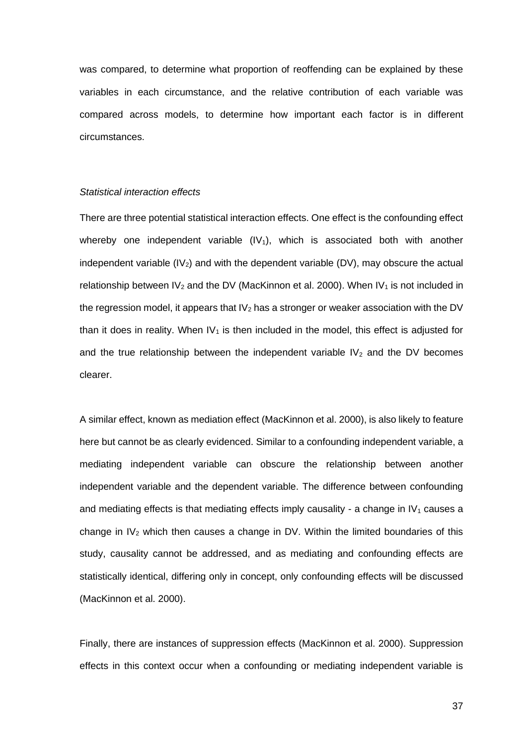was compared, to determine what proportion of reoffending can be explained by these variables in each circumstance, and the relative contribution of each variable was compared across models, to determine how important each factor is in different circumstances.

### *Statistical interaction effects*

There are three potential statistical interaction effects. One effect is the confounding effect whereby one independent variable  $(IV<sub>1</sub>)$ , which is associated both with another independent variable  $(IV<sub>2</sub>)$  and with the dependent variable (DV), may obscure the actual relationship between IV<sub>2</sub> and the DV [\(MacKinnon et al. 2000\).](http://f1000.com/work/citation?ids=2171614&pre=&suf=&sa=0) When IV<sub>1</sub> is not included in the regression model, it appears that  $IV<sub>2</sub>$  has a stronger or weaker association with the DV than it does in reality. When  $IV<sub>1</sub>$  is then included in the model, this effect is adjusted for and the true relationship between the independent variable  $IV<sub>2</sub>$  and the DV becomes clearer.

A similar effect, known as mediation effect [\(MacKinnon et al. 2000\),](http://f1000.com/work/citation?ids=2171614&pre=&suf=&sa=0) is also likely to feature here but cannot be as clearly evidenced. Similar to a confounding independent variable, a mediating independent variable can obscure the relationship between another independent variable and the dependent variable. The difference between confounding and mediating effects is that mediating effects imply causality - a change in  $IV<sub>1</sub>$  causes a change in  $IV<sub>2</sub>$  which then causes a change in DV. Within the limited boundaries of this study, causality cannot be addressed, and as mediating and confounding effects are statistically identical, differing only in concept, only confounding effects will be discussed [\(MacKinnon et al. 2000\).](http://f1000.com/work/citation?ids=2171614&pre=&suf=&sa=0)

Finally, there are instances of suppression effects [\(MacKinnon et al.](http://f1000.com/work/citation?ids=2171614&pre=&suf=&sa=0) 2000). Suppression effects in this context occur when a confounding or mediating independent variable is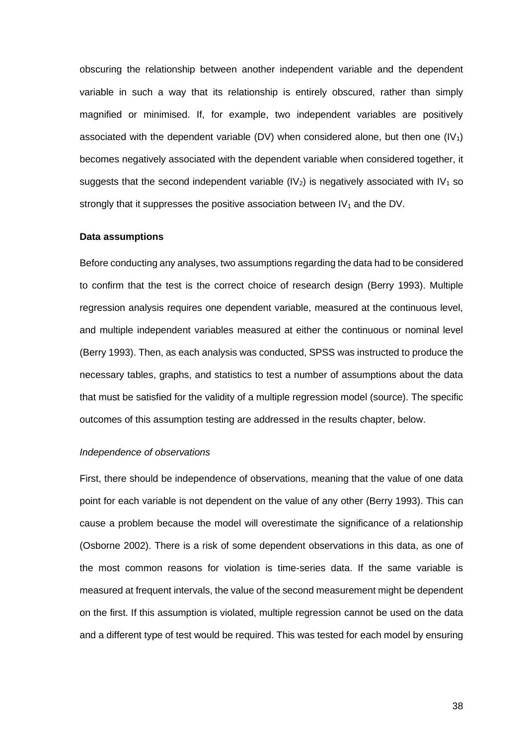obscuring the relationship between another independent variable and the dependent variable in such a way that its relationship is entirely obscured, rather than simply magnified or minimised. If, for example, two independent variables are positively associated with the dependent variable (DV) when considered alone, but then one  $(IV<sub>1</sub>)$ becomes negatively associated with the dependent variable when considered together, it suggests that the second independent variable  $(V_2)$  is negatively associated with  $V_1$  so strongly that it suppresses the positive association between  $IV<sub>1</sub>$  and the DV.

### **Data assumptions**

Before conducting any analyses, two assumptions regarding the data had to be considered to confirm that the test is the correct choice of research design [\(Berry 1993\).](http://f1000.com/work/citation?ids=7767671&pre=&suf=&sa=0) Multiple regression analysis requires one dependent variable, measured at the continuous level, and multiple independent variables measured at either the continuous or nominal level [\(Berry 1993\).](http://f1000.com/work/citation?ids=7767671&pre=&suf=&sa=0) Then, as each analysis was conducted, SPSS was instructed to produce the necessary tables, graphs, and statistics to test a number of assumptions about the data that must be satisfied for the validity of a multiple regression model (source). The specific outcomes of this assumption testing are addressed in the results chapter, below.

### *Independence of observations*

First, there should be independence of observations, meaning that the value of one data point for each variable is not dependent on the value of any other [\(Berry 1993\).](http://f1000.com/work/citation?ids=7767671&pre=&suf=&sa=0) This can cause a problem because the model will overestimate the significance of a relationship [\(Osborne 2002\).](http://f1000.com/work/citation?ids=7997957&pre=&suf=&sa=0) There is a risk of some dependent observations in this data, as one of the most common reasons for violation is time-series data. If the same variable is measured at frequent intervals, the value of the second measurement might be dependent on the first. If this assumption is violated, multiple regression cannot be used on the data and a different type of test would be required. This was tested for each model by ensuring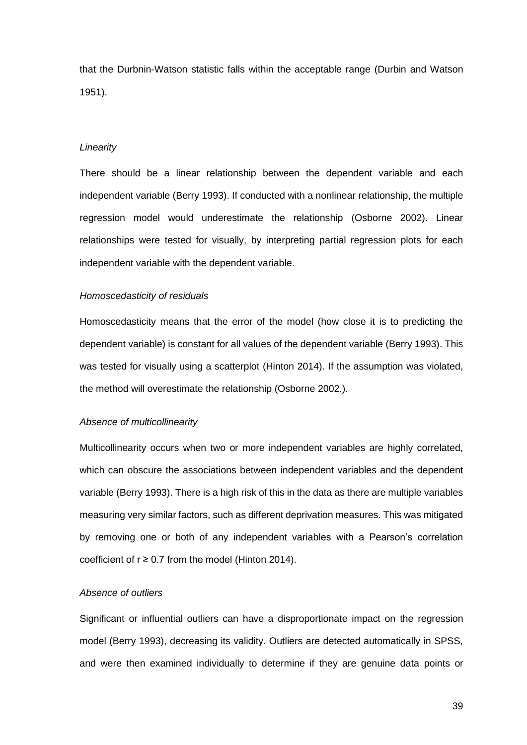that the Durbnin-Watson statistic falls within the acceptable range [\(Durbin and Watson](http://f1000.com/work/citation?ids=1019987&pre=&suf=&sa=0)  [1951\).](http://f1000.com/work/citation?ids=1019987&pre=&suf=&sa=0)

### *Linearity*

There should be a linear relationship between the dependent variable and each independent variable [\(Berry 1993\).](http://f1000.com/work/citation?ids=7767671&pre=&suf=&sa=0) If conducted with a nonlinear relationship, the multiple regression model would underestimate the relationship [\(Osborne 2002\).](http://f1000.com/work/citation?ids=7997957&pre=&suf=&sa=0) Linear relationships were tested for visually, by interpreting partial regression plots for each independent variable with the dependent variable.

### *Homoscedasticity of residuals*

Homoscedasticity means that the error of the model (how close it is to predicting the dependent variable) is constant for all values of the dependent variable [\(Berry 1993\).](http://f1000.com/work/citation?ids=7767671&pre=&suf=&sa=0) This was tested for visually using a scatterplot [\(Hinton 2014\).](http://f1000.com/work/citation?ids=6863391&pre=&suf=&sa=0) If the assumption was violated, the method will overestimate the relationship [\(Osborne 2002.\).](http://f1000.com/work/citation?ids=7997957&pre=&suf=&sa=0)

### *Absence of multicollinearity*

Multicollinearity occurs when two or more independent variables are highly correlated, which can obscure the associations between independent variables and the dependent variable [\(Berry 1993\).](http://f1000.com/work/citation?ids=7767671&pre=&suf=&sa=0) There is a high risk of this in the data as there are multiple variables measuring very similar factors, such as different deprivation measures. This was mitigated by removing one or both of any independent variables with a Pearson's correlation coefficient of  $r \ge 0.7$  from the model [\(Hinton 2014\).](http://f1000.com/work/citation?ids=6863391&pre=&suf=&sa=0)

### *Absence of outliers*

Significant or influential outliers can have a disproportionate impact on the regression model [\(Berry 1993\),](http://f1000.com/work/citation?ids=7767671&pre=&suf=&sa=0) decreasing its validity. Outliers are detected automatically in SPSS, and were then examined individually to determine if they are genuine data points or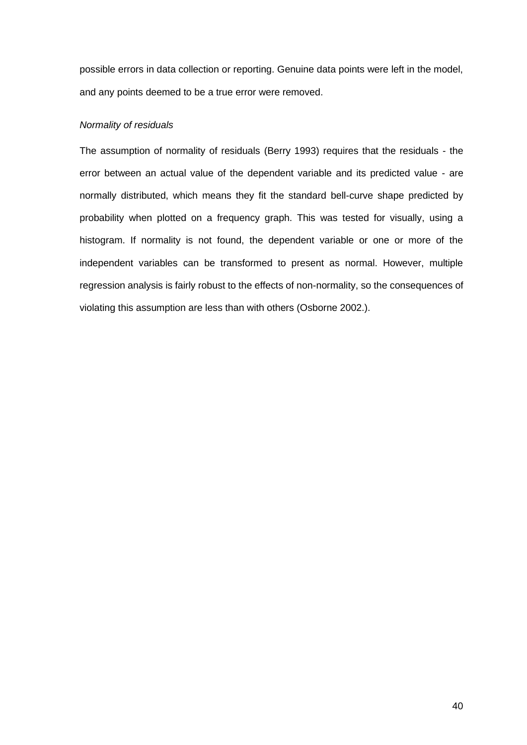possible errors in data collection or reporting. Genuine data points were left in the model, and any points deemed to be a true error were removed.

### *Normality of residuals*

The assumption of normality of residuals [\(Berry 1993\)](http://f1000.com/work/citation?ids=7767671&pre=&suf=&sa=0) requires that the residuals - the error between an actual value of the dependent variable and its predicted value - are normally distributed, which means they fit the standard bell-curve shape predicted by probability when plotted on a frequency graph. This was tested for visually, using a histogram. If normality is not found, the dependent variable or one or more of the independent variables can be transformed to present as normal. However, multiple regression analysis is fairly robust to the effects of non-normality, so the consequences of violating this assumption are less than with others [\(Osborne 2002.\).](http://f1000.com/work/citation?ids=7997957&pre=&suf=&sa=0)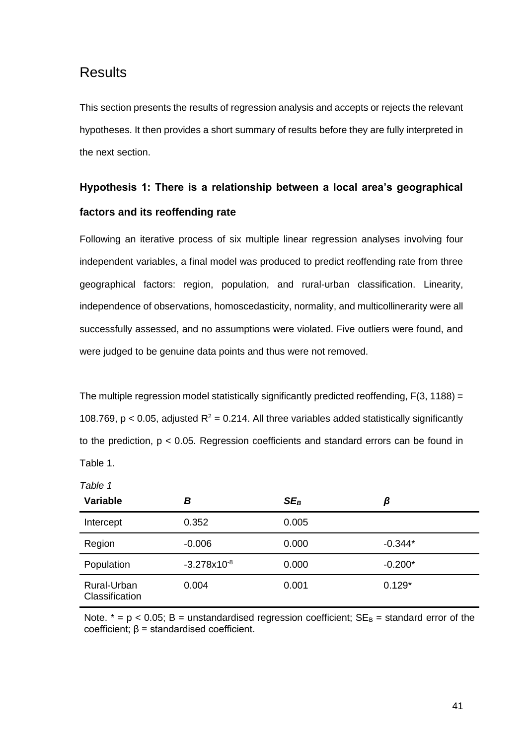# **Results**

This section presents the results of regression analysis and accepts or rejects the relevant hypotheses. It then provides a short summary of results before they are fully interpreted in the next section.

# **Hypothesis 1: There is a relationship between a local area's geographical factors and its reoffending rate**

Following an iterative process of six multiple linear regression analyses involving four independent variables, a final model was produced to predict reoffending rate from three geographical factors: region, population, and rural-urban classification. Linearity, independence of observations, homoscedasticity, normality, and multicollinerarity were all successfully assessed, and no assumptions were violated. Five outliers were found, and were judged to be genuine data points and thus were not removed.

The multiple regression model statistically significantly predicted reoffending, F(3, 1188) = 108.769, p < 0.05, adjusted  $R^2$  = 0.214. All three variables added statistically significantly to the prediction, p < 0.05. Regression coefficients and standard errors can be found in Table 1.

| abic |  |
|------|--|
|------|--|

| <b>Variable</b>               | в                | $SE_B$ | β         |
|-------------------------------|------------------|--------|-----------|
| Intercept                     | 0.352            | 0.005  |           |
| Region                        | $-0.006$         | 0.000  | $-0.344*$ |
| Population                    | $-3.278x10^{-8}$ | 0.000  | $-0.200*$ |
| Rural-Urban<br>Classification | 0.004            | 0.001  | $0.129*$  |

Note.  $* = p < 0.05$ ; B = unstandardised regression coefficient;  $SE_B =$  standard error of the coefficient; β = standardised coefficient.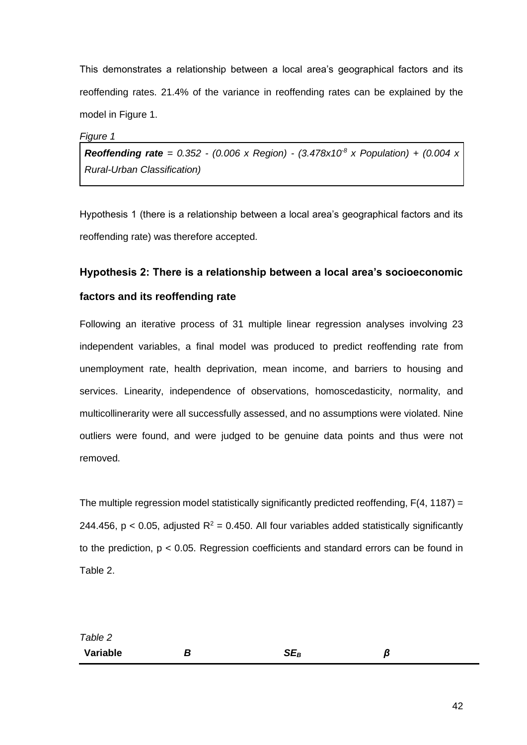This demonstrates a relationship between a local area's geographical factors and its reoffending rates. 21.4% of the variance in reoffending rates can be explained by the model in Figure 1.

*Figure 1*

*Reoffending rate* = 0.352 - (0.006 x Region) - (3.478x10<sup>8</sup> x Population) + (0.004 x *Rural-Urban Classification)*

Hypothesis 1 (there is a relationship between a local area's geographical factors and its reoffending rate) was therefore accepted.

# **Hypothesis 2: There is a relationship between a local area's socioeconomic**

# **factors and its reoffending rate**

Following an iterative process of 31 multiple linear regression analyses involving 23 independent variables, a final model was produced to predict reoffending rate from unemployment rate, health deprivation, mean income, and barriers to housing and services. Linearity, independence of observations, homoscedasticity, normality, and multicollinerarity were all successfully assessed, and no assumptions were violated. Nine outliers were found, and were judged to be genuine data points and thus were not removed.

The multiple regression model statistically significantly predicted reoffending,  $F(4, 1187) =$ 244.456, p < 0.05, adjusted  $R^2$  = 0.450. All four variables added statistically significantly to the prediction, p < 0.05. Regression coefficients and standard errors can be found in Table 2.

| Table 2  |        |   |
|----------|--------|---|
| Variable | $SE_B$ | ß |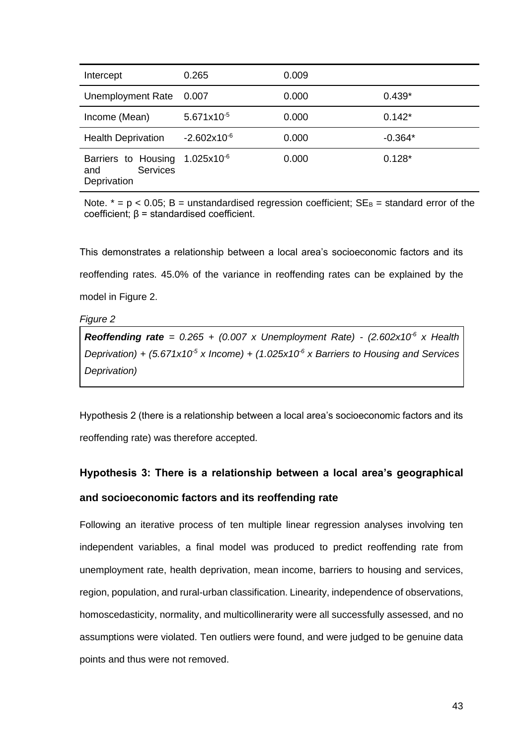| Intercept                                                    | 0.265            | 0.009 |           |
|--------------------------------------------------------------|------------------|-------|-----------|
| Unemployment Rate                                            | 0.007            | 0.000 | $0.439*$  |
| Income (Mean)                                                | $5.671x10^{-5}$  | 0.000 | $0.142*$  |
| <b>Health Deprivation</b>                                    | $-2.602x10^{-6}$ | 0.000 | $-0.364*$ |
| Barriers to Housing<br><b>Services</b><br>and<br>Deprivation | $1.025x10^{-6}$  | 0.000 | $0.128*$  |

Note.  $* = p < 0.05$ ; B = unstandardised regression coefficient;  $SE_B =$  standard error of the coefficient; β = standardised coefficient.

This demonstrates a relationship between a local area's socioeconomic factors and its reoffending rates. 45.0% of the variance in reoffending rates can be explained by the model in Figure 2.

*Figure 2*

**Reoffending rate** =  $0.265 + (0.007 \times \text{Unemboyment Rate}) - (2.602 \times 10^{-6} \times \text{Health})$ *Deprivation) + (5.671x10-5 x Income) + (1.025x10-6 x Barriers to Housing and Services Deprivation)* 

Hypothesis 2 (there is a relationship between a local area's socioeconomic factors and its reoffending rate) was therefore accepted.

# **Hypothesis 3: There is a relationship between a local area's geographical and socioeconomic factors and its reoffending rate**

Following an iterative process of ten multiple linear regression analyses involving ten independent variables, a final model was produced to predict reoffending rate from unemployment rate, health deprivation, mean income, barriers to housing and services, region, population, and rural-urban classification. Linearity, independence of observations, homoscedasticity, normality, and multicollinerarity were all successfully assessed, and no assumptions were violated. Ten outliers were found, and were judged to be genuine data points and thus were not removed.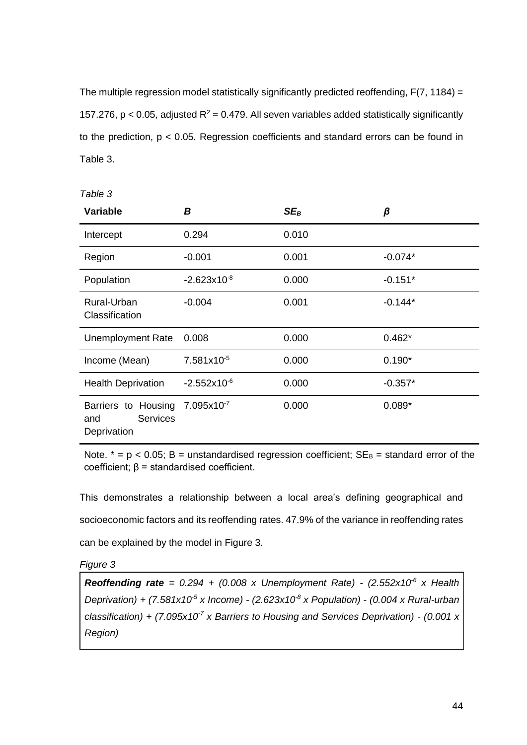The multiple regression model statistically significantly predicted reoffending, F(7, 1184) = 157.276,  $p < 0.05$ , adjusted  $R^2 = 0.479$ . All seven variables added statistically significantly to the prediction, p < 0.05. Regression coefficients and standard errors can be found in Table 3.

| <b>Variable</b>                                              | В                | $SE_B$ | β         |
|--------------------------------------------------------------|------------------|--------|-----------|
| Intercept                                                    | 0.294            | 0.010  |           |
| Region                                                       | $-0.001$         | 0.001  | $-0.074*$ |
| Population                                                   | $-2.623x10^{-8}$ | 0.000  | $-0.151*$ |
| Rural-Urban<br>Classification                                | $-0.004$         | 0.001  | $-0.144*$ |
| <b>Unemployment Rate</b>                                     | 0.008            | 0.000  | $0.462*$  |
| Income (Mean)                                                | 7.581x10-5       | 0.000  | $0.190*$  |
| <b>Health Deprivation</b>                                    | $-2.552x10^{-6}$ | 0.000  | $-0.357*$ |
| Barriers to Housing<br><b>Services</b><br>and<br>Deprivation | $7.095x10^{-7}$  | 0.000  | $0.089*$  |

Note.  $* = p < 0.05$ ; B = unstandardised regression coefficient;  $SE_B =$  standard error of the coefficient; β = standardised coefficient.

This demonstrates a relationship between a local area's defining geographical and socioeconomic factors and its reoffending rates. 47.9% of the variance in reoffending rates can be explained by the model in Figure 3.

*Figure 3*

*Table 3*

**Reoffending rate** =  $0.294 + (0.008 \times \text{Unemboyment Rate}) - (2.552 \times 10^{-6} \times \text{Health})$ *Deprivation) + (7.581x10-5 x Income) - (2.623x10-8 x Population) - (0.004 x Rural-urban classification) + (7.095x10-7 x Barriers to Housing and Services Deprivation) - (0.001 x Region)*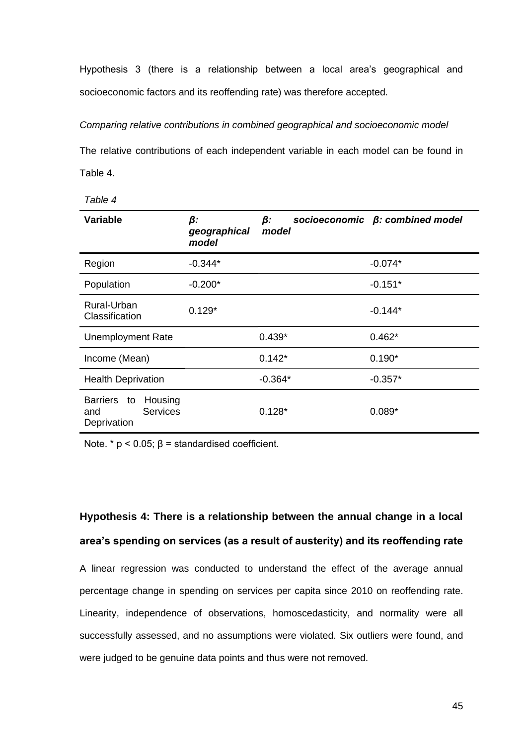Hypothesis 3 (there is a relationship between a local area's geographical and socioeconomic factors and its reoffending rate) was therefore accepted.

### *Comparing relative contributions in combined geographical and socioeconomic model*

The relative contributions of each independent variable in each model can be found in Table 4.

| able | ╱ |
|------|---|
|------|---|

| <b>Variable</b>                                                           | β:<br>geographical<br>model | β:<br>model | socioeconomic $\beta$ : combined model |
|---------------------------------------------------------------------------|-----------------------------|-------------|----------------------------------------|
| Region                                                                    | $-0.344*$                   |             | $-0.074*$                              |
| Population                                                                | $-0.200*$                   |             | $-0.151*$                              |
| Rural-Urban<br>Classification                                             | $0.129*$                    |             | $-0.144*$                              |
| <b>Unemployment Rate</b>                                                  |                             | $0.439*$    | $0.462*$                               |
| Income (Mean)                                                             |                             | $0.142*$    | $0.190*$                               |
| <b>Health Deprivation</b>                                                 |                             | $-0.364*$   | $-0.357*$                              |
| <b>Barriers</b><br>Housing<br>to<br><b>Services</b><br>and<br>Deprivation |                             | $0.128*$    | $0.089*$                               |

Note.  $* p < 0.05$ :  $\beta =$  standardised coefficient.

# **Hypothesis 4: There is a relationship between the annual change in a local area's spending on services (as a result of austerity) and its reoffending rate**

A linear regression was conducted to understand the effect of the average annual percentage change in spending on services per capita since 2010 on reoffending rate. Linearity, independence of observations, homoscedasticity, and normality were all successfully assessed, and no assumptions were violated. Six outliers were found, and were judged to be genuine data points and thus were not removed.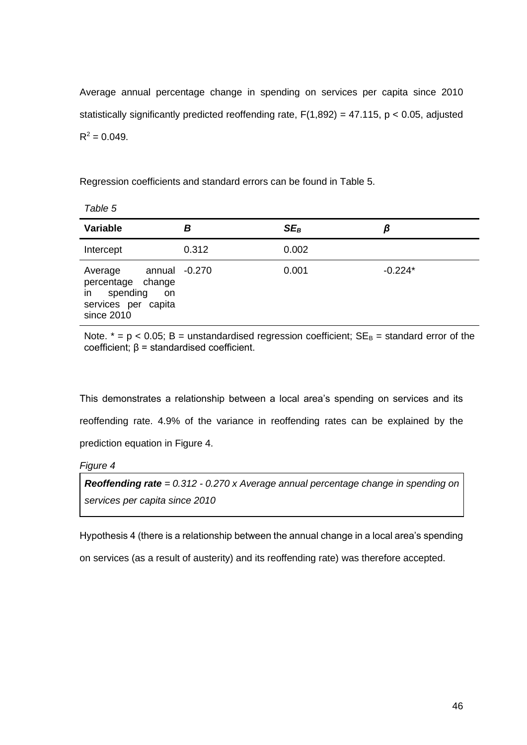Average annual percentage change in spending on services per capita since 2010 statistically significantly predicted reoffending rate,  $F(1,892) = 47.115$ ,  $p < 0.05$ , adjusted  $R^2 = 0.049$ .

Regression coefficients and standard errors can be found in Table 5.

| <b>Variable</b>                                                                                         | в     | $SE_B$ | β         |
|---------------------------------------------------------------------------------------------------------|-------|--------|-----------|
| Intercept                                                                                               | 0.312 | 0.002  |           |
| annual -0.270<br>Average<br>percentage change<br>in spending<br>on<br>services per capita<br>since 2010 |       | 0.001  | $-0.224*$ |

Note.  $* = p < 0.05$ ; B = unstandardised regression coefficient;  $SE_B =$  standard error of the coefficient; β = standardised coefficient.

This demonstrates a relationship between a local area's spending on services and its reoffending rate. 4.9% of the variance in reoffending rates can be explained by the prediction equation in Figure 4.

### *Figure 4*

*Table 5*

*Reoffending rate = 0.312 - 0.270 x Average annual percentage change in spending on services per capita since 2010*

Hypothesis 4 (there is a relationship between the annual change in a local area's spending

on services (as a result of austerity) and its reoffending rate) was therefore accepted.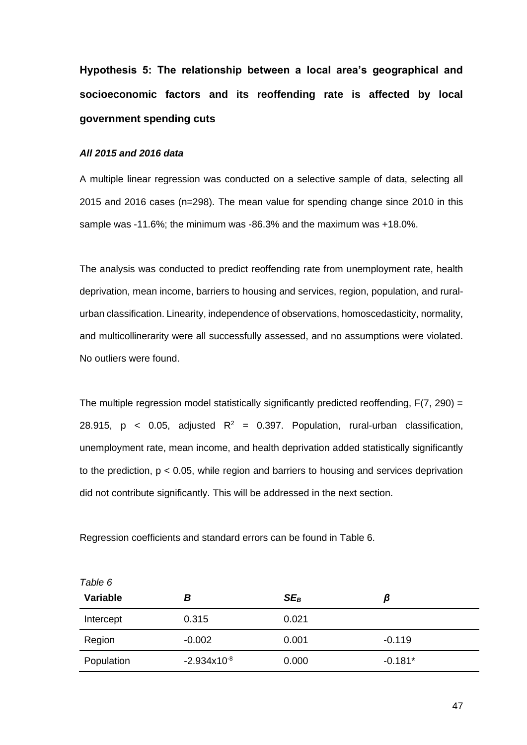**Hypothesis 5: The relationship between a local area's geographical and socioeconomic factors and its reoffending rate is affected by local government spending cuts**

### *All 2015 and 2016 data*

A multiple linear regression was conducted on a selective sample of data, selecting all 2015 and 2016 cases (n=298). The mean value for spending change since 2010 in this sample was -11.6%; the minimum was -86.3% and the maximum was +18.0%.

The analysis was conducted to predict reoffending rate from unemployment rate, health deprivation, mean income, barriers to housing and services, region, population, and ruralurban classification. Linearity, independence of observations, homoscedasticity, normality, and multicollinerarity were all successfully assessed, and no assumptions were violated. No outliers were found.

The multiple regression model statistically significantly predicted reoffending,  $F(7, 290) =$ 28.915, p < 0.05, adjusted  $R^2$  = 0.397. Population, rural-urban classification, unemployment rate, mean income, and health deprivation added statistically significantly to the prediction,  $p < 0.05$ , while region and barriers to housing and services deprivation did not contribute significantly. This will be addressed in the next section.

Regression coefficients and standard errors can be found in Table 6.

| Variable   | В                | $SE_B$ | β         |
|------------|------------------|--------|-----------|
| Intercept  | 0.315            | 0.021  |           |
| Region     | $-0.002$         | 0.001  | $-0.119$  |
| Population | $-2.934x10^{-8}$ | 0.000  | $-0.181*$ |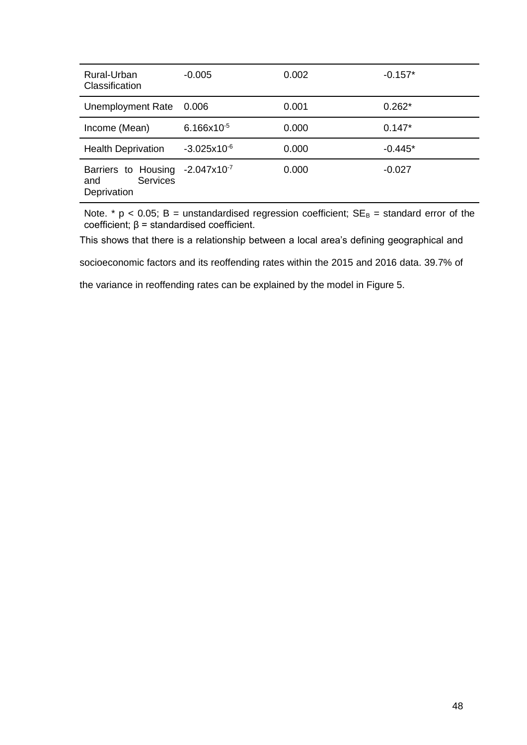| Rural-Urban<br>Classification                                | $-0.005$         | 0.002 | $-0.157*$ |
|--------------------------------------------------------------|------------------|-------|-----------|
| <b>Unemployment Rate</b>                                     | 0.006            | 0.001 | $0.262*$  |
| Income (Mean)                                                | $6.166x10^{-5}$  | 0.000 | $0.147*$  |
| <b>Health Deprivation</b>                                    | $-3.025x10^{-6}$ | 0.000 | $-0.445*$ |
| Barriers to Housing<br><b>Services</b><br>and<br>Deprivation | $-2.047x10^{-7}$ | 0.000 | $-0.027$  |

Note.  $*$  p < 0.05; B = unstandardised regression coefficient;  $SE_B$  = standard error of the coefficient; β = standardised coefficient.

This shows that there is a relationship between a local area's defining geographical and

socioeconomic factors and its reoffending rates within the 2015 and 2016 data. 39.7% of

the variance in reoffending rates can be explained by the model in Figure 5.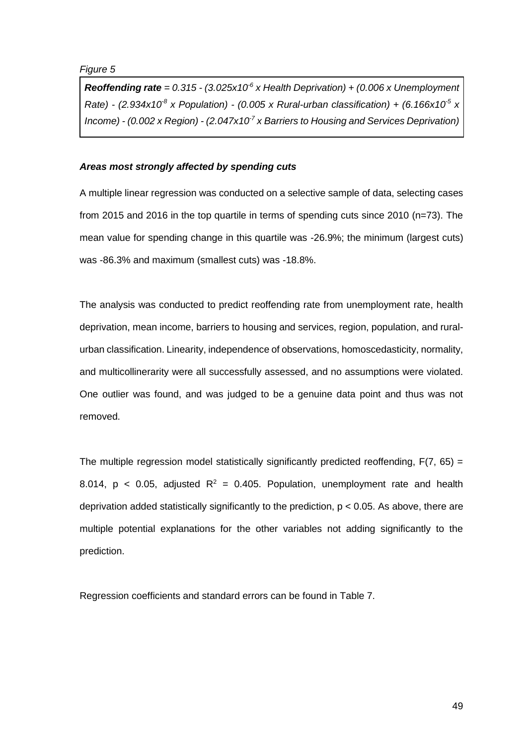*Figure 5*

*Reoffending rate* =  $0.315 - (3.025 \times 10^{-6} \text{ x}$  Health Deprivation) +  $(0.006 \text{ x}$  Unemployment *Rate)* -  $(2.934 \times 10^8 \times$  Population) -  $(0.005 \times$  Rural-urban classification) +  $(6.166 \times 10^5 \times$ *Income) - (0.002 x Region) - (2.047x10-7 x Barriers to Housing and Services Deprivation)*

# *Areas most strongly affected by spending cuts*

A multiple linear regression was conducted on a selective sample of data, selecting cases from 2015 and 2016 in the top quartile in terms of spending cuts since 2010 (n=73). The mean value for spending change in this quartile was -26.9%; the minimum (largest cuts) was -86.3% and maximum (smallest cuts) was -18.8%.

The analysis was conducted to predict reoffending rate from unemployment rate, health deprivation, mean income, barriers to housing and services, region, population, and ruralurban classification. Linearity, independence of observations, homoscedasticity, normality, and multicollinerarity were all successfully assessed, and no assumptions were violated. One outlier was found, and was judged to be a genuine data point and thus was not removed.

The multiple regression model statistically significantly predicted reoffending,  $F(7, 65) =$ 8.014,  $p < 0.05$ , adjusted  $R^2 = 0.405$ . Population, unemployment rate and health deprivation added statistically significantly to the prediction, p < 0.05. As above, there are multiple potential explanations for the other variables not adding significantly to the prediction.

Regression coefficients and standard errors can be found in Table 7.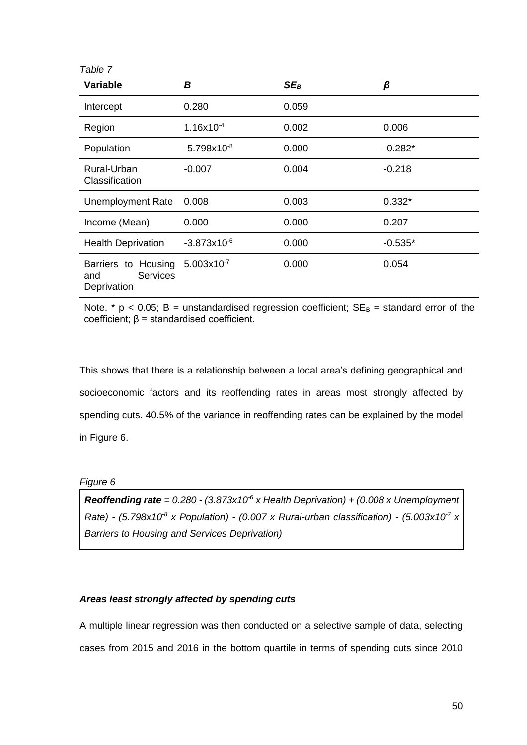| <b>Variable</b>                                              | В                | $SE_B$ | β         |
|--------------------------------------------------------------|------------------|--------|-----------|
| Intercept                                                    | 0.280            | 0.059  |           |
| Region                                                       | $1.16x10^{-4}$   | 0.002  | 0.006     |
| Population                                                   | $-5.798x10^{-8}$ | 0.000  | $-0.282*$ |
| Rural-Urban<br>Classification                                | $-0.007$         | 0.004  | $-0.218$  |
| Unemployment Rate                                            | 0.008            | 0.003  | $0.332*$  |
| Income (Mean)                                                | 0.000            | 0.000  | 0.207     |
| <b>Health Deprivation</b>                                    | $-3.873x10^{-6}$ | 0.000  | $-0.535*$ |
| Barriers to Housing<br><b>Services</b><br>and<br>Deprivation | $5.003x10^{-7}$  | 0.000  | 0.054     |

Note. \*  $p < 0.05$ ; B = unstandardised regression coefficient;  $SE_B$  = standard error of the coefficient; β = standardised coefficient.

This shows that there is a relationship between a local area's defining geographical and socioeconomic factors and its reoffending rates in areas most strongly affected by spending cuts. 40.5% of the variance in reoffending rates can be explained by the model in Figure 6.

# *Figure 6*

**Reoffending rate** =  $0.280 - (3.873 \times 10^{-6} \times \text{Health Derivation}) + (0.008 \times \text{Unemployment})$ *Rate) -* (5.798x10<sup>8</sup> x Population) - (0.007 x Rural-urban classification) - (5.003x10<sup>7</sup> x *Barriers to Housing and Services Deprivation)*

# *Areas least strongly affected by spending cuts*

A multiple linear regression was then conducted on a selective sample of data, selecting cases from 2015 and 2016 in the bottom quartile in terms of spending cuts since 2010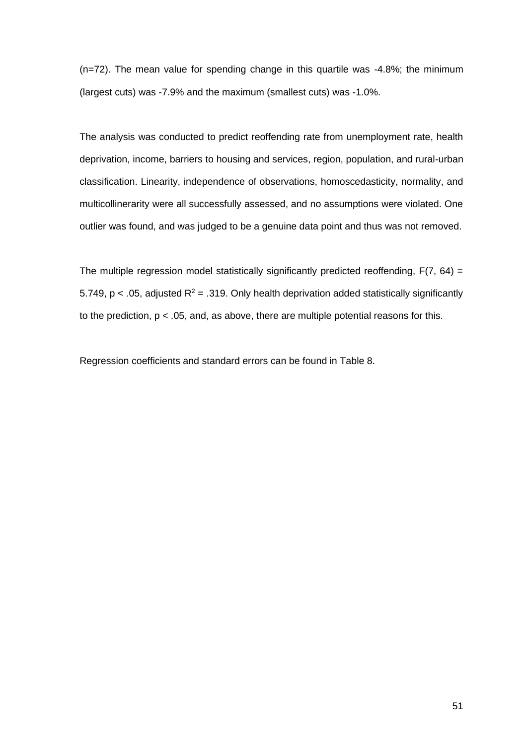(n=72). The mean value for spending change in this quartile was -4.8%; the minimum (largest cuts) was -7.9% and the maximum (smallest cuts) was -1.0%.

The analysis was conducted to predict reoffending rate from unemployment rate, health deprivation, income, barriers to housing and services, region, population, and rural-urban classification. Linearity, independence of observations, homoscedasticity, normality, and multicollinerarity were all successfully assessed, and no assumptions were violated. One outlier was found, and was judged to be a genuine data point and thus was not removed.

The multiple regression model statistically significantly predicted reoffending,  $F(7, 64) =$ 5.749, p < .05, adjusted  $R^2$  = .319. Only health deprivation added statistically significantly to the prediction,  $p < .05$ , and, as above, there are multiple potential reasons for this.

Regression coefficients and standard errors can be found in Table 8.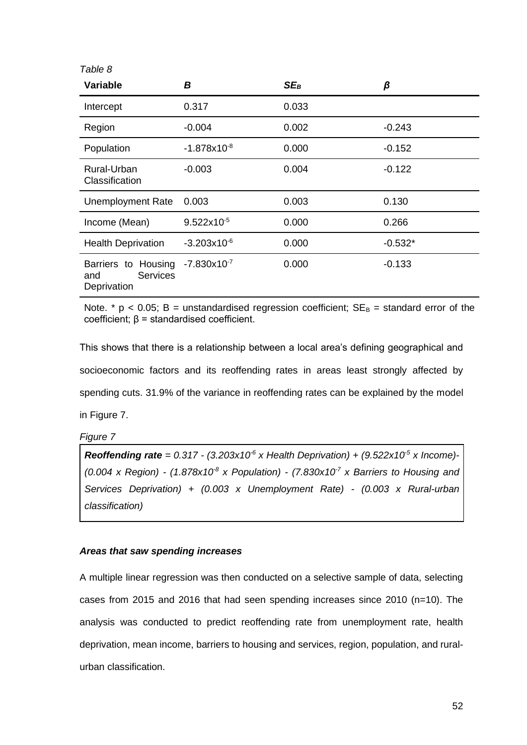| Table 8                                                      |                        |        |           |
|--------------------------------------------------------------|------------------------|--------|-----------|
| <b>Variable</b>                                              | В                      | $SE_B$ | β         |
| Intercept                                                    | 0.317                  | 0.033  |           |
| Region                                                       | $-0.004$               | 0.002  | $-0.243$  |
| Population                                                   | $-1.878x10^{-8}$       | 0.000  | $-0.152$  |
| Rural-Urban<br>Classification                                | $-0.003$               | 0.004  | $-0.122$  |
| <b>Unemployment Rate</b>                                     | 0.003                  | 0.003  | 0.130     |
| Income (Mean)                                                | $9.522 \times 10^{-5}$ | 0.000  | 0.266     |
| <b>Health Deprivation</b>                                    | $-3.203x10^{-6}$       | 0.000  | $-0.532*$ |
| Barriers to Housing<br><b>Services</b><br>and<br>Deprivation | $-7.830x10^{-7}$       | 0.000  | $-0.133$  |

Note. \*  $p < 0.05$ ; B = unstandardised regression coefficient;  $SE_B$  = standard error of the coefficient; β = standardised coefficient.

This shows that there is a relationship between a local area's defining geographical and socioeconomic factors and its reoffending rates in areas least strongly affected by spending cuts. 31.9% of the variance in reoffending rates can be explained by the model in Figure 7.

*Figure 7*

**Reoffending rate** =  $0.317 - (3.203 \times 10^{-6} \text{ x}$  Health Deprivation) +  $(9.522 \times 10^{-5} \text{ x}$  Income) *(0.004 x Region) - (1.878x10-8 x Population) - (7.830x10-7 x Barriers to Housing and Services Deprivation) + (0.003 x Unemployment Rate) - (0.003 x Rural-urban classification)* 

# *Areas that saw spending increases*

A multiple linear regression was then conducted on a selective sample of data, selecting cases from 2015 and 2016 that had seen spending increases since 2010 (n=10). The analysis was conducted to predict reoffending rate from unemployment rate, health deprivation, mean income, barriers to housing and services, region, population, and ruralurban classification.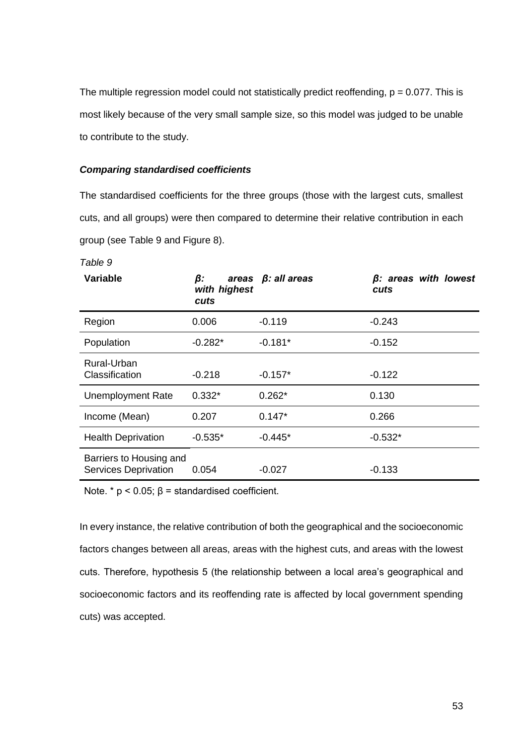The multiple regression model could not statistically predict reoffending,  $p = 0.077$ . This is most likely because of the very small sample size, so this model was judged to be unable to contribute to the study.

## *Comparing standardised coefficients*

The standardised coefficients for the three groups (those with the largest cuts, smallest cuts, and all groups) were then compared to determine their relative contribution in each group (see Table 9 and Figure 8).

| <b>Variable</b>                                        | β:<br>with highest<br>cuts | areas $\beta$ : all areas | $\beta$ : areas with lowest<br>cuts |
|--------------------------------------------------------|----------------------------|---------------------------|-------------------------------------|
| Region                                                 | 0.006                      | $-0.119$                  | $-0.243$                            |
| Population                                             | $-0.282*$                  | $-0.181*$                 | $-0.152$                            |
| Rural-Urban<br>Classification                          | $-0.218$                   | $-0.157*$                 | $-0.122$                            |
| <b>Unemployment Rate</b>                               | $0.332*$                   | $0.262*$                  | 0.130                               |
| Income (Mean)                                          | 0.207                      | $0.147*$                  | 0.266                               |
| <b>Health Deprivation</b>                              | $-0.535*$                  | $-0.445*$                 | $-0.532*$                           |
| Barriers to Housing and<br><b>Services Deprivation</b> | 0.054                      | -0.027                    | $-0.133$                            |

*Table 9*

Note. \*  $p$  < 0.05;  $β$  = standardised coefficient.

In every instance, the relative contribution of both the geographical and the socioeconomic factors changes between all areas, areas with the highest cuts, and areas with the lowest cuts. Therefore, hypothesis 5 (the relationship between a local area's geographical and socioeconomic factors and its reoffending rate is affected by local government spending cuts) was accepted.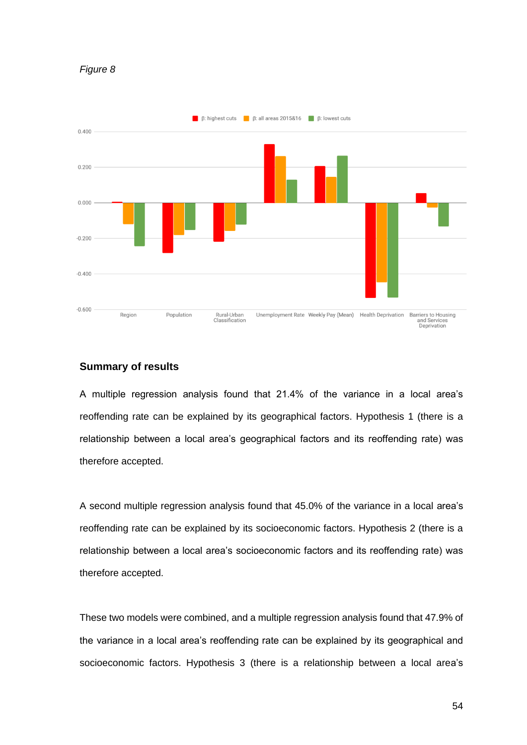



# **Summary of results**

A multiple regression analysis found that 21.4% of the variance in a local area's reoffending rate can be explained by its geographical factors. Hypothesis 1 (there is a relationship between a local area's geographical factors and its reoffending rate) was therefore accepted.

A second multiple regression analysis found that 45.0% of the variance in a local area's reoffending rate can be explained by its socioeconomic factors. Hypothesis 2 (there is a relationship between a local area's socioeconomic factors and its reoffending rate) was therefore accepted.

These two models were combined, and a multiple regression analysis found that 47.9% of the variance in a local area's reoffending rate can be explained by its geographical and socioeconomic factors. Hypothesis 3 (there is a relationship between a local area's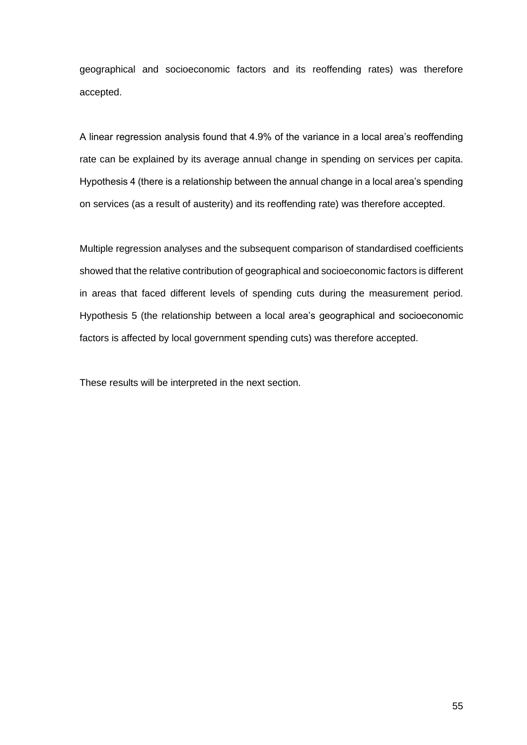geographical and socioeconomic factors and its reoffending rates) was therefore accepted.

A linear regression analysis found that 4.9% of the variance in a local area's reoffending rate can be explained by its average annual change in spending on services per capita. Hypothesis 4 (there is a relationship between the annual change in a local area's spending on services (as a result of austerity) and its reoffending rate) was therefore accepted.

Multiple regression analyses and the subsequent comparison of standardised coefficients showed that the relative contribution of geographical and socioeconomic factors is different in areas that faced different levels of spending cuts during the measurement period. Hypothesis 5 (the relationship between a local area's geographical and socioeconomic factors is affected by local government spending cuts) was therefore accepted.

These results will be interpreted in the next section.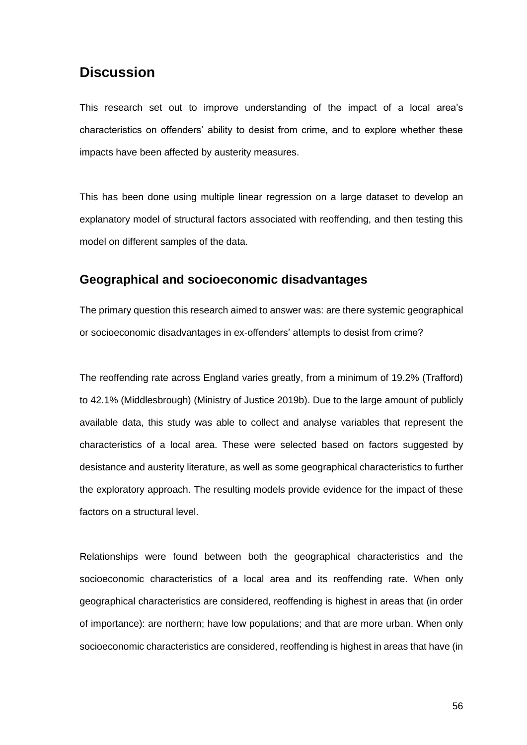# **Discussion**

This research set out to improve understanding of the impact of a local area's characteristics on offenders' ability to desist from crime, and to explore whether these impacts have been affected by austerity measures.

This has been done using multiple linear regression on a large dataset to develop an explanatory model of structural factors associated with reoffending, and then testing this model on different samples of the data.

# **Geographical and socioeconomic disadvantages**

The primary question this research aimed to answer was: are there systemic geographical or socioeconomic disadvantages in ex-offenders' attempts to desist from crime?

The reoffending rate across England varies greatly, from a minimum of 19.2% (Trafford) to 42.1% (Middlesbrough) [\(Ministry of Justice 2019b\).](http://f1000.com/work/citation?ids=6863381&pre=&suf=&sa=0) Due to the large amount of publicly available data, this study was able to collect and analyse variables that represent the characteristics of a local area. These were selected based on factors suggested by desistance and austerity literature, as well as some geographical characteristics to further the exploratory approach. The resulting models provide evidence for the impact of these factors on a structural level.

Relationships were found between both the geographical characteristics and the socioeconomic characteristics of a local area and its reoffending rate. When only geographical characteristics are considered, reoffending is highest in areas that (in order of importance): are northern; have low populations; and that are more urban. When only socioeconomic characteristics are considered, reoffending is highest in areas that have (in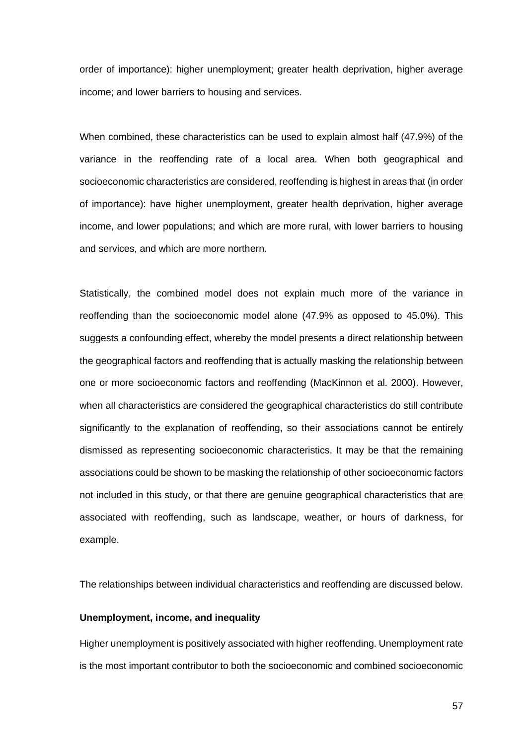order of importance): higher unemployment; greater health deprivation, higher average income; and lower barriers to housing and services.

When combined, these characteristics can be used to explain almost half (47.9%) of the variance in the reoffending rate of a local area. When both geographical and socioeconomic characteristics are considered, reoffending is highest in areas that (in order of importance): have higher unemployment, greater health deprivation, higher average income, and lower populations; and which are more rural, with lower barriers to housing and services, and which are more northern.

Statistically, the combined model does not explain much more of the variance in reoffending than the socioeconomic model alone (47.9% as opposed to 45.0%). This suggests a confounding effect, whereby the model presents a direct relationship between the geographical factors and reoffending that is actually masking the relationship between one or more socioeconomic factors and reoffending [\(MacKinnon et al. 2000\).](http://f1000.com/work/citation?ids=2171614&pre=&suf=&sa=0) However, when all characteristics are considered the geographical characteristics do still contribute significantly to the explanation of reoffending, so their associations cannot be entirely dismissed as representing socioeconomic characteristics. It may be that the remaining associations could be shown to be masking the relationship of other socioeconomic factors not included in this study, or that there are genuine geographical characteristics that are associated with reoffending, such as landscape, weather, or hours of darkness, for example.

The relationships between individual characteristics and reoffending are discussed below.

### **Unemployment, income, and inequality**

Higher unemployment is positively associated with higher reoffending. Unemployment rate is the most important contributor to both the socioeconomic and combined socioeconomic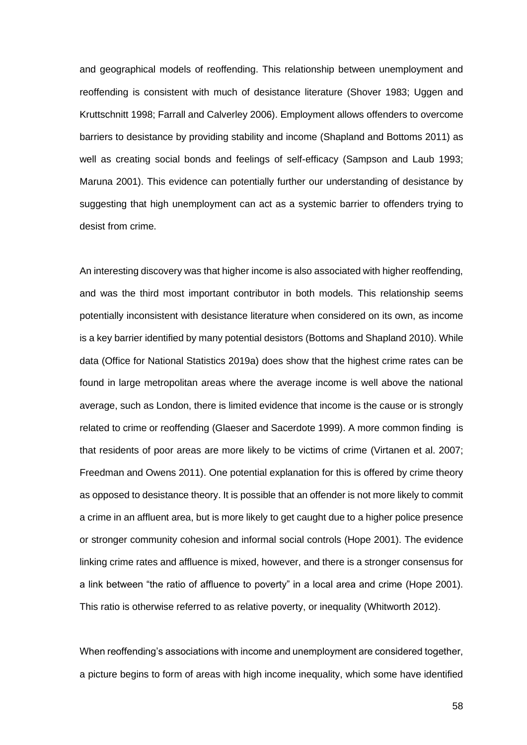and geographical models of reoffending. This relationship between unemployment and reoffending is consistent with much of desistance literature [\(Shover 1983; Uggen and](http://f1000.com/work/citation?ids=6865986,3584804&pre=&pre=&suf=&suf=&sa=0,0)  [Kruttschnitt 1998;](http://f1000.com/work/citation?ids=6865986,3584804&pre=&pre=&suf=&suf=&sa=0,0) [Farrall and Calverley 2006\).](http://f1000.com/work/citation?ids=6863284&pre=&suf=&sa=0) Employment allows offenders to overcome barriers to desistance by providing stability and income [\(Shapland and Bottoms 2011\)](http://f1000.com/work/citation?ids=7784058&pre=&suf=&sa=0) as well as creating social bonds and feelings of self-efficacy [\(Sampson and Laub 1993;](http://f1000.com/work/citation?ids=6866006,6863184&pre=&pre=&suf=&suf=&sa=0,0)  [Maruna 2001\).](http://f1000.com/work/citation?ids=6866006,6863184&pre=&pre=&suf=&suf=&sa=0,0) This evidence can potentially further our understanding of desistance by suggesting that high unemployment can act as a systemic barrier to offenders trying to desist from crime.

An interesting discovery was that higher income is also associated with higher reoffending, and was the third most important contributor in both models. This relationship seems potentially inconsistent with desistance literature when considered on its own, as income is a key barrier identified by many potential desistors [\(Bottoms and Shapland 2010\).](http://f1000.com/work/citation?ids=7784052&pre=&suf=&sa=0) While data [\(Office for National Statistics 2019a\)](http://f1000.com/work/citation?ids=7783914&pre=&suf=&sa=0) does show that the highest crime rates can be found in large metropolitan areas where the average income is well above the national average, such as London, there is limited evidence that income is the cause or is strongly related to crime or reoffending [\(Glaeser and Sacerdote 1999\).](http://f1000.com/work/citation?ids=7995690&pre=&suf=&sa=0) A more common finding is that residents of poor areas are more likely to be victims of crime [\(Virtanen et al. 2007;](http://f1000.com/work/citation?ids=7997284,1989545&pre=&pre=&suf=&suf=&sa=0,0)  [Freedman and Owens 2011\).](http://f1000.com/work/citation?ids=7997284,1989545&pre=&pre=&suf=&suf=&sa=0,0) One potential explanation for this is offered by crime theory as opposed to desistance theory. It is possible that an offender is not more likely to commit a crime in an affluent area, but is more likely to get caught due to a higher police presence or stronger community cohesion and informal social controls [\(Hope 2001\).](http://f1000.com/work/citation?ids=7997285&pre=&suf=&sa=0) The evidence linking crime rates and affluence is mixed, however, and there is a stronger consensus for a link between "the ratio of affluence to poverty" in a local area and crime [\(Hope 2001\).](http://f1000.com/work/citation?ids=7997285&pre=&suf=&sa=0) This ratio is otherwise referred to as relative poverty, or inequality [\(Whitworth 2012\).](http://f1000.com/work/citation?ids=7784164&pre=&suf=&sa=0)

When reoffending's associations with income and unemployment are considered together, a picture begins to form of areas with high income inequality, which some have identified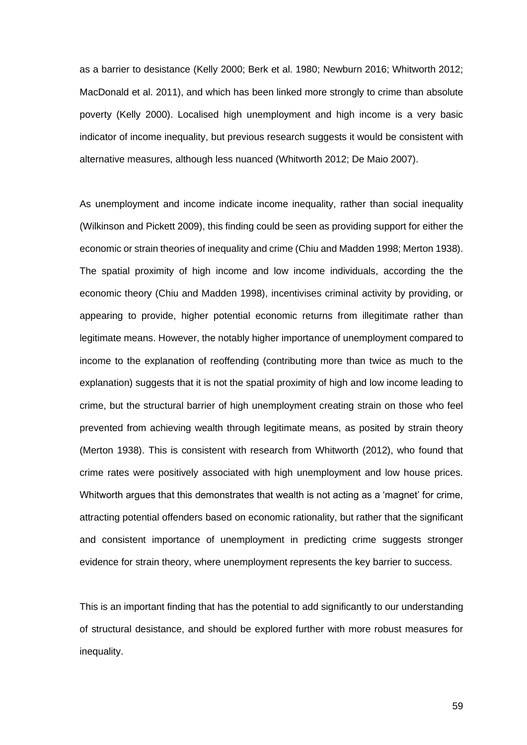as a barrier to desistance [\(Kelly 2000; Berk et al. 1980; Newburn 2016; Whitworth 2012;](http://f1000.com/work/citation?ids=4338853,7784145,7784118,7784164,7995501&pre=&pre=&pre=&pre=&pre=&suf=&suf=&suf=&suf=&suf=&sa=0,0,0,0,0)  [MacDonald et al. 2011\),](http://f1000.com/work/citation?ids=4338853,7784145,7784118,7784164,7995501&pre=&pre=&pre=&pre=&pre=&suf=&suf=&suf=&suf=&suf=&sa=0,0,0,0,0) and which has been linked more strongly to crime than absolute poverty [\(Kelly 2000\)](http://f1000.com/work/citation?ids=4338853&pre=&suf=&sa=0). Localised high unemployment and high income is a very basic indicator of income inequality, but previous research suggests it would be consistent with alternative measures, although less nuanced [\(Whitworth 2012; De Maio 2007\).](http://f1000.com/work/citation?ids=7784164,3624675&pre=&pre=&suf=&suf=&sa=0,0)

As unemployment and income indicate income inequality, rather than social inequality [\(Wilkinson and Pickett 2009\),](http://f1000.com/work/citation?ids=7995540&pre=&suf=&sa=0) this finding could be seen as providing support for either the economic or strain theories of inequality and crim[e \(Chiu and Madden 1998; Merton 1938\).](http://f1000.com/work/citation?ids=7995546,1910466&pre=&pre=&suf=&suf=&sa=0,0) The spatial proximity of high income and low income individuals, according the the economic theory [\(Chiu and Madden 1998\),](http://f1000.com/work/citation?ids=7995546&pre=&suf=&sa=0) incentivises criminal activity by providing, or appearing to provide, higher potential economic returns from illegitimate rather than legitimate means. However, the notably higher importance of unemployment compared to income to the explanation of reoffending (contributing more than twice as much to the explanation) suggests that it is not the spatial proximity of high and low income leading to crime, but the structural barrier of high unemployment creating strain on those who feel prevented from achieving wealth through legitimate means, as posited by strain theory [\(Merton 1938\).](http://f1000.com/work/citation?ids=1910466&pre=&suf=&sa=0) This is consistent with research from Whitworth (2012), who found that crime rates were positively associated with high unemployment and low house prices. Whitworth argues that this demonstrates that wealth is not acting as a 'magnet' for crime, attracting potential offenders based on economic rationality, but rather that the significant and consistent importance of unemployment in predicting crime suggests stronger evidence for strain theory, where unemployment represents the key barrier to success.

This is an important finding that has the potential to add significantly to our understanding of structural desistance, and should be explored further with more robust measures for inequality.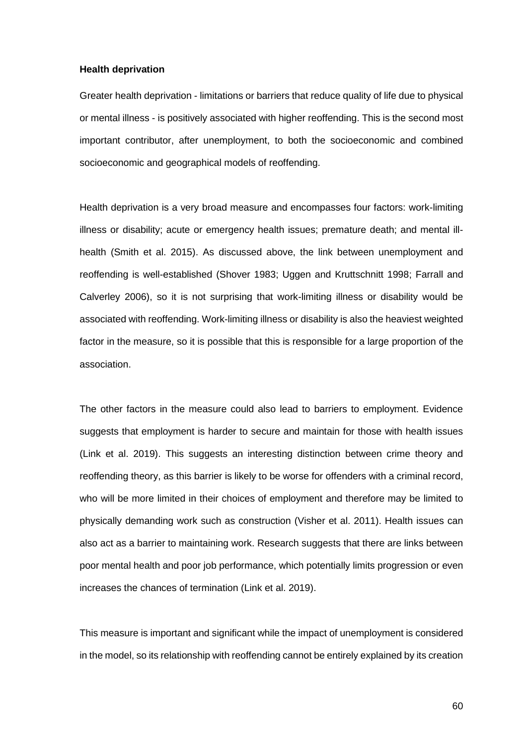#### **Health deprivation**

Greater health deprivation - limitations or barriers that reduce quality of life due to physical or mental illness - is positively associated with higher reoffending. This is the second most important contributor, after unemployment, to both the socioeconomic and combined socioeconomic and geographical models of reoffending.

Health deprivation is a very broad measure and encompasses four factors: work-limiting illness or disability; acute or emergency health issues; premature death; and mental illhealth [\(Smith et al. 2015\).](http://f1000.com/work/citation?ids=7997336&pre=&suf=&sa=0) As discussed above, the link between unemployment and reoffending is well-established [\(Shover 1983; Uggen and Kruttschnitt 1998;](http://f1000.com/work/citation?ids=6865986,3584804&pre=&pre=&suf=&suf=&sa=0,0) [Farrall and](http://f1000.com/work/citation?ids=6863284&pre=&suf=&sa=0)  [Calverley 2006\),](http://f1000.com/work/citation?ids=6863284&pre=&suf=&sa=0) so it is not surprising that work-limiting illness or disability would be associated with reoffending. Work-limiting illness or disability is also the heaviest weighted factor in the measure, so it is possible that this is responsible for a large proportion of the association.

The other factors in the measure could also lead to barriers to employment. Evidence suggests that employment is harder to secure and maintain for those with health issues [\(Link et al. 2019\).](http://f1000.com/work/citation?ids=7995616&pre=&suf=&sa=0) This suggests an interesting distinction between crime theory and reoffending theory, as this barrier is likely to be worse for offenders with a criminal record, who will be more limited in their choices of employment and therefore may be limited to physically demanding work such as construction [\(Visher et al. 2011\).](http://f1000.com/work/citation?ids=7204104&pre=&suf=&sa=0) Health issues can also act as a barrier to maintaining work. Research suggests that there are links between poor mental health and poor job performance, which potentially limits progression or even increases the chances of termination [\(Link et al. 2019\).](http://f1000.com/work/citation?ids=7995616&pre=&suf=&sa=0)

This measure is important and significant while the impact of unemployment is considered in the model, so its relationship with reoffending cannot be entirely explained by its creation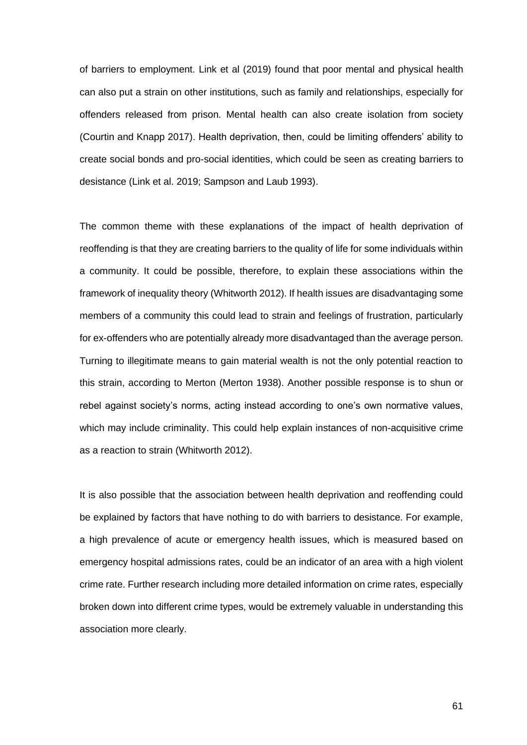of barriers to employment. Link et al [\(2019\)](http://f1000.com/work/citation?ids=7995616&pre=&suf=&sa=0) found that poor mental and physical health can also put a strain on other institutions, such as family and relationships, especially for offenders released from prison. Mental health can also create isolation from society [\(Courtin and Knapp 2017\).](http://f1000.com/work/citation?ids=4513257&pre=&suf=&sa=0) Health deprivation, then, could be limiting offenders' ability to create social bonds and pro-social identities, which could be seen as creating barriers to desistance [\(Link et al. 2019; Sampson and Laub 1993\).](http://f1000.com/work/citation?ids=7995616,6866006&pre=&pre=&suf=&suf=&sa=0,0)

The common theme with these explanations of the impact of health deprivation of reoffending is that they are creating barriers to the quality of life for some individuals within a community. It could be possible, therefore, to explain these associations within the framework of inequality theor[y \(Whitworth 2012\).](http://f1000.com/work/citation?ids=7784164&pre=&suf=&sa=0) If health issues are disadvantaging some members of a community this could lead to strain and feelings of frustration, particularly for ex-offenders who are potentially already more disadvantaged than the average person. Turning to illegitimate means to gain material wealth is not the only potential reaction to this strain, according to Merton [\(Merton 1938\).](http://f1000.com/work/citation?ids=1910466&pre=&suf=&sa=0) Another possible response is to shun or rebel against society's norms, acting instead according to one's own normative values, which may include criminality. This could help explain instances of non-acquisitive crime as a reaction to strain [\(Whitworth 2012\).](http://f1000.com/work/citation?ids=7784164&pre=&suf=&sa=0)

It is also possible that the association between health deprivation and reoffending could be explained by factors that have nothing to do with barriers to desistance. For example, a high prevalence of acute or emergency health issues, which is measured based on emergency hospital admissions rates, could be an indicator of an area with a high violent crime rate. Further research including more detailed information on crime rates, especially broken down into different crime types, would be extremely valuable in understanding this association more clearly.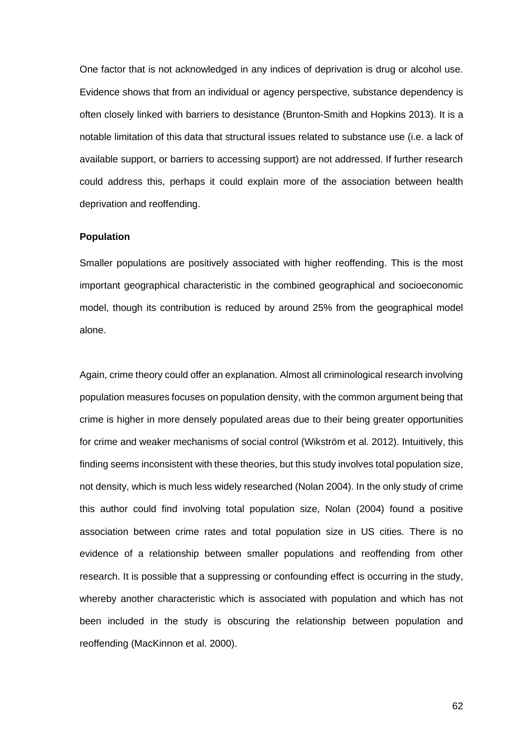One factor that is not acknowledged in any indices of deprivation is drug or alcohol use. Evidence shows that from an individual or agency perspective, substance dependency is often closely linked with barriers to desistance [\(Brunton-Smith and Hopkins 2013\).](http://f1000.com/work/citation?ids=6863286&pre=&suf=&sa=0) It is a notable limitation of this data that structural issues related to substance use (i.e. a lack of available support, or barriers to accessing support) are not addressed. If further research could address this, perhaps it could explain more of the association between health deprivation and reoffending.

### **Population**

Smaller populations are positively associated with higher reoffending. This is the most important geographical characteristic in the combined geographical and socioeconomic model, though its contribution is reduced by around 25% from the geographical model alone.

Again, crime theory could offer an explanation. Almost all criminological research involving population measures focuses on population density, with the common argument being that crime is higher in more densely populated areas due to their being greater opportunities for crime and weaker mechanisms of social control [\(Wikström et al. 2012\).](http://f1000.com/work/citation?ids=6863221&pre=&suf=&sa=0) Intuitively, this finding seems inconsistent with these theories, but this study involves total population size, not density, which is much less widely researched [\(Nolan 2004\).](http://f1000.com/work/citation?ids=7995697&pre=&suf=&sa=0) In the only study of crime this author could find involving total population size, Nolan (2004) found a positive association between crime rates and total population size in US cities. There is no evidence of a relationship between smaller populations and reoffending from other research. It is possible that a suppressing or confounding effect is occurring in the study, whereby another characteristic which is associated with population and which has not been included in the study is obscuring the relationship between population and reoffending [\(MacKinnon et al. 2000\).](http://f1000.com/work/citation?ids=2171614&pre=&suf=&sa=0)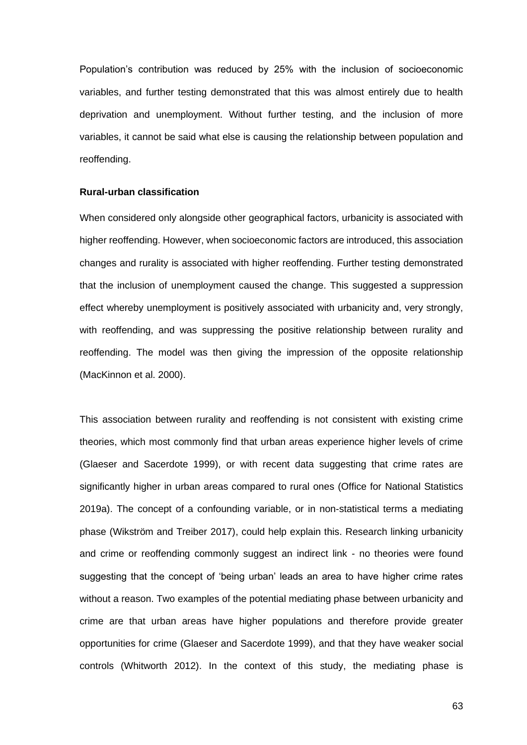Population's contribution was reduced by 25% with the inclusion of socioeconomic variables, and further testing demonstrated that this was almost entirely due to health deprivation and unemployment. Without further testing, and the inclusion of more variables, it cannot be said what else is causing the relationship between population and reoffending.

### **Rural-urban classification**

When considered only alongside other geographical factors, urbanicity is associated with higher reoffending. However, when socioeconomic factors are introduced, this association changes and rurality is associated with higher reoffending. Further testing demonstrated that the inclusion of unemployment caused the change. This suggested a suppression effect whereby unemployment is positively associated with urbanicity and, very strongly, with reoffending, and was suppressing the positive relationship between rurality and reoffending. The model was then giving the impression of the opposite relationship [\(MacKinnon et al. 2000\).](http://f1000.com/work/citation?ids=2171614&pre=&suf=&sa=0)

This association between rurality and reoffending is not consistent with existing crime theories, which most commonly find that urban areas experience higher levels of crime [\(Glaeser and Sacerdote 1999\),](http://f1000.com/work/citation?ids=7995690&pre=&suf=&sa=0) or with recent data suggesting that crime rates are significantly higher in urban areas compared to rural ones [\(Office for National Statistics](http://f1000.com/work/citation?ids=7783914&pre=&suf=&sa=0)  [2019a\).](http://f1000.com/work/citation?ids=7783914&pre=&suf=&sa=0) The concept of a confounding variable, or in non-statistical terms a mediating phase [\(Wikström and Treiber 2017\),](http://f1000.com/work/citation?ids=7783938&pre=&suf=&sa=0) could help explain this. Research linking urbanicity and crime or reoffending commonly suggest an indirect link - no theories were found suggesting that the concept of 'being urban' leads an area to have higher crime rates without a reason. Two examples of the potential mediating phase between urbanicity and crime are that urban areas have higher populations and therefore provide greater opportunities for crime [\(Glaeser and Sacerdote 1999\),](http://f1000.com/work/citation?ids=7995690&pre=&suf=&sa=0) and that they have weaker social controls [\(Whitworth 2012\).](http://f1000.com/work/citation?ids=7784164&pre=&suf=&sa=0) In the context of this study, the mediating phase is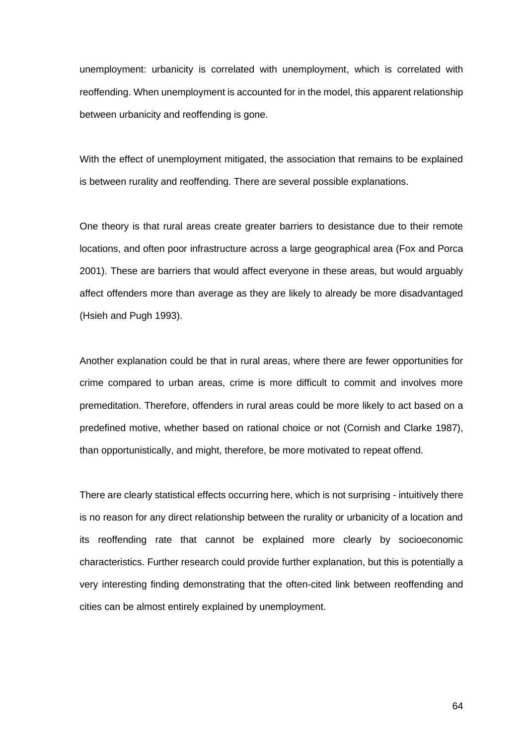unemployment: urbanicity is correlated with unemployment, which is correlated with reoffending. When unemployment is accounted for in the model, this apparent relationship between urbanicity and reoffending is gone.

With the effect of unemployment mitigated, the association that remains to be explained is between rurality and reoffending. There are several possible explanations.

One theory is that rural areas create greater barriers to desistance due to their remote locations, and often poor infrastructure across a large geographical area [\(Fox and Porca](http://f1000.com/work/citation?ids=7997405&pre=&suf=&sa=0)  [2001\).](http://f1000.com/work/citation?ids=7997405&pre=&suf=&sa=0) These are barriers that would affect everyone in these areas, but would arguably affect offenders more than average as they are likely to already be more disadvantaged [\(Hsieh and Pugh 1993\).](http://f1000.com/work/citation?ids=7999133&pre=&suf=&sa=0)

Another explanation could be that in rural areas, where there are fewer opportunities for crime compared to urban areas, crime is more difficult to commit and involves more premeditation. Therefore, offenders in rural areas could be more likely to act based on a predefined motive, whether based on rational choice or not [\(Cornish and Clarke 1987\),](http://f1000.com/work/citation?ids=8001911&pre=&suf=&sa=0) than opportunistically, and might, therefore, be more motivated to repeat offend.

There are clearly statistical effects occurring here, which is not surprising - intuitively there is no reason for any direct relationship between the rurality or urbanicity of a location and its reoffending rate that cannot be explained more clearly by socioeconomic characteristics. Further research could provide further explanation, but this is potentially a very interesting finding demonstrating that the often-cited link between reoffending and cities can be almost entirely explained by unemployment.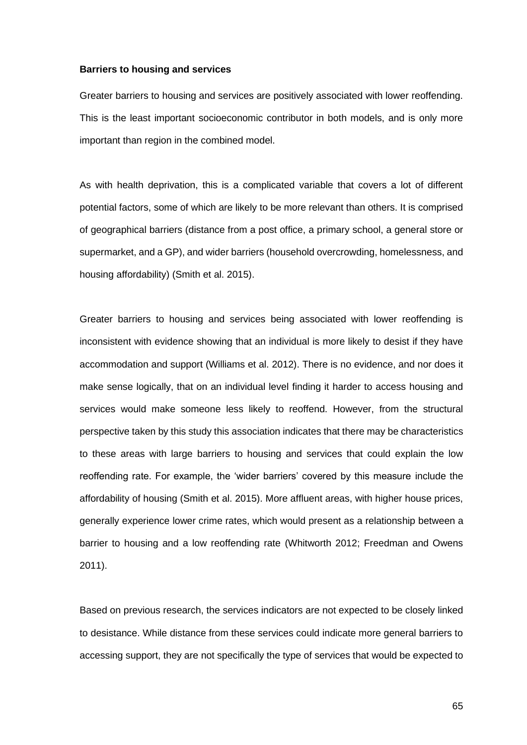### **Barriers to housing and services**

Greater barriers to housing and services are positively associated with lower reoffending. This is the least important socioeconomic contributor in both models, and is only more important than region in the combined model.

As with health deprivation, this is a complicated variable that covers a lot of different potential factors, some of which are likely to be more relevant than others. It is comprised of geographical barriers (distance from a post office, a primary school, a general store or supermarket, and a GP), and wider barriers (household overcrowding, homelessness, and housing affordability) [\(Smith et al. 2015\).](http://f1000.com/work/citation?ids=7997336&pre=&suf=&sa=0)

Greater barriers to housing and services being associated with lower reoffending is inconsistent with evidence showing that an individual is more likely to desist if they have accommodation and support [\(Williams et al. 2012\).](http://f1000.com/work/citation?ids=6863213&pre=&suf=&sa=0) There is no evidence, and nor does it make sense logically, that on an individual level finding it harder to access housing and services would make someone less likely to reoffend. However, from the structural perspective taken by this study this association indicates that there may be characteristics to these areas with large barriers to housing and services that could explain the low reoffending rate. For example, the 'wider barriers' covered by this measure include the affordability of housing [\(Smith et al. 2015\).](http://f1000.com/work/citation?ids=7997336&pre=&suf=&sa=0) More affluent areas, with higher house prices, generally experience lower crime rates, which would present as a relationship between a barrier to housing and a low reoffending rate [\(Whitworth 2012; Freedman and Owens](http://f1000.com/work/citation?ids=7784164,1989545&pre=&pre=&suf=&suf=&sa=0,0)  [2011\).](http://f1000.com/work/citation?ids=7784164,1989545&pre=&pre=&suf=&suf=&sa=0,0)

Based on previous research, the services indicators are not expected to be closely linked to desistance. While distance from these services could indicate more general barriers to accessing support, they are not specifically the type of services that would be expected to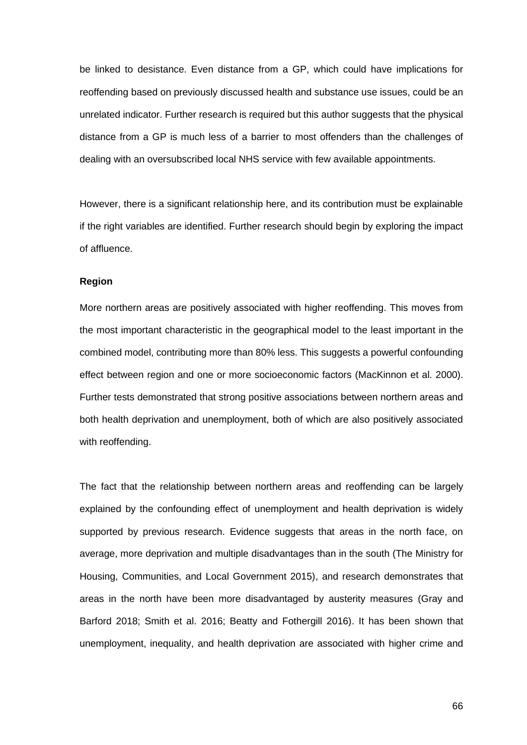be linked to desistance. Even distance from a GP, which could have implications for reoffending based on previously discussed health and substance use issues, could be an unrelated indicator. Further research is required but this author suggests that the physical distance from a GP is much less of a barrier to most offenders than the challenges of dealing with an oversubscribed local NHS service with few available appointments.

However, there is a significant relationship here, and its contribution must be explainable if the right variables are identified. Further research should begin by exploring the impact of affluence.

### **Region**

More northern areas are positively associated with higher reoffending. This moves from the most important characteristic in the geographical model to the least important in the combined model, contributing more than 80% less. This suggests a powerful confounding effect between region and one or more socioeconomic factors [\(MacKinnon et al. 2000\).](http://f1000.com/work/citation?ids=2171614&pre=&suf=&sa=0) Further tests demonstrated that strong positive associations between northern areas and both health deprivation and unemployment, both of which are also positively associated with reoffending.

The fact that the relationship between northern areas and reoffending can be largely explained by the confounding effect of unemployment and health deprivation is widely supported by previous research. Evidence suggests that areas in the north face, on average, more deprivation and multiple disadvantages than in the south [\(The Ministry for](http://f1000.com/work/citation?ids=7783973&pre=&suf=&sa=0)  [Housing, Communities, and Local Government 2015\),](http://f1000.com/work/citation?ids=7783973&pre=&suf=&sa=0) and research demonstrates that areas in the north have been more disadvantaged by austerity measures [\(Gray and](http://f1000.com/work/citation?ids=6863272,6863279,6883047&pre=&pre=&pre=&suf=&suf=&suf=&sa=0,0,0)  [Barford 2018; Smith et al. 2016; Beatty and Fothergill 2016\).](http://f1000.com/work/citation?ids=6863272,6863279,6883047&pre=&pre=&pre=&suf=&suf=&suf=&sa=0,0,0) It has been shown that unemployment, inequality, and health deprivation are associated with higher crime and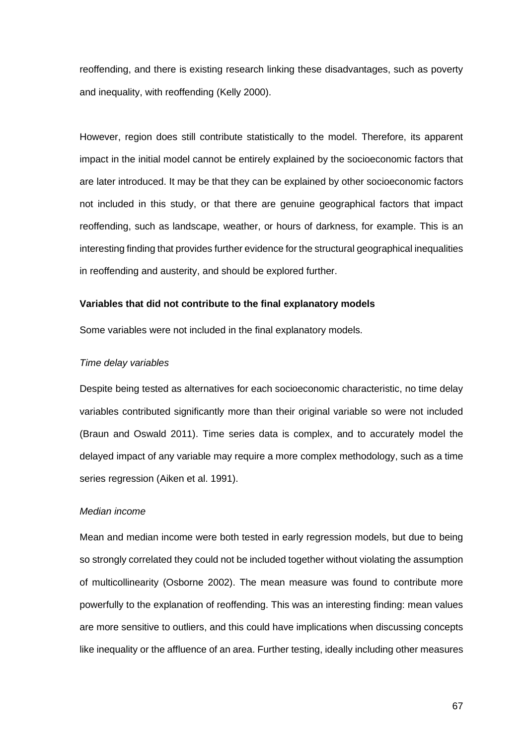reoffending, and there is existing research linking these disadvantages, such as poverty and inequality, with reoffending [\(Kelly 2000\).](http://f1000.com/work/citation?ids=4338853&pre=&suf=&sa=0)

However, region does still contribute statistically to the model. Therefore, its apparent impact in the initial model cannot be entirely explained by the socioeconomic factors that are later introduced. It may be that they can be explained by other socioeconomic factors not included in this study, or that there are genuine geographical factors that impact reoffending, such as landscape, weather, or hours of darkness, for example. This is an interesting finding that provides further evidence for the structural geographical inequalities in reoffending and austerity, and should be explored further.

### **Variables that did not contribute to the final explanatory models**

Some variables were not included in the final explanatory models.

### *Time delay variables*

Despite being tested as alternatives for each socioeconomic characteristic, no time delay variables contributed significantly more than their original variable so were not included [\(Braun and Oswald 2011\).](http://f1000.com/work/citation?ids=8001874&pre=&suf=&sa=0) Time series data is complex, and to accurately model the delayed impact of any variable may require a more complex methodology, such as a time series regression [\(Aiken et al. 1991\).](http://f1000.com/work/citation?ids=7725006&pre=&suf=&sa=0)

### *Median income*

Mean and median income were both tested in early regression models, but due to being so strongly correlated they could not be included together without violating the assumption of multicollinearity [\(Osborne 2002\).](http://f1000.com/work/citation?ids=7997957&pre=&suf=&sa=0) The mean measure was found to contribute more powerfully to the explanation of reoffending. This was an interesting finding: mean values are more sensitive to outliers, and this could have implications when discussing concepts like inequality or the affluence of an area. Further testing, ideally including other measures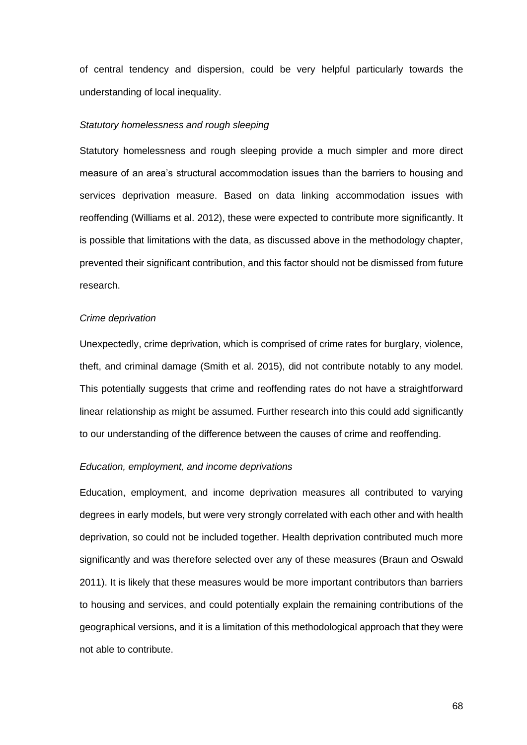of central tendency and dispersion, could be very helpful particularly towards the understanding of local inequality.

### *Statutory homelessness and rough sleeping*

Statutory homelessness and rough sleeping provide a much simpler and more direct measure of an area's structural accommodation issues than the barriers to housing and services deprivation measure. Based on data linking accommodation issues with reoffending [\(Williams et al. 2012\),](http://f1000.com/work/citation?ids=6863213&pre=&suf=&sa=0) these were expected to contribute more significantly. It is possible that limitations with the data, as discussed above in the methodology chapter, prevented their significant contribution, and this factor should not be dismissed from future research.

### *Crime deprivation*

Unexpectedly, crime deprivation, which is comprised of crime rates for burglary, violence, theft, and criminal damage [\(Smith et al. 2015\),](http://f1000.com/work/citation?ids=7997336&pre=&suf=&sa=0) did not contribute notably to any model. This potentially suggests that crime and reoffending rates do not have a straightforward linear relationship as might be assumed. Further research into this could add significantly to our understanding of the difference between the causes of crime and reoffending.

#### *Education, employment, and income deprivations*

Education, employment, and income deprivation measures all contributed to varying degrees in early models, but were very strongly correlated with each other and with health deprivation, so could not be included together. Health deprivation contributed much more significantly and was therefore selected over any of these measures [\(Braun and Oswald](http://f1000.com/work/citation?ids=8001874&pre=&suf=&sa=0)  [2011\).](http://f1000.com/work/citation?ids=8001874&pre=&suf=&sa=0) It is likely that these measures would be more important contributors than barriers to housing and services, and could potentially explain the remaining contributions of the geographical versions, and it is a limitation of this methodological approach that they were not able to contribute.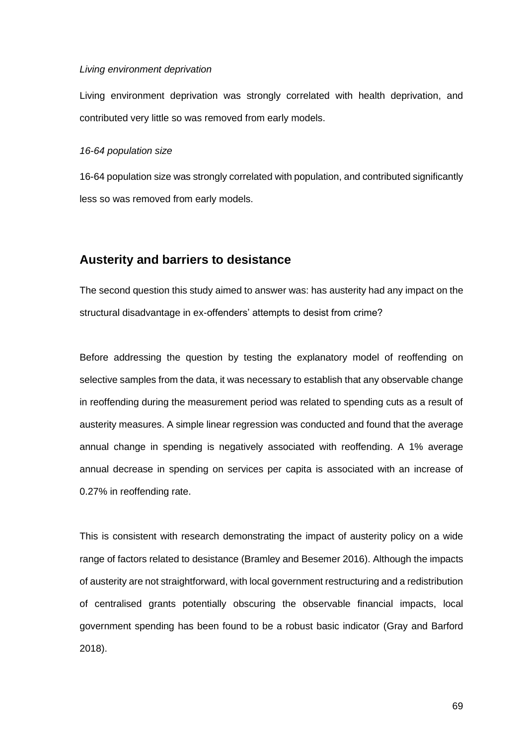#### *Living environment deprivation*

Living environment deprivation was strongly correlated with health deprivation, and contributed very little so was removed from early models.

### *16-64 population size*

16-64 population size was strongly correlated with population, and contributed significantly less so was removed from early models.

# **Austerity and barriers to desistance**

The second question this study aimed to answer was: has austerity had any impact on the structural disadvantage in ex-offenders' attempts to desist from crime?

Before addressing the question by testing the explanatory model of reoffending on selective samples from the data, it was necessary to establish that any observable change in reoffending during the measurement period was related to spending cuts as a result of austerity measures. A simple linear regression was conducted and found that the average annual change in spending is negatively associated with reoffending. A 1% average annual decrease in spending on services per capita is associated with an increase of 0.27% in reoffending rate.

This is consistent with research demonstrating the impact of austerity policy on a wide range of factors related to desistance [\(Bramley and Besemer 2016\).](http://f1000.com/work/citation?ids=6883050&pre=&suf=&sa=0) Although the impacts of austerity are not straightforward, with local government restructuring and a redistribution of centralised grants potentially obscuring the observable financial impacts, local government spending has been found to be a robust basic indicator [\(Gray and Barford](http://f1000.com/work/citation?ids=6863272&pre=&suf=&sa=0)  [2018\).](http://f1000.com/work/citation?ids=6863272&pre=&suf=&sa=0)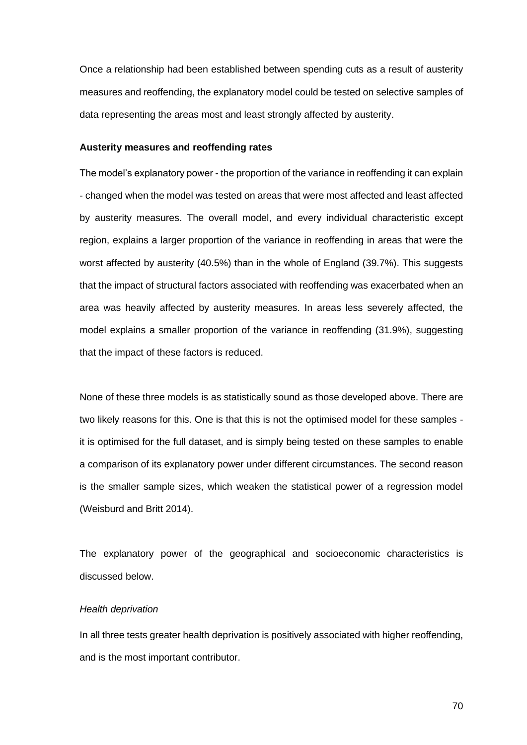Once a relationship had been established between spending cuts as a result of austerity measures and reoffending, the explanatory model could be tested on selective samples of data representing the areas most and least strongly affected by austerity.

### **Austerity measures and reoffending rates**

The model's explanatory power - the proportion of the variance in reoffending it can explain - changed when the model was tested on areas that were most affected and least affected by austerity measures. The overall model, and every individual characteristic except region, explains a larger proportion of the variance in reoffending in areas that were the worst affected by austerity (40.5%) than in the whole of England (39.7%). This suggests that the impact of structural factors associated with reoffending was exacerbated when an area was heavily affected by austerity measures. In areas less severely affected, the model explains a smaller proportion of the variance in reoffending (31.9%), suggesting that the impact of these factors is reduced.

None of these three models is as statistically sound as those developed above. There are two likely reasons for this. One is that this is not the optimised model for these samples it is optimised for the full dataset, and is simply being tested on these samples to enable a comparison of its explanatory power under different circumstances. The second reason is the smaller sample sizes, which weaken the statistical power of a regression model [\(Weisburd and Britt 2014\).](http://f1000.com/work/citation?ids=7998661&pre=&suf=&sa=0)

The explanatory power of the geographical and socioeconomic characteristics is discussed below.

### *Health deprivation*

In all three tests greater health deprivation is positively associated with higher reoffending, and is the most important contributor.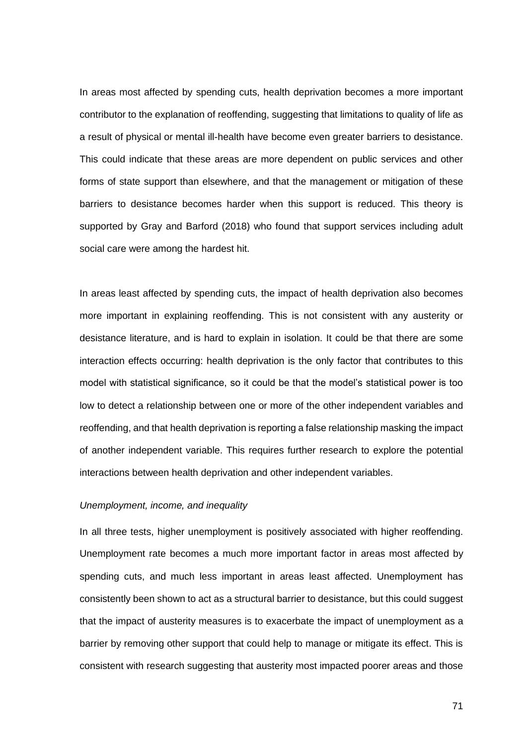In areas most affected by spending cuts, health deprivation becomes a more important contributor to the explanation of reoffending, suggesting that limitations to quality of life as a result of physical or mental ill-health have become even greater barriers to desistance. This could indicate that these areas are more dependent on public services and other forms of state support than elsewhere, and that the management or mitigation of these barriers to desistance becomes harder when this support is reduced. This theory is supported by Gray and Barford (2018) who found that support services including adult social care were among the hardest hit.

In areas least affected by spending cuts, the impact of health deprivation also becomes more important in explaining reoffending. This is not consistent with any austerity or desistance literature, and is hard to explain in isolation. It could be that there are some interaction effects occurring: health deprivation is the only factor that contributes to this model with statistical significance, so it could be that the model's statistical power is too low to detect a relationship between one or more of the other independent variables and reoffending, and that health deprivation is reporting a false relationship masking the impact of another independent variable. This requires further research to explore the potential interactions between health deprivation and other independent variables.

### *Unemployment, income, and inequality*

In all three tests, higher unemployment is positively associated with higher reoffending. Unemployment rate becomes a much more important factor in areas most affected by spending cuts, and much less important in areas least affected. Unemployment has consistently been shown to act as a structural barrier to desistance, but this could suggest that the impact of austerity measures is to exacerbate the impact of unemployment as a barrier by removing other support that could help to manage or mitigate its effect. This is consistent with research suggesting that austerity most impacted poorer areas and those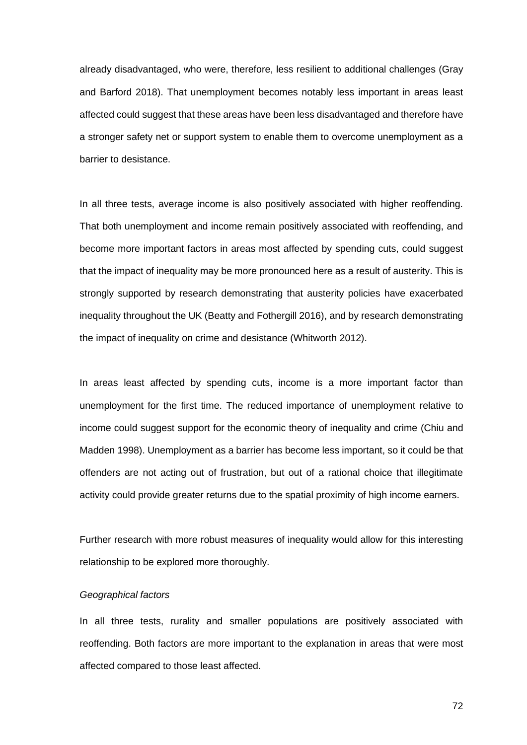already disadvantaged, who were, therefore, less resilient to additional challenges [\(Gray](http://f1000.com/work/citation?ids=6863272&pre=&suf=&sa=0)  [and Barford 2018\).](http://f1000.com/work/citation?ids=6863272&pre=&suf=&sa=0) That unemployment becomes notably less important in areas least affected could suggest that these areas have been less disadvantaged and therefore have a stronger safety net or support system to enable them to overcome unemployment as a barrier to desistance.

In all three tests, average income is also positively associated with higher reoffending. That both unemployment and income remain positively associated with reoffending, and become more important factors in areas most affected by spending cuts, could suggest that the impact of inequality may be more pronounced here as a result of austerity. This is strongly supported by research demonstrating that austerity policies have exacerbated inequality throughout the UK [\(Beatty and Fothergill 2016\),](http://f1000.com/work/citation?ids=6863266&pre=&suf=&sa=0) and by research demonstrating the impact of inequality on crime and desistance [\(Whitworth 2012\).](http://f1000.com/work/citation?ids=7784164&pre=&suf=&sa=0)

In areas least affected by spending cuts, income is a more important factor than unemployment for the first time. The reduced importance of unemployment relative to income could suggest support for the economic theory of inequality and crime [\(Chiu and](http://f1000.com/work/citation?ids=7995546&pre=&suf=&sa=0)  [Madden 1998\).](http://f1000.com/work/citation?ids=7995546&pre=&suf=&sa=0) Unemployment as a barrier has become less important, so it could be that offenders are not acting out of frustration, but out of a rational choice that illegitimate activity could provide greater returns due to the spatial proximity of high income earners.

Further research with more robust measures of inequality would allow for this interesting relationship to be explored more thoroughly.

### *Geographical factors*

In all three tests, rurality and smaller populations are positively associated with reoffending. Both factors are more important to the explanation in areas that were most affected compared to those least affected.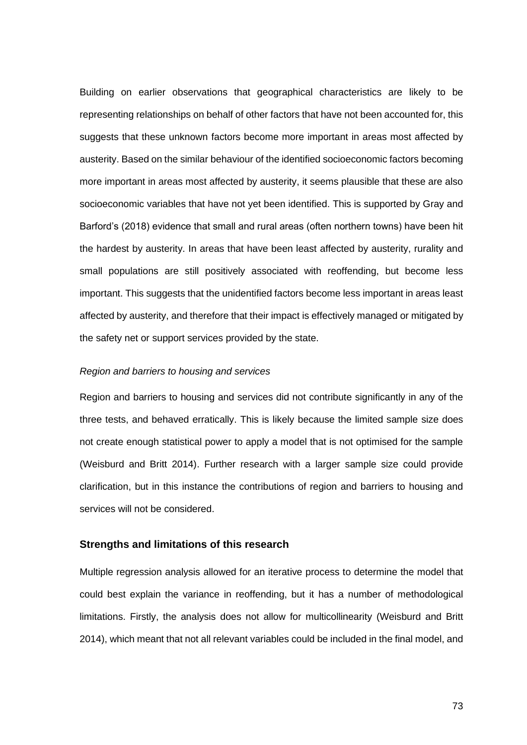Building on earlier observations that geographical characteristics are likely to be representing relationships on behalf of other factors that have not been accounted for, this suggests that these unknown factors become more important in areas most affected by austerity. Based on the similar behaviour of the identified socioeconomic factors becoming more important in areas most affected by austerity, it seems plausible that these are also socioeconomic variables that have not yet been identified. This is supported by Gray and Barford's (2018) evidence that small and rural areas (often northern towns) have been hit the hardest by austerity. In areas that have been least affected by austerity, rurality and small populations are still positively associated with reoffending, but become less important. This suggests that the unidentified factors become less important in areas least affected by austerity, and therefore that their impact is effectively managed or mitigated by the safety net or support services provided by the state.

#### *Region and barriers to housing and services*

Region and barriers to housing and services did not contribute significantly in any of the three tests, and behaved erratically. This is likely because the limited sample size does not create enough statistical power to apply a model that is not optimised for the sample [\(Weisburd and Britt 2014\).](http://f1000.com/work/citation?ids=7998661&pre=&suf=&sa=0) Further research with a larger sample size could provide clarification, but in this instance the contributions of region and barriers to housing and services will not be considered.

#### **Strengths and limitations of this research**

Multiple regression analysis allowed for an iterative process to determine the model that could best explain the variance in reoffending, but it has a number of methodological limitations. Firstly, the analysis does not allow for multicollinearity [\(Weisburd and Britt](http://f1000.com/work/citation?ids=7998661&pre=&suf=&sa=0)  [2014\),](http://f1000.com/work/citation?ids=7998661&pre=&suf=&sa=0) which meant that not all relevant variables could be included in the final model, and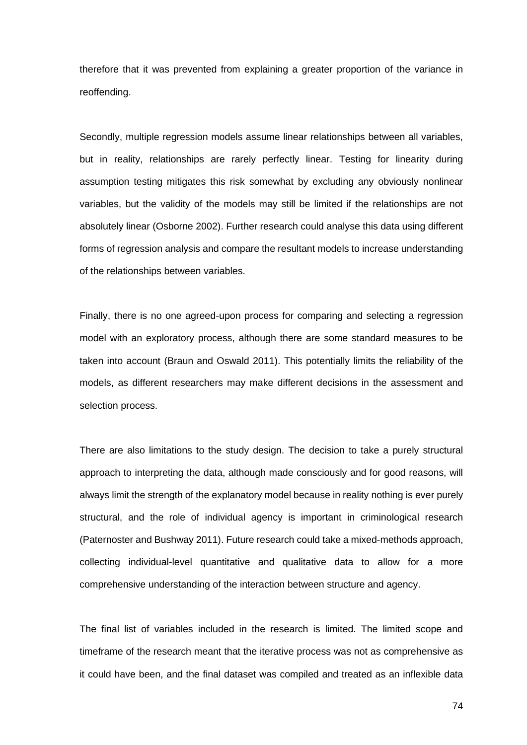therefore that it was prevented from explaining a greater proportion of the variance in reoffending.

Secondly, multiple regression models assume linear relationships between all variables, but in reality, relationships are rarely perfectly linear. Testing for linearity during assumption testing mitigates this risk somewhat by excluding any obviously nonlinear variables, but the validity of the models may still be limited if the relationships are not absolutely linear [\(Osborne 2002\).](http://f1000.com/work/citation?ids=7997957&pre=&suf=&sa=0) Further research could analyse this data using different forms of regression analysis and compare the resultant models to increase understanding of the relationships between variables.

Finally, there is no one agreed-upon process for comparing and selecting a regression model with an exploratory process, although there are some standard measures to be taken into account [\(Braun and Oswald 2011\).](http://f1000.com/work/citation?ids=8001874&pre=&suf=&sa=0) This potentially limits the reliability of the models, as different researchers may make different decisions in the assessment and selection process.

There are also limitations to the study design. The decision to take a purely structural approach to interpreting the data, although made consciously and for good reasons, will always limit the strength of the explanatory model because in reality nothing is ever purely structural, and the role of individual agency is important in criminological research [\(Paternoster and Bushway 2011\).](http://f1000.com/work/citation?ids=7750297&pre=&suf=&sa=0) Future research could take a mixed-methods approach, collecting individual-level quantitative and qualitative data to allow for a more comprehensive understanding of the interaction between structure and agency.

The final list of variables included in the research is limited. The limited scope and timeframe of the research meant that the iterative process was not as comprehensive as it could have been, and the final dataset was compiled and treated as an inflexible data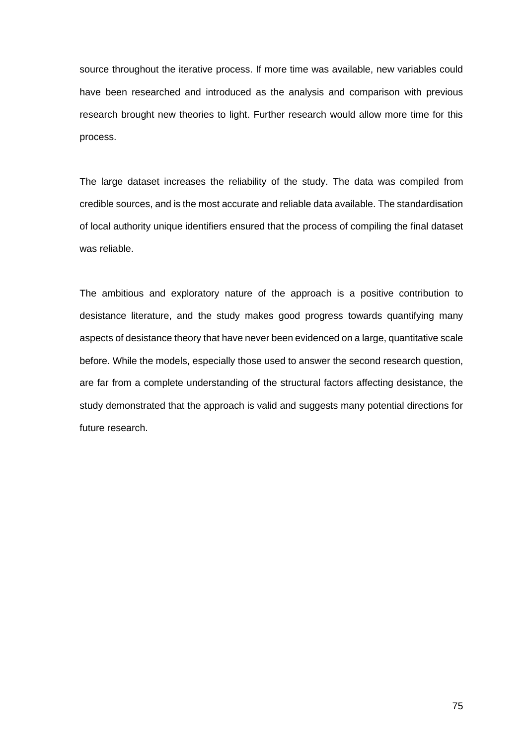source throughout the iterative process. If more time was available, new variables could have been researched and introduced as the analysis and comparison with previous research brought new theories to light. Further research would allow more time for this process.

The large dataset increases the reliability of the study. The data was compiled from credible sources, and is the most accurate and reliable data available. The standardisation of local authority unique identifiers ensured that the process of compiling the final dataset was reliable.

The ambitious and exploratory nature of the approach is a positive contribution to desistance literature, and the study makes good progress towards quantifying many aspects of desistance theory that have never been evidenced on a large, quantitative scale before. While the models, especially those used to answer the second research question, are far from a complete understanding of the structural factors affecting desistance, the study demonstrated that the approach is valid and suggests many potential directions for future research.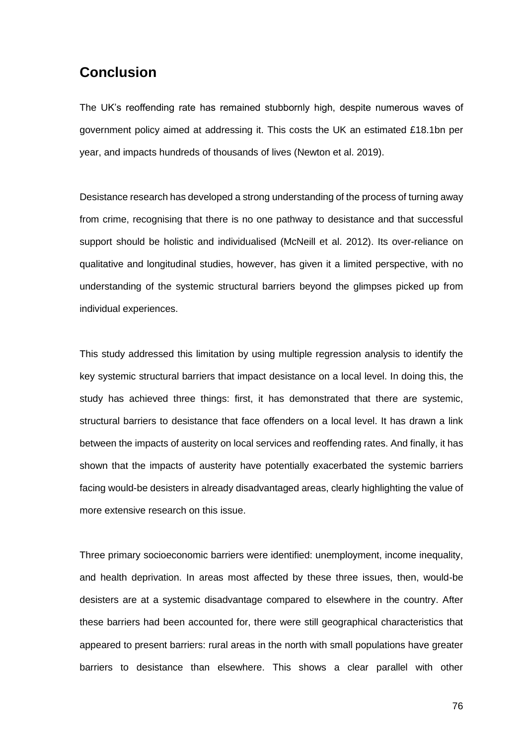### **Conclusion**

The UK's reoffending rate has remained stubbornly high, despite numerous waves of government policy aimed at addressing it. This costs the UK an estimated £18.1bn per year, and impacts hundreds of thousands of lives [\(Newton et al. 2019\).](http://f1000.com/work/citation?ids=8014982&pre=&suf=&sa=0)

Desistance research has developed a strong understanding of the process of turning away from crime, recognising that there is no one pathway to desistance and that successful support should be holistic and individualised [\(McNeill et al. 2012\).](http://f1000.com/work/citation?ids=6863283&pre=&suf=&sa=0) Its over-reliance on qualitative and longitudinal studies, however, has given it a limited perspective, with no understanding of the systemic structural barriers beyond the glimpses picked up from individual experiences.

This study addressed this limitation by using multiple regression analysis to identify the key systemic structural barriers that impact desistance on a local level. In doing this, the study has achieved three things: first, it has demonstrated that there are systemic, structural barriers to desistance that face offenders on a local level. It has drawn a link between the impacts of austerity on local services and reoffending rates. And finally, it has shown that the impacts of austerity have potentially exacerbated the systemic barriers facing would-be desisters in already disadvantaged areas, clearly highlighting the value of more extensive research on this issue.

Three primary socioeconomic barriers were identified: unemployment, income inequality, and health deprivation. In areas most affected by these three issues, then, would-be desisters are at a systemic disadvantage compared to elsewhere in the country. After these barriers had been accounted for, there were still geographical characteristics that appeared to present barriers: rural areas in the north with small populations have greater barriers to desistance than elsewhere. This shows a clear parallel with other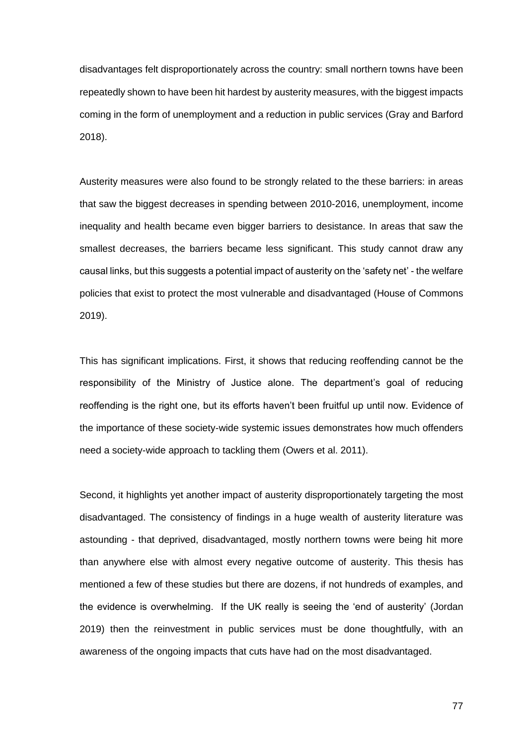disadvantages felt disproportionately across the country: small northern towns have been repeatedly shown to have been hit hardest by austerity measures, with the biggest impacts coming in the form of unemployment and a reduction in public services [\(Gray and Barford](http://f1000.com/work/citation?ids=6863272&pre=&suf=&sa=0)  [2018\).](http://f1000.com/work/citation?ids=6863272&pre=&suf=&sa=0)

Austerity measures were also found to be strongly related to the these barriers: in areas that saw the biggest decreases in spending between 2010-2016, unemployment, income inequality and health became even bigger barriers to desistance. In areas that saw the smallest decreases, the barriers became less significant. This study cannot draw any causal links, but this suggests a potential impact of austerity on the 'safety net' - the welfare policies that exist to protect the most vulnerable and disadvantaged [\(House of Commons](http://f1000.com/work/citation?ids=8015109&pre=&suf=&sa=0)  [2019\).](http://f1000.com/work/citation?ids=8015109&pre=&suf=&sa=0)

This has significant implications. First, it shows that reducing reoffending cannot be the responsibility of the Ministry of Justice alone. The department's goal of reducing reoffending is the right one, but its efforts haven't been fruitful up until now. Evidence of the importance of these society-wide systemic issues demonstrates how much offenders need a society-wide approach to tackling them [\(Owers et al. 2011\).](http://f1000.com/work/citation?ids=6863281&pre=&suf=&sa=0)

Second, it highlights yet another impact of austerity disproportionately targeting the most disadvantaged. The consistency of findings in a huge wealth of austerity literature was astounding - that deprived, disadvantaged, mostly northern towns were being hit more than anywhere else with almost every negative outcome of austerity. This thesis has mentioned a few of these studies but there are dozens, if not hundreds of examples, and the evidence is overwhelming. If the UK really is seeing the 'end of austerity' [\(Jordan](http://f1000.com/work/citation?ids=8015118&pre=&suf=&sa=0)  [2019\)](http://f1000.com/work/citation?ids=8015118&pre=&suf=&sa=0) then the reinvestment in public services must be done thoughtfully, with an awareness of the ongoing impacts that cuts have had on the most disadvantaged.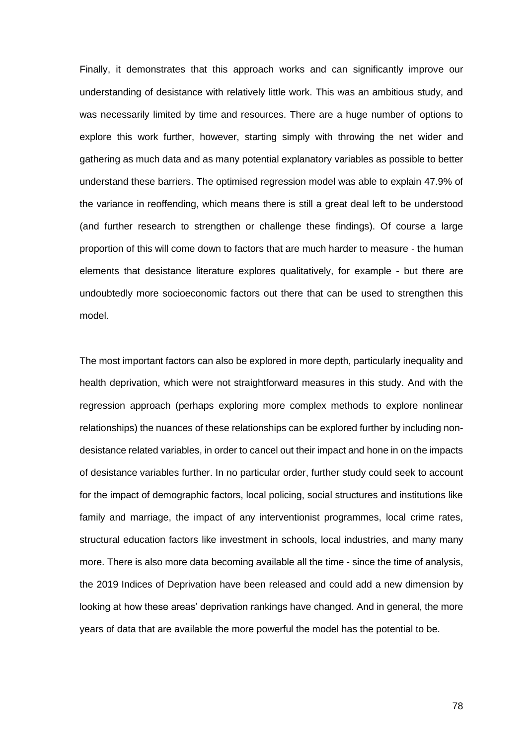Finally, it demonstrates that this approach works and can significantly improve our understanding of desistance with relatively little work. This was an ambitious study, and was necessarily limited by time and resources. There are a huge number of options to explore this work further, however, starting simply with throwing the net wider and gathering as much data and as many potential explanatory variables as possible to better understand these barriers. The optimised regression model was able to explain 47.9% of the variance in reoffending, which means there is still a great deal left to be understood (and further research to strengthen or challenge these findings). Of course a large proportion of this will come down to factors that are much harder to measure - the human elements that desistance literature explores qualitatively, for example - but there are undoubtedly more socioeconomic factors out there that can be used to strengthen this model.

The most important factors can also be explored in more depth, particularly inequality and health deprivation, which were not straightforward measures in this study. And with the regression approach (perhaps exploring more complex methods to explore nonlinear relationships) the nuances of these relationships can be explored further by including nondesistance related variables, in order to cancel out their impact and hone in on the impacts of desistance variables further. In no particular order, further study could seek to account for the impact of demographic factors, local policing, social structures and institutions like family and marriage, the impact of any interventionist programmes, local crime rates, structural education factors like investment in schools, local industries, and many many more. There is also more data becoming available all the time - since the time of analysis, the 2019 Indices of Deprivation have been released and could add a new dimension by looking at how these areas' deprivation rankings have changed. And in general, the more years of data that are available the more powerful the model has the potential to be.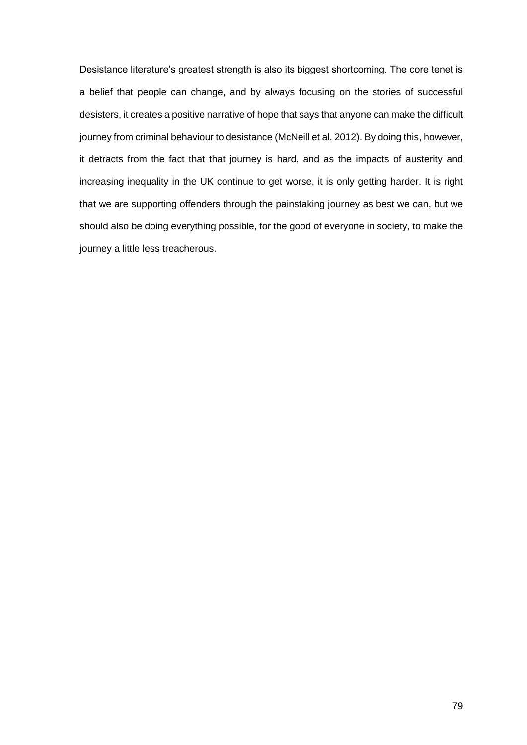Desistance literature's greatest strength is also its biggest shortcoming. The core tenet is a belief that people can change, and by always focusing on the stories of successful desisters, it creates a positive narrative of hope that says that anyone can make the difficult journey from criminal behaviour to desistance [\(McNeill et al. 2012\).](http://f1000.com/work/citation?ids=6863283&pre=&suf=&sa=0) By doing this, however, it detracts from the fact that that journey is hard, and as the impacts of austerity and increasing inequality in the UK continue to get worse, it is only getting harder. It is right that we are supporting offenders through the painstaking journey as best we can, but we should also be doing everything possible, for the good of everyone in society, to make the journey a little less treacherous.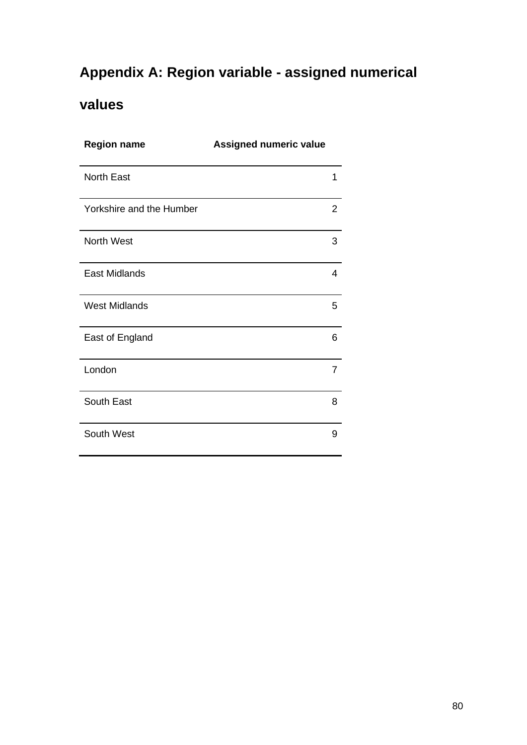## **Appendix A: Region variable - assigned numerical**

## **values**

| <b>Region name</b>       | Assigned numeric value |
|--------------------------|------------------------|
| <b>North East</b>        | 1                      |
| Yorkshire and the Humber | $\overline{2}$         |
| North West               | 3                      |
| <b>East Midlands</b>     | 4                      |
| <b>West Midlands</b>     | 5                      |
| East of England          | 6                      |
| London                   | 7                      |
| South East               | 8                      |
| South West               | 9                      |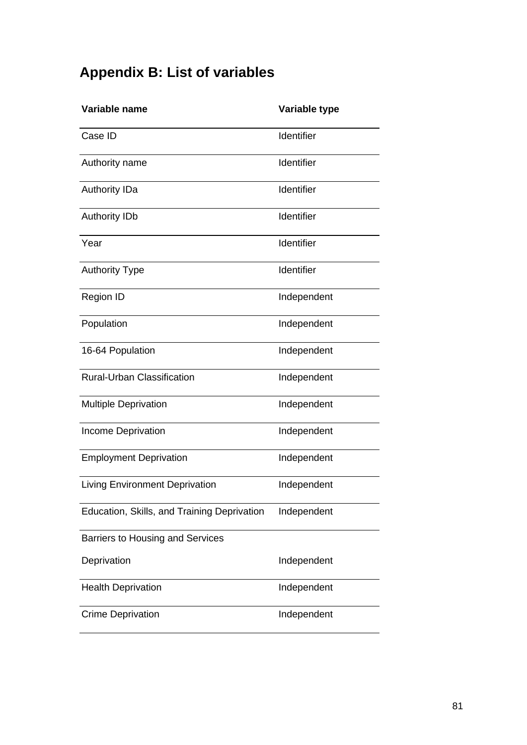# **Appendix B: List of variables**

| Variable name                               | Variable type |
|---------------------------------------------|---------------|
| Case ID                                     | Identifier    |
| Authority name                              | Identifier    |
| <b>Authority IDa</b>                        | Identifier    |
| <b>Authority IDb</b>                        | Identifier    |
| Year                                        | Identifier    |
| <b>Authority Type</b>                       | Identifier    |
| <b>Region ID</b>                            | Independent   |
| Population                                  | Independent   |
| 16-64 Population                            | Independent   |
| <b>Rural-Urban Classification</b>           | Independent   |
| <b>Multiple Deprivation</b>                 | Independent   |
| <b>Income Deprivation</b>                   | Independent   |
| <b>Employment Deprivation</b>               | Independent   |
| <b>Living Environment Deprivation</b>       | Independent   |
| Education, Skills, and Training Deprivation | Independent   |
| Barriers to Housing and Services            |               |
| Deprivation                                 | Independent   |
| <b>Health Deprivation</b>                   | Independent   |
| <b>Crime Deprivation</b>                    | Independent   |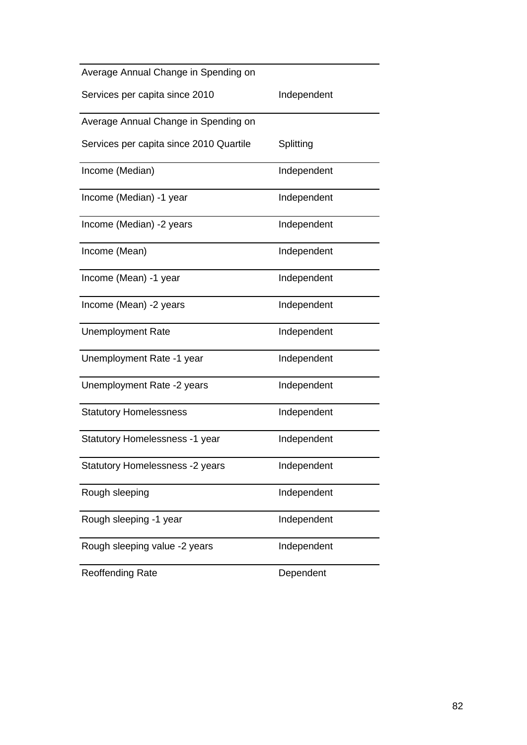| Average Annual Change in Spending on    |             |
|-----------------------------------------|-------------|
| Services per capita since 2010          | Independent |
| Average Annual Change in Spending on    |             |
| Services per capita since 2010 Quartile | Splitting   |
| Income (Median)                         | Independent |
| Income (Median) -1 year                 | Independent |
| Income (Median) -2 years                | Independent |
| Income (Mean)                           | Independent |
| Income (Mean) -1 year                   | Independent |
| Income (Mean) -2 years                  | Independent |
| <b>Unemployment Rate</b>                | Independent |
| Unemployment Rate -1 year               | Independent |
| Unemployment Rate -2 years              | Independent |
| <b>Statutory Homelessness</b>           | Independent |
| Statutory Homelessness -1 year          | Independent |
| Statutory Homelessness -2 years         | Independent |
| Rough sleeping                          | Independent |
| Rough sleeping -1 year                  | Independent |
| Rough sleeping value -2 years           | Independent |
| <b>Reoffending Rate</b>                 | Dependent   |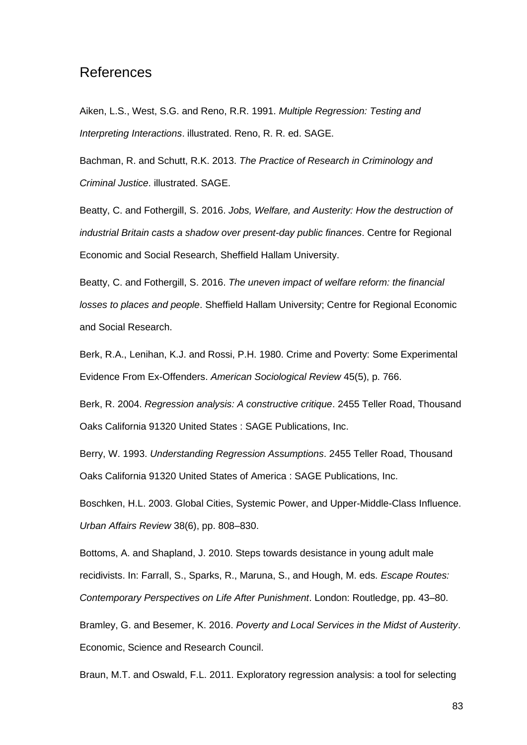### References

[Aiken, L.S., West, S.G. and Reno, R.R. 1991.](http://f1000.com/work/bibliography/7725006) *[Multiple Regression: Testing and](http://f1000.com/work/bibliography/7725006)  [Interpreting Interactions](http://f1000.com/work/bibliography/7725006)*[. illustrated. Reno, R. R. ed. SAGE.](http://f1000.com/work/bibliography/7725006)

[Bachman, R. and Schutt, R.K. 2013.](http://f1000.com/work/bibliography/7992380) *[The Practice of Research in Criminology and](http://f1000.com/work/bibliography/7992380)  [Criminal Justice](http://f1000.com/work/bibliography/7992380)*[. illustrated.](http://f1000.com/work/bibliography/7992380) SAGE.

[Beatty, C. and Fothergill, S.](http://f1000.com/work/bibliography/6883047) [2016.](http://f1000.com/work/bibliography/6883047) *[Jobs, Welfare, and Austerity: How the destruction of](http://f1000.com/work/bibliography/6883047)  [industrial Britain casts a shadow over present-day public finances](http://f1000.com/work/bibliography/6883047)*[. Centre for Regional](http://f1000.com/work/bibliography/6883047)  [Economic and Social Research, Sheffield Hallam University.](http://f1000.com/work/bibliography/6883047)

[Beatty, C. and Fothergill, S.](http://f1000.com/work/bibliography/6863266) [2016.](http://f1000.com/work/bibliography/6863266) *[The uneven impact of welfare reform: the financial](http://f1000.com/work/bibliography/6863266)  [losses to places and people](http://f1000.com/work/bibliography/6863266)*[. Sheffield Hallam University; Centre for Regional Economic](http://f1000.com/work/bibliography/6863266)  [and Social Research.](http://f1000.com/work/bibliography/6863266)

[Berk, R.A., Lenihan, K.J. and Rossi, P.H. 1980. Crime and Poverty:](http://f1000.com/work/bibliography/7784145) Some Experimental [Evidence From Ex-Offenders.](http://f1000.com/work/bibliography/7784145) *[American Sociological Review](http://f1000.com/work/bibliography/7784145)* [45\(5\), p. 766.](http://f1000.com/work/bibliography/7784145)

[Berk, R. 2004.](http://f1000.com/work/bibliography/7725051) *[Regression analysis: A constructive critique](http://f1000.com/work/bibliography/7725051)*[. 2455 Teller Road,](http://f1000.com/work/bibliography/7725051) Thousand Oaks California 91320 United States [: SAGE Publications, Inc.](http://f1000.com/work/bibliography/7725051)

[Berry, W. 1993.](http://f1000.com/work/bibliography/7767671) *[Understanding Regression Assumptions](http://f1000.com/work/bibliography/7767671)*[. 2455 Teller Road,](http://f1000.com/work/bibliography/7767671) Thousand Oaks California 91320 United States of America [: SAGE Publications, Inc.](http://f1000.com/work/bibliography/7767671)

[Boschken, H.L. 2003. Global Cities, Systemic Power, and Upper-Middle-Class Influence.](http://f1000.com/work/bibliography/8008987)  *[Urban Affairs Review](http://f1000.com/work/bibliography/8008987)* [38\(6\), pp. 808–830.](http://f1000.com/work/bibliography/8008987)

[Bottoms, A. and Shapland, J. 2010. Steps towards desistance in young adult male](http://f1000.com/work/bibliography/7784052)  [recidivists. In: Farrall, S., Sparks, R., Maruna, S., and Hough, M. eds.](http://f1000.com/work/bibliography/7784052) *[Escape Routes:](http://f1000.com/work/bibliography/7784052)  [Contemporary Perspectives on Life After Punishment](http://f1000.com/work/bibliography/7784052)*[. London: Routledge, pp. 43–80.](http://f1000.com/work/bibliography/7784052)

[Bramley, G. and Besemer, K. 2016.](http://f1000.com/work/bibliography/6883050) *[Poverty and Local Services in the Midst of Austerity](http://f1000.com/work/bibliography/6883050)*[.](http://f1000.com/work/bibliography/6883050)  [Economic, Science and Research Council.](http://f1000.com/work/bibliography/6883050)

[Braun, M.T. and Oswald, F.L. 2011. Exploratory regression analysis: a tool for selecting](http://f1000.com/work/bibliography/8001874)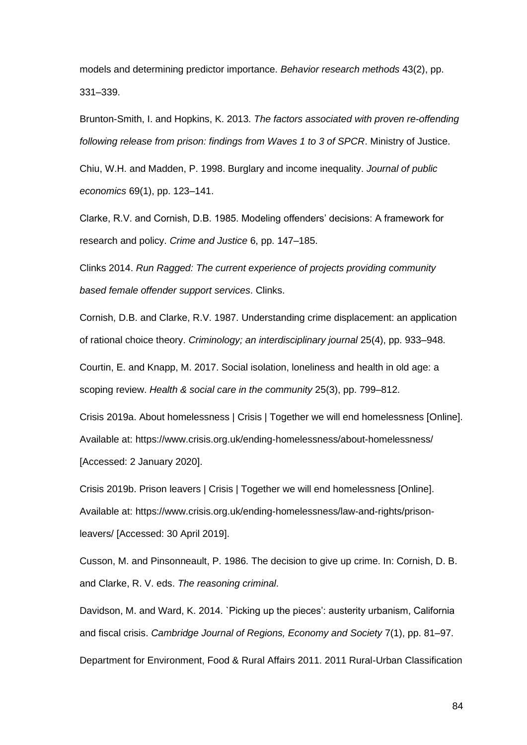[models and determining predictor importance.](http://f1000.com/work/bibliography/8001874) *[Behavior research methods](http://f1000.com/work/bibliography/8001874)* [43\(2\), pp.](http://f1000.com/work/bibliography/8001874)  [331–339.](http://f1000.com/work/bibliography/8001874)

[Brunton-Smith, I. and Hopkins, K. 2013.](http://f1000.com/work/bibliography/6863286) *[The factors associated with proven re-offending](http://f1000.com/work/bibliography/6863286)  [following release from prison: findings from Waves 1 to 3 of SPCR](http://f1000.com/work/bibliography/6863286)*[. Ministry of Justice.](http://f1000.com/work/bibliography/6863286)

[Chiu, W.H. and Madden, P. 1998. Burglary and income inequality.](http://f1000.com/work/bibliography/7995546) *[Journal of public](http://f1000.com/work/bibliography/7995546)  [economics](http://f1000.com/work/bibliography/7995546)* [69\(1\), pp. 123–141.](http://f1000.com/work/bibliography/7995546)

[Clarke, R.V. and Cornish, D.B. 1985. Modeling offenders' decisions: A framework for](http://f1000.com/work/bibliography/3733220)  [research and policy.](http://f1000.com/work/bibliography/3733220) *[Crime and Justice](http://f1000.com/work/bibliography/3733220)* [6, pp. 147–185.](http://f1000.com/work/bibliography/3733220)

[Clinks 2014.](http://f1000.com/work/bibliography/6865955) *[Run Ragged: The current experience of projects providing community](http://f1000.com/work/bibliography/6865955)  [based female offender support services](http://f1000.com/work/bibliography/6865955)*[. Clinks.](http://f1000.com/work/bibliography/6865955)

[Cornish, D.B. and Clarke, R.V. 1987. Understanding crime displacement: an application](http://f1000.com/work/bibliography/8001911)  [of rational choice theory.](http://f1000.com/work/bibliography/8001911) *[Criminology; an interdisciplinary journal](http://f1000.com/work/bibliography/8001911)* [25\(4\), pp. 933–948.](http://f1000.com/work/bibliography/8001911)

[Courtin, E. and Knapp, M. 2017. Social isolation, loneliness and health in old age: a](http://f1000.com/work/bibliography/4513257)  [scoping review.](http://f1000.com/work/bibliography/4513257) *[Health & social care in the community](http://f1000.com/work/bibliography/4513257)* [25\(3\), pp. 799–812.](http://f1000.com/work/bibliography/4513257)

[Crisis 2019a. About homelessness | Crisis | Together we will end homelessness \[Online\].](http://f1000.com/work/bibliography/7998100)  [Available at: https://www.crisis.org.uk/ending-homelessness/about-homelessness/](http://f1000.com/work/bibliography/7998100)  [\[Accessed: 2 January 2020\].](http://f1000.com/work/bibliography/7998100)

[Crisis 2019b. Prison leavers | Crisis | Together we will end homelessness \[Online\].](http://f1000.com/work/bibliography/6871571)  [Available at: https://www.crisis.org.uk/ending-homelessness/law-and-rights/prison](http://f1000.com/work/bibliography/6871571)[leavers/ \[Accessed: 30 April 2019\].](http://f1000.com/work/bibliography/6871571)

[Cusson, M. and Pinsonneault, P. 1986. The decision to give up crime. In: Cornish, D. B.](http://f1000.com/work/bibliography/6865989)  [and Clarke, R. V. eds.](http://f1000.com/work/bibliography/6865989) *[The reasoning criminal](http://f1000.com/work/bibliography/6865989)*[.](http://f1000.com/work/bibliography/6865989)

[Davidson, M. and Ward, K. 2014. `Picking up the pieces': austerity urbanism, California](http://f1000.com/work/bibliography/6863263)  [and fiscal crisis.](http://f1000.com/work/bibliography/6863263) *[Cambridge Journal of Regions, Economy and Society](http://f1000.com/work/bibliography/6863263)* [7\(1\), pp. 81–97.](http://f1000.com/work/bibliography/6863263)

[Department for Environment, Food & Rural Affairs 2011. 2011 Rural-Urban Classification](http://f1000.com/work/bibliography/7750632)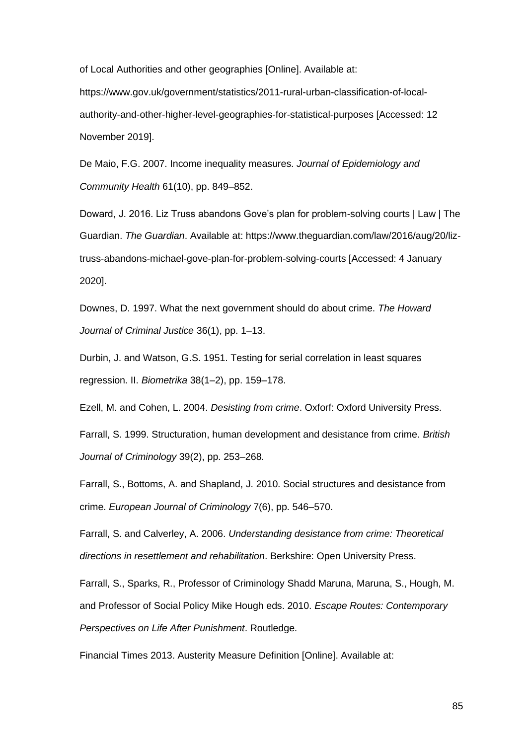[of Local Authorities and other geographies \[Online\]. Available at:](http://f1000.com/work/bibliography/7750632) 

[https://www.gov.uk/government/statistics/2011-rural-urban-classification-of-local](http://f1000.com/work/bibliography/7750632)[authority-and-other-higher-level-geographies-for-statistical-purposes \[Accessed: 12](http://f1000.com/work/bibliography/7750632)  [November 2019\].](http://f1000.com/work/bibliography/7750632)

[De Maio, F.G. 2007. Income inequality measures.](http://f1000.com/work/bibliography/3624675) *[Journal of Epidemiology and](http://f1000.com/work/bibliography/3624675)  [Community Health](http://f1000.com/work/bibliography/3624675)* [61\(10\), pp. 849–852.](http://f1000.com/work/bibliography/3624675)

[Doward, J. 2016. Liz Truss abandons Gove's plan for problem-solving courts | Law | The](http://f1000.com/work/bibliography/8006098)  [Guardian.](http://f1000.com/work/bibliography/8006098) *[The Guardian](http://f1000.com/work/bibliography/8006098)*[. Available at: https://www.theguardian.com/law/2016/aug/20/liz](http://f1000.com/work/bibliography/8006098)[truss-abandons-michael-gove-plan-for-problem-solving-courts \[Accessed: 4 January](http://f1000.com/work/bibliography/8006098)  [2020\].](http://f1000.com/work/bibliography/8006098)

[Downes, D. 1997. What the next government should do about crime.](http://f1000.com/work/bibliography/6872109) *[The Howard](http://f1000.com/work/bibliography/6872109)  [Journal of Criminal Justice](http://f1000.com/work/bibliography/6872109)* [36\(1\), pp. 1–13.](http://f1000.com/work/bibliography/6872109)

[Durbin, J. and Watson, G.S. 1951. Testing for serial correlation in least squares](http://f1000.com/work/bibliography/1019987)  [regression. II.](http://f1000.com/work/bibliography/1019987) *[Biometrika](http://f1000.com/work/bibliography/1019987)* [38\(1–2\), pp. 159–178.](http://f1000.com/work/bibliography/1019987)

[Ezell, M. and Cohen, L. 2004.](http://f1000.com/work/bibliography/6866000) *[Desisting from crime](http://f1000.com/work/bibliography/6866000)*[. Oxforf: Oxford University Press.](http://f1000.com/work/bibliography/6866000)

[Farrall, S. 1999. Structuration, human development and desistance from crime.](http://f1000.com/work/bibliography/8005380) *[British](http://f1000.com/work/bibliography/8005380)  [Journal of Criminology](http://f1000.com/work/bibliography/8005380)* [39\(2\), pp. 253–268.](http://f1000.com/work/bibliography/8005380)

[Farrall, S., Bottoms, A. and Shapland, J. 2010. Social structures and desistance from](http://f1000.com/work/bibliography/7995495)  [crime.](http://f1000.com/work/bibliography/7995495) *[European Journal of Criminology](http://f1000.com/work/bibliography/7995495)* [7\(6\), pp. 546–570.](http://f1000.com/work/bibliography/7995495)

[Farrall, S. and Calverley, A. 2006.](http://f1000.com/work/bibliography/6863284) *[Understanding desistance from crime: Theoretical](http://f1000.com/work/bibliography/6863284)  [directions in resettlement and rehabilitation](http://f1000.com/work/bibliography/6863284)*[. Berkshire: Open University Press.](http://f1000.com/work/bibliography/6863284)

Farrall, S., Sparks, R., Professor of Criminology Shadd Maruna, Maruna, S., Hough, M. [and Professor of Social Policy Mike Hough eds. 2010.](http://f1000.com/work/bibliography/7784022) *[Escape Routes: Contemporary](http://f1000.com/work/bibliography/7784022)  [Perspectives on Life After Punishment](http://f1000.com/work/bibliography/7784022)*[. Routledge.](http://f1000.com/work/bibliography/7784022)

[Financial Times 2013. Austerity Measure Definition \[Online\]. Available at:](http://f1000.com/work/bibliography/8007477)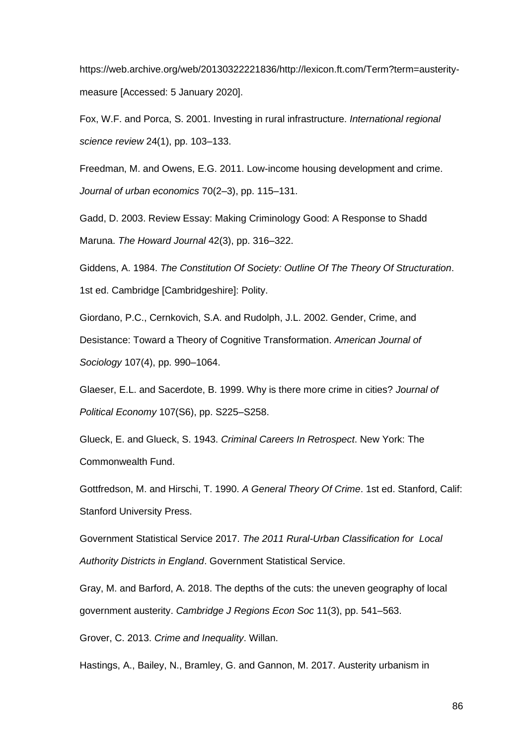[https://web.archive.org/web/20130322221836/http://lexicon.ft.com/Term?term=austerity](http://f1000.com/work/bibliography/8007477)[measure \[Accessed: 5 January 2020\].](http://f1000.com/work/bibliography/8007477)

[Fox, W.F. and Porca, S. 2001. Investing in rural infrastructure.](http://f1000.com/work/bibliography/7997405) *[International regional](http://f1000.com/work/bibliography/7997405)  [science review](http://f1000.com/work/bibliography/7997405)* [24\(1\), pp. 103–133.](http://f1000.com/work/bibliography/7997405)

[Freedman, M. and Owens, E.G. 2011. Low-income housing development and crime.](http://f1000.com/work/bibliography/1989545)  *[Journal of urban economics](http://f1000.com/work/bibliography/1989545)* [70\(2–3\), pp. 115–131.](http://f1000.com/work/bibliography/1989545)

[Gadd, D. 2003. Review Essay: Making Criminology Good: A Response to Shadd](http://f1000.com/work/bibliography/6863282)  [Maruna.](http://f1000.com/work/bibliography/6863282) *[The Howard Journal](http://f1000.com/work/bibliography/6863282)* [42\(3\), pp. 316–322.](http://f1000.com/work/bibliography/6863282)

[Giddens, A. 1984.](http://f1000.com/work/bibliography/8008948) *[The Constitution Of Society: Outline Of The Theory Of Structuration](http://f1000.com/work/bibliography/8008948)*[.](http://f1000.com/work/bibliography/8008948)  [1st ed. Cambridge \[Cambridgeshire\]: Polity.](http://f1000.com/work/bibliography/8008948)

[Giordano, P.C., Cernkovich, S.A. and Rudolph, J.L. 2002. Gender, Crime, and](http://f1000.com/work/bibliography/6866008)  [Desistance: Toward a Theory of Cognitive Transformation.](http://f1000.com/work/bibliography/6866008) *[American Journal of](http://f1000.com/work/bibliography/6866008)  [Sociology](http://f1000.com/work/bibliography/6866008)* [107\(4\), pp. 990–1064.](http://f1000.com/work/bibliography/6866008)

[Glaeser, E.L. and Sacerdote, B. 1999. Why is there more crime in cities?](http://f1000.com/work/bibliography/7995690) *[Journal of](http://f1000.com/work/bibliography/7995690)  [Political Economy](http://f1000.com/work/bibliography/7995690)* [107\(S6\), pp. S225–S258.](http://f1000.com/work/bibliography/7995690)

[Glueck, E. and Glueck, S. 1943.](http://f1000.com/work/bibliography/6871773) *[Criminal Careers In Retrospect](http://f1000.com/work/bibliography/6871773)*[. New York: The](http://f1000.com/work/bibliography/6871773)  [Commonwealth Fund.](http://f1000.com/work/bibliography/6871773)

[Gottfredson, M. and Hirschi, T. 1990.](http://f1000.com/work/bibliography/6865995) *[A General Theory Of Crime](http://f1000.com/work/bibliography/6865995)*[. 1st ed. Stanford, Calif:](http://f1000.com/work/bibliography/6865995)  [Stanford University Press.](http://f1000.com/work/bibliography/6865995)

[Government Statistical Service 2017.](http://f1000.com/work/bibliography/7774481) *[The 2011 Rural-Urban Classification for](http://f1000.com/work/bibliography/7774481) Local [Authority Districts in England](http://f1000.com/work/bibliography/7774481)*[. Government Statistical Service.](http://f1000.com/work/bibliography/7774481)

[Gray, M. and Barford, A. 2018. The depths of the cuts: the uneven geography of local](http://f1000.com/work/bibliography/6863272)  [government austerity.](http://f1000.com/work/bibliography/6863272) *[Cambridge J Regions Econ Soc](http://f1000.com/work/bibliography/6863272)* [11\(3\), pp. 541–563.](http://f1000.com/work/bibliography/6863272)

[Grover, C. 2013.](http://f1000.com/work/bibliography/8005900) *[Crime and Inequality](http://f1000.com/work/bibliography/8005900)*[. Willan.](http://f1000.com/work/bibliography/8005900)

[Hastings, A., Bailey, N., Bramley, G. and Gannon, M. 2017. Austerity urbanism in](http://f1000.com/work/bibliography/5495636)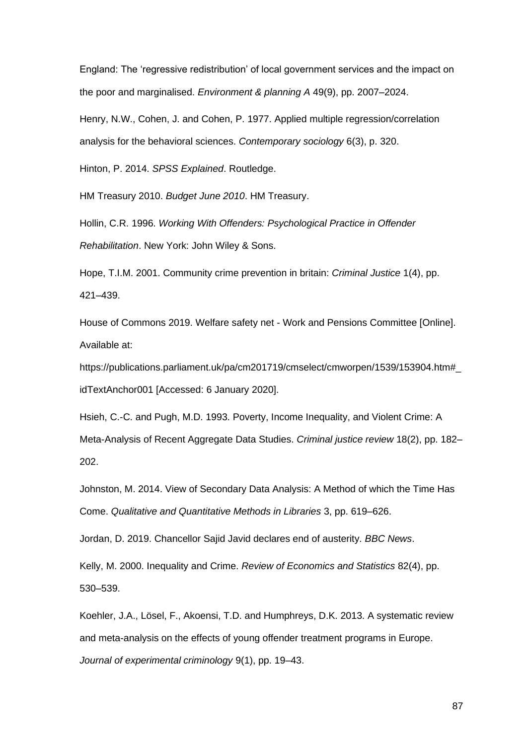[England: The 'regressive redistribution' of local government services and the impact on](http://f1000.com/work/bibliography/5495636)  [the poor and marginalised.](http://f1000.com/work/bibliography/5495636) *[Environment & planning A](http://f1000.com/work/bibliography/5495636)* [49\(9\), pp. 2007–2024.](http://f1000.com/work/bibliography/5495636)

[Henry, N.W., Cohen, J. and Cohen, P. 1977. Applied multiple regression/correlation](http://f1000.com/work/bibliography/4833002)  [analysis for the behavioral sciences.](http://f1000.com/work/bibliography/4833002) *[Contemporary sociology](http://f1000.com/work/bibliography/4833002)* [6\(3\), p. 320.](http://f1000.com/work/bibliography/4833002)

[Hinton, P. 2014.](http://f1000.com/work/bibliography/6863391) *[SPSS Explained](http://f1000.com/work/bibliography/6863391)*[. Routledge.](http://f1000.com/work/bibliography/6863391)

[HM Treasury 2010.](http://f1000.com/work/bibliography/7998936) *[Budget June 2010](http://f1000.com/work/bibliography/7998936)*[. HM Treasury.](http://f1000.com/work/bibliography/7998936)

[Hollin, C.R. 1996.](http://f1000.com/work/bibliography/6866029) *[Working With Offenders: Psychological Practice in Offender](http://f1000.com/work/bibliography/6866029)  [Rehabilitation](http://f1000.com/work/bibliography/6866029)*[. New York: John Wiley & Sons.](http://f1000.com/work/bibliography/6866029)

[Hope, T.I.M. 2001. Community crime prevention in britain:](http://f1000.com/work/bibliography/7997285) *[Criminal Justice](http://f1000.com/work/bibliography/7997285)* [1\(4\), pp.](http://f1000.com/work/bibliography/7997285)  [421–439.](http://f1000.com/work/bibliography/7997285)

[House of Commons 2019. Welfare safety net -](http://f1000.com/work/bibliography/8015109) Work and Pensions Committee [Online]. [Available at:](http://f1000.com/work/bibliography/8015109) 

[https://publications.parliament.uk/pa/cm201719/cmselect/cmworpen/1539/153904.htm#\\_](http://f1000.com/work/bibliography/8015109) [idTextAnchor001 \[Accessed: 6 January 2020\].](http://f1000.com/work/bibliography/8015109)

[Hsieh, C.-C. and Pugh, M.D. 1993. Poverty, Income Inequality, and Violent Crime: A](http://f1000.com/work/bibliography/7999133)  [Meta-Analysis of Recent Aggregate Data Studies.](http://f1000.com/work/bibliography/7999133) *[Criminal justice review](http://f1000.com/work/bibliography/7999133)* [18\(2\), pp. 182–](http://f1000.com/work/bibliography/7999133) [202.](http://f1000.com/work/bibliography/7999133)

[Johnston, M. 2014. View of Secondary Data Analysis: A Method of which the Time Has](http://f1000.com/work/bibliography/7992366)  [Come.](http://f1000.com/work/bibliography/7992366) *[Qualitative and Quantitative Methods in Libraries](http://f1000.com/work/bibliography/7992366)* [3, pp. 619–626.](http://f1000.com/work/bibliography/7992366)

[Jordan, D. 2019. Chancellor Sajid Javid declares end of austerity.](http://f1000.com/work/bibliography/8015118) *[BBC News](http://f1000.com/work/bibliography/8015118)*[.](http://f1000.com/work/bibliography/8015118)

[Kelly, M. 2000. Inequality and Crime.](http://f1000.com/work/bibliography/4338853) *[Review of Economics and Statistics](http://f1000.com/work/bibliography/4338853)* [82\(4\), pp.](http://f1000.com/work/bibliography/4338853)  [530–539.](http://f1000.com/work/bibliography/4338853)

[Koehler, J.A., Lösel, F., Akoensi, T.D. and Humphreys, D.K. 2013. A systematic review](http://f1000.com/work/bibliography/8005474)  [and meta-analysis on the effects of young offender treatment programs in Europe.](http://f1000.com/work/bibliography/8005474)  *[Journal of experimental criminology](http://f1000.com/work/bibliography/8005474)* [9\(1\), pp. 19–43.](http://f1000.com/work/bibliography/8005474)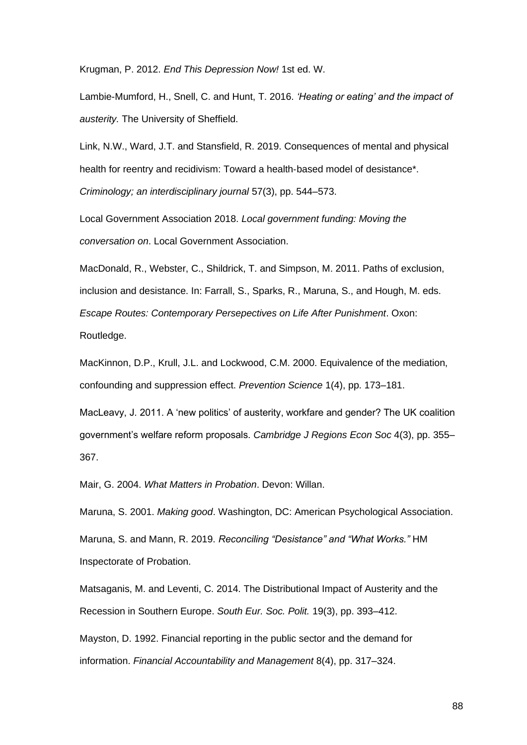[Krugman, P. 2012.](http://f1000.com/work/bibliography/6875177) *[End This Depression Now!](http://f1000.com/work/bibliography/6875177)* [1st ed. W.](http://f1000.com/work/bibliography/6875177)

[Lambie-Mumford, H., Snell, C. and Hunt, T. 2016.](http://f1000.com/work/bibliography/6883041) *['Heating or eating' and the impact of](http://f1000.com/work/bibliography/6883041)  [austerity.](http://f1000.com/work/bibliography/6883041)* [The University of Sheffield.](http://f1000.com/work/bibliography/6883041)

[Link, N.W., Ward, J.T. and Stansfield, R. 2019. Consequences of mental and physical](http://f1000.com/work/bibliography/7995616)  [health for reentry and recidivism: Toward a health](http://f1000.com/work/bibliography/7995616)-based model of desistance\*. *[Criminology; an interdisciplinary journal](http://f1000.com/work/bibliography/7995616)* [57\(3\), pp. 544–573.](http://f1000.com/work/bibliography/7995616)

[Local Government Association 2018.](http://f1000.com/work/bibliography/6863270) *[Local government funding: Moving the](http://f1000.com/work/bibliography/6863270)  [conversation on](http://f1000.com/work/bibliography/6863270)*[. Local Government Association.](http://f1000.com/work/bibliography/6863270)

[MacDonald, R., Webster, C., Shildrick, T. and Simpson, M. 2011. Paths of exclusion,](http://f1000.com/work/bibliography/7995501)  [inclusion and desistance. In: Farrall, S., Sparks, R., Maruna, S., and Hough, M. eds.](http://f1000.com/work/bibliography/7995501)  *[Escape Routes: Contemporary Persepectives on Life After Punishment](http://f1000.com/work/bibliography/7995501)*[. Oxon:](http://f1000.com/work/bibliography/7995501)  [Routledge.](http://f1000.com/work/bibliography/7995501)

[MacKinnon, D.P., Krull, J.L. and Lockwood, C.M. 2000. Equivalence of the mediation,](http://f1000.com/work/bibliography/2171614)  [confounding and suppression effect.](http://f1000.com/work/bibliography/2171614) *[Prevention Science](http://f1000.com/work/bibliography/2171614)* [1\(4\), pp. 173–181.](http://f1000.com/work/bibliography/2171614)

[MacLeavy, J. 2011. A 'new politics' of austerity, workfare and gender? The UK coalition](http://f1000.com/work/bibliography/6863268)  [government's welfare reform proposals.](http://f1000.com/work/bibliography/6863268) *[Cambridge J Regions Econ Soc](http://f1000.com/work/bibliography/6863268)* [4\(3\), pp. 355–](http://f1000.com/work/bibliography/6863268) [367.](http://f1000.com/work/bibliography/6863268)

[Mair, G. 2004.](http://f1000.com/work/bibliography/6866039) *[What Matters in Probation](http://f1000.com/work/bibliography/6866039)*[. Devon: Willan.](http://f1000.com/work/bibliography/6866039)

[Maruna, S. 2001.](http://f1000.com/work/bibliography/6863184) *[Making good](http://f1000.com/work/bibliography/6863184)*[. Washington, DC: American Psychological Association.](http://f1000.com/work/bibliography/6863184)

[Maruna, S. and Mann, R. 2019.](http://f1000.com/work/bibliography/6863285) *[Reconciling "Desistance" and "What Works."](http://f1000.com/work/bibliography/6863285)* [HM](http://f1000.com/work/bibliography/6863285)  [Inspectorate of Probation.](http://f1000.com/work/bibliography/6863285)

[Matsaganis, M. and Leventi, C. 2014. The Distributional Impact of Austerity and the](http://f1000.com/work/bibliography/6863267)  [Recession in Southern Europe.](http://f1000.com/work/bibliography/6863267) *[South Eur. Soc. Polit.](http://f1000.com/work/bibliography/6863267)* [19\(3\), pp. 393–412.](http://f1000.com/work/bibliography/6863267)

[Mayston, D. 1992. Financial reporting in the public sector and the demand for](http://f1000.com/work/bibliography/7998874)  [information.](http://f1000.com/work/bibliography/7998874) *[Financial Accountability and Management](http://f1000.com/work/bibliography/7998874)* [8\(4\), pp. 317–324.](http://f1000.com/work/bibliography/7998874)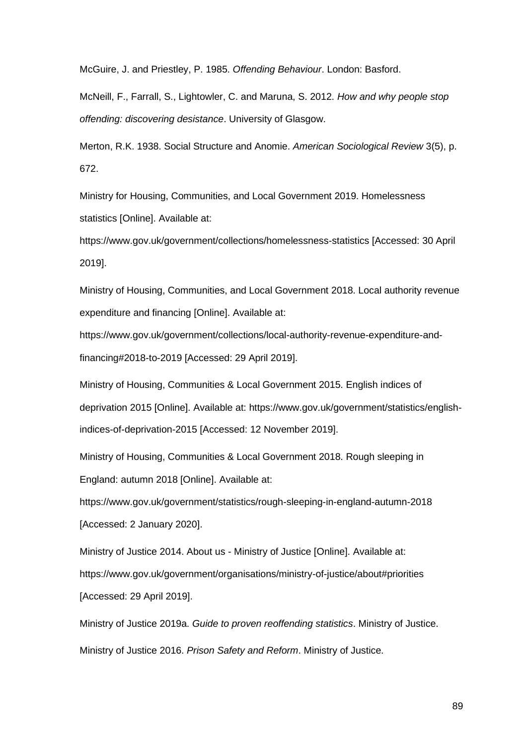[McGuire, J. and Priestley, P. 1985.](http://f1000.com/work/bibliography/6866033) *[Offending Behaviour](http://f1000.com/work/bibliography/6866033)*[. London: Basford.](http://f1000.com/work/bibliography/6866033)

[McNeill, F., Farrall, S., Lightowler, C. and Maruna, S. 2012.](http://f1000.com/work/bibliography/6863283) *[How and why people stop](http://f1000.com/work/bibliography/6863283)  [offending: discovering desistance](http://f1000.com/work/bibliography/6863283)*[. University of Glasgow.](http://f1000.com/work/bibliography/6863283)

[Merton, R.K. 1938. Social Structure and Anomie.](http://f1000.com/work/bibliography/1910466) *[American Sociological Review](http://f1000.com/work/bibliography/1910466)* [3\(5\), p.](http://f1000.com/work/bibliography/1910466)  [672.](http://f1000.com/work/bibliography/1910466)

[Ministry for Housing, Communities, and Local Government 2019. Homelessness](http://f1000.com/work/bibliography/6884253)  [statistics \[Online\]. Available at:](http://f1000.com/work/bibliography/6884253) 

[https://www.gov.uk/government/collections/homelessness-statistics \[Accessed: 30 April](http://f1000.com/work/bibliography/6884253)  [2019\].](http://f1000.com/work/bibliography/6884253)

[Ministry of Housing, Communities, and Local Government 2018. Local authority revenue](http://f1000.com/work/bibliography/6863376)  [expenditure and financing \[Online\]. Available at:](http://f1000.com/work/bibliography/6863376) 

[https://www.gov.uk/government/collections/local-authority-revenue-expenditure-and](http://f1000.com/work/bibliography/6863376)[financing#2018-to-2019 \[Accessed: 29 April 2019\].](http://f1000.com/work/bibliography/6863376)

[Ministry of Housing, Communities & Local Government 2015. English indices of](http://f1000.com/work/bibliography/7750641)  [deprivation 2015 \[Online\]. Available at: https://www.gov.uk/government/statistics/english](http://f1000.com/work/bibliography/7750641)[indices-of-deprivation-2015 \[Accessed: 12 November 2019\].](http://f1000.com/work/bibliography/7750641)

[Ministry of Housing, Communities & Local Government 2018. Rough sleeping in](http://f1000.com/work/bibliography/7998112)  [England: autumn 2018 \[Online\]. Available at:](http://f1000.com/work/bibliography/7998112) 

[https://www.gov.uk/government/statistics/rough-sleeping-in-england-autumn-2018](http://f1000.com/work/bibliography/7998112)  [\[Accessed: 2 January 2020\].](http://f1000.com/work/bibliography/7998112)

Ministry of Justice 2014. About us - [Ministry of Justice \[Online\]. Available at:](http://f1000.com/work/bibliography/6865977)  [https://www.gov.uk/government/organisations/ministry-of-justice/about#priorities](http://f1000.com/work/bibliography/6865977)  [\[Accessed: 29 April 2019\].](http://f1000.com/work/bibliography/6865977)

[Ministry of Justice 2019a.](http://f1000.com/work/bibliography/7773961) *[Guide to proven reoffending statistics](http://f1000.com/work/bibliography/7773961)*[. Ministry of Justice.](http://f1000.com/work/bibliography/7773961) [Ministry of Justice 2016.](http://f1000.com/work/bibliography/6863291) *[Prison Safety and Reform](http://f1000.com/work/bibliography/6863291)*[. Ministry of Justice.](http://f1000.com/work/bibliography/6863291)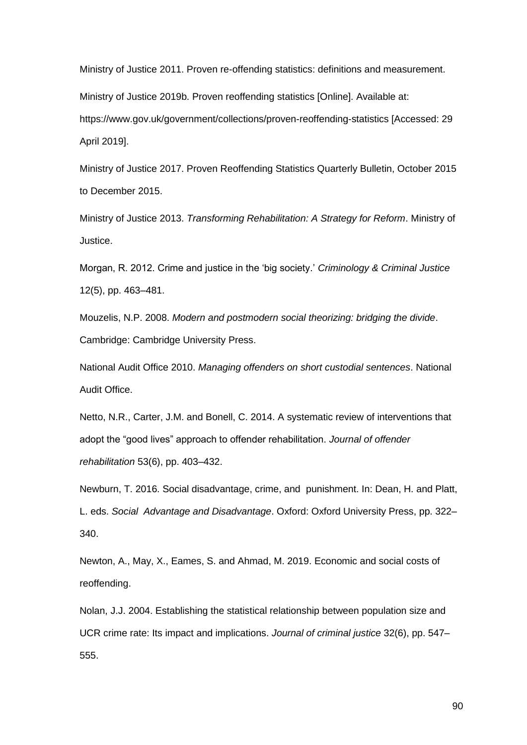[Ministry of Justice 2011. Proven re-offending statistics: definitions and measurement.](http://f1000.com/work/bibliography/8006456)

[Ministry of Justice 2019b. Proven reoffending statistics \[Online\]. Available at:](http://f1000.com/work/bibliography/6863381) 

[https://www.gov.uk/government/collections/proven-reoffending-statistics \[Accessed: 29](http://f1000.com/work/bibliography/6863381)  [April 2019\].](http://f1000.com/work/bibliography/6863381)

[Ministry of Justice 2017. Proven Reoffending Statistics Quarterly Bulletin, October 2015](http://f1000.com/work/bibliography/7778999)  [to December 2015.](http://f1000.com/work/bibliography/7778999)

[Ministry of Justice 2013.](http://f1000.com/work/bibliography/6863290) *[Transforming Rehabilitation: A Strategy for Reform](http://f1000.com/work/bibliography/6863290)*[. Ministry of](http://f1000.com/work/bibliography/6863290)  [Justice.](http://f1000.com/work/bibliography/6863290)

[Morgan, R. 2012. Crime and justice in the 'big society.'](http://f1000.com/work/bibliography/7918296) *[Criminology & Criminal Justice](http://f1000.com/work/bibliography/7918296)* [12\(5\), pp. 463–481.](http://f1000.com/work/bibliography/7918296)

[Mouzelis, N.P. 2008.](http://f1000.com/work/bibliography/8006463) *[Modern and postmodern social theorizing: bridging the divide](http://f1000.com/work/bibliography/8006463)*[.](http://f1000.com/work/bibliography/8006463)  [Cambridge: Cambridge University Press.](http://f1000.com/work/bibliography/8006463)

[National Audit Office 2010.](http://f1000.com/work/bibliography/6865974) *[Managing offenders on short custodial sentences](http://f1000.com/work/bibliography/6865974)*[. National](http://f1000.com/work/bibliography/6865974)  [Audit Office.](http://f1000.com/work/bibliography/6865974)

[Netto, N.R., Carter, J.M. and Bonell, C. 2014. A systematic review of interventions that](http://f1000.com/work/bibliography/8003017)  [adopt the "good lives" approach to offender rehabilitation.](http://f1000.com/work/bibliography/8003017) *[Journal of offender](http://f1000.com/work/bibliography/8003017)  [rehabilitation](http://f1000.com/work/bibliography/8003017)* [53\(6\), pp. 403–432.](http://f1000.com/work/bibliography/8003017)

[Newburn, T. 2016. Social disadvantage, crime, and](http://f1000.com/work/bibliography/7784118) punishment. In: Dean, H. and Platt, [L. eds.](http://f1000.com/work/bibliography/7784118) *Social [Advantage and Disadvantage](http://f1000.com/work/bibliography/7784118)*[. Oxford: Oxford University Press, pp. 322–](http://f1000.com/work/bibliography/7784118) [340.](http://f1000.com/work/bibliography/7784118)

[Newton, A., May, X., Eames, S. and Ahmad, M. 2019. Economic and social costs of](http://f1000.com/work/bibliography/8014982)  [reoffending.](http://f1000.com/work/bibliography/8014982)

[Nolan, J.J. 2004. Establishing the statistical relationship between population size and](http://f1000.com/work/bibliography/7995697)  [UCR crime rate: Its impact and implications.](http://f1000.com/work/bibliography/7995697) *[Journal of criminal justice](http://f1000.com/work/bibliography/7995697)* [32\(6\), pp. 547–](http://f1000.com/work/bibliography/7995697) [555.](http://f1000.com/work/bibliography/7995697)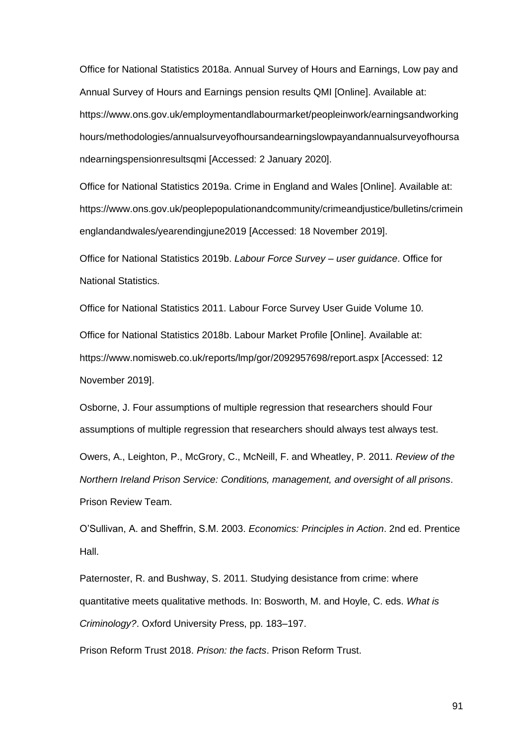[Office for National Statistics 2018a. Annual Survey of Hours and Earnings, Low pay and](http://f1000.com/work/bibliography/7998042)  [Annual Survey of Hours and Earnings pension results QMI \[Online\]. Available at:](http://f1000.com/work/bibliography/7998042)  [https://www.ons.gov.uk/employmentandlabourmarket/peopleinwork/earningsandworking](http://f1000.com/work/bibliography/7998042) [hours/methodologies/annualsurveyofhoursandearningslowpayandannualsurveyofhoursa](http://f1000.com/work/bibliography/7998042) [ndearningspensionresultsqmi \[Accessed: 2 January 2020\].](http://f1000.com/work/bibliography/7998042)

[Office for National Statistics 2019a. Crime in England and Wales \[Online\]. Available at:](http://f1000.com/work/bibliography/7783914)  [https://www.ons.gov.uk/peoplepopulationandcommunity/crimeandjustice/bulletins/crimein](http://f1000.com/work/bibliography/7783914) [englandandwales/yearendingjune2019 \[Accessed: 18 November 2019\].](http://f1000.com/work/bibliography/7783914)

[Office for National Statistics 2019b.](http://f1000.com/work/bibliography/7774389) *[Labour Force Survey –](http://f1000.com/work/bibliography/7774389) user guidance*[. Office for](http://f1000.com/work/bibliography/7774389) [National Statistics.](http://f1000.com/work/bibliography/7774389)

[Office for National Statistics 2011. Labour Force Survey User Guide Volume 10.](http://f1000.com/work/bibliography/7998074)

[Office for National Statistics 2018b. Labour Market Profile \[Online\]. Available at:](http://f1000.com/work/bibliography/7750654)  [https://www.nomisweb.co.uk/reports/lmp/gor/2092957698/report.aspx \[Accessed: 12](http://f1000.com/work/bibliography/7750654)  [November 2019\].](http://f1000.com/work/bibliography/7750654)

[Osborne, J. Four assumptions of multiple regression that researchers should Four](http://f1000.com/work/bibliography/7997957)  [assumptions of multiple regression that researchers should always test always test.](http://f1000.com/work/bibliography/7997957)

[Owers, A., Leighton, P., McGrory, C., McNeill, F. and Wheatley, P. 2011.](http://f1000.com/work/bibliography/6863281) *[Review of the](http://f1000.com/work/bibliography/6863281)  [Northern Ireland Prison Service: Conditions, management, and oversight of all prisons](http://f1000.com/work/bibliography/6863281)*[.](http://f1000.com/work/bibliography/6863281)  [Prison Review Team.](http://f1000.com/work/bibliography/6863281)

[O'Sullivan, A. and Sheffrin, S.M. 2003.](http://f1000.com/work/bibliography/7918626) *[Economics: Principles in Action](http://f1000.com/work/bibliography/7918626)*[. 2nd ed. Prentice](http://f1000.com/work/bibliography/7918626)  [Hall.](http://f1000.com/work/bibliography/7918626)

[Paternoster, R. and Bushway, S. 2011. Studying desistance from crime: where](http://f1000.com/work/bibliography/7750297)  quantitative meets qualitative [methods. In: Bosworth, M. and Hoyle, C. eds.](http://f1000.com/work/bibliography/7750297) *[What is](http://f1000.com/work/bibliography/7750297)  [Criminology?](http://f1000.com/work/bibliography/7750297)*[. Oxford University Press, pp. 183–197.](http://f1000.com/work/bibliography/7750297)

[Prison Reform Trust 2018.](http://f1000.com/work/bibliography/6863292) *[Prison: the facts](http://f1000.com/work/bibliography/6863292)*[. Prison Reform Trust.](http://f1000.com/work/bibliography/6863292)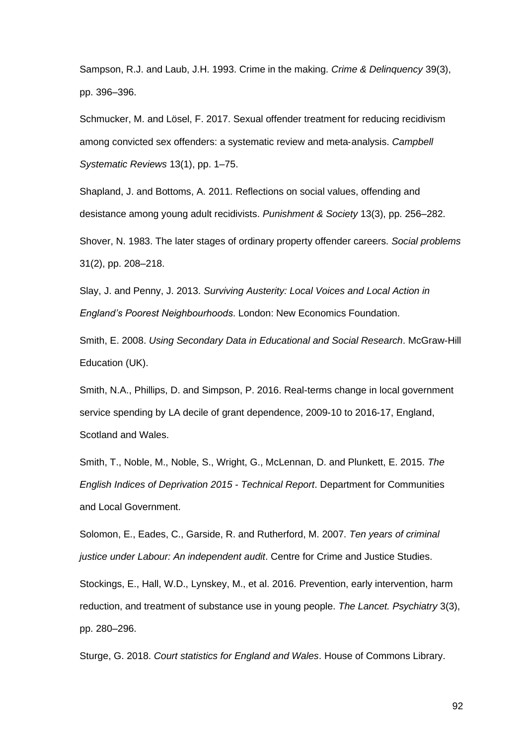[Sampson, R.J. and Laub, J.H. 1993. Crime in the making.](http://f1000.com/work/bibliography/6866006) *[Crime & Delinquency](http://f1000.com/work/bibliography/6866006)* [39\(3\),](http://f1000.com/work/bibliography/6866006)  [pp. 396–396.](http://f1000.com/work/bibliography/6866006)

[Schmucker, M. and Lösel, F. 2017. Sexual offender treatment for reducing recidivism](http://f1000.com/work/bibliography/8005471)  [among convicted sex offenders: a systematic review and meta](http://f1000.com/work/bibliography/8005471)‐analysis. *[Campbell](http://f1000.com/work/bibliography/8005471)  [Systematic Reviews](http://f1000.com/work/bibliography/8005471)* [13\(1\), pp. 1–75.](http://f1000.com/work/bibliography/8005471)

[Shapland, J. and Bottoms, A. 2011. Reflections on social values, offending and](http://f1000.com/work/bibliography/7784058)  [desistance among young adult recidivists.](http://f1000.com/work/bibliography/7784058) *[Punishment & Society](http://f1000.com/work/bibliography/7784058)* [13\(3\), pp. 256–282.](http://f1000.com/work/bibliography/7784058)

[Shover, N. 1983. The later stages of ordinary property offender careers.](http://f1000.com/work/bibliography/6865986) *[Social problems](http://f1000.com/work/bibliography/6865986)* [31\(2\), pp. 208–218.](http://f1000.com/work/bibliography/6865986)

[Slay, J. and Penny, J. 2013.](http://f1000.com/work/bibliography/6866047) *[Surviving Austerity: Local Voices and](http://f1000.com/work/bibliography/6866047) Local Action in [England's Poorest Neighbourhoods](http://f1000.com/work/bibliography/6866047)*[. London: New Economics Foundation.](http://f1000.com/work/bibliography/6866047)

[Smith, E. 2008.](http://f1000.com/work/bibliography/6863296) *[Using Secondary Data in Educational and Social Research](http://f1000.com/work/bibliography/6863296)*[. McGraw-Hill](http://f1000.com/work/bibliography/6863296)  [Education \(UK\).](http://f1000.com/work/bibliography/6863296)

[Smith, N.A., Phillips, D. and Simpson, P. 2016. Real-terms change in local government](http://f1000.com/work/bibliography/6863279)  [service spending by LA decile of grant dependence, 2009-10 to 2016-17, England,](http://f1000.com/work/bibliography/6863279)  [Scotland and Wales.](http://f1000.com/work/bibliography/6863279)

[Smith, T., Noble, M., Noble, S., Wright, G., McLennan, D. and Plunkett, E. 2015.](http://f1000.com/work/bibliography/7997336) *[The](http://f1000.com/work/bibliography/7997336)  [English Indices of Deprivation 2015 -](http://f1000.com/work/bibliography/7997336) Technical Report*[. Department for Communities](http://f1000.com/work/bibliography/7997336)  [and Local Government.](http://f1000.com/work/bibliography/7997336)

[Solomon, E., Eades, C., Garside, R. and Rutherford, M. 2007.](http://f1000.com/work/bibliography/7918236) *[Ten years of criminal](http://f1000.com/work/bibliography/7918236)  [justice under Labour: An independent audit](http://f1000.com/work/bibliography/7918236)*[. Centre for Crime and Justice Studies.](http://f1000.com/work/bibliography/7918236)

[Stockings, E., Hall, W.D., Lynskey, M., et al. 2016. Prevention, early intervention, harm](http://f1000.com/work/bibliography/6698889)  [reduction, and treatment of substance use in young people.](http://f1000.com/work/bibliography/6698889) *[The Lancet. Psychiatry](http://f1000.com/work/bibliography/6698889)* [3\(3\),](http://f1000.com/work/bibliography/6698889)  [pp. 280–296.](http://f1000.com/work/bibliography/6698889)

[Sturge, G. 2018.](http://f1000.com/work/bibliography/7773994) *[Court statistics for England and Wales](http://f1000.com/work/bibliography/7773994)*[. House of Commons Library.](http://f1000.com/work/bibliography/7773994)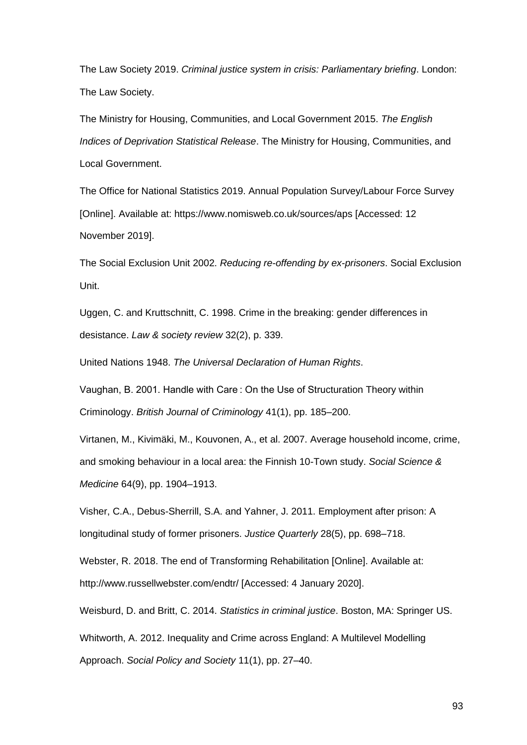[The Law Society 2019.](http://f1000.com/work/bibliography/6873468) *[Criminal justice system in crisis: Parliamentary briefing](http://f1000.com/work/bibliography/6873468)*[. London:](http://f1000.com/work/bibliography/6873468)  [The Law Society.](http://f1000.com/work/bibliography/6873468)

[The Ministry for Housing, Communities, and Local Government 2015.](http://f1000.com/work/bibliography/7783973) *[The English](http://f1000.com/work/bibliography/7783973)  [Indices of Deprivation Statistical Release](http://f1000.com/work/bibliography/7783973)*[. The Ministry for Housing, Communities, and](http://f1000.com/work/bibliography/7783973)  [Local Government.](http://f1000.com/work/bibliography/7783973)

[The Office for National Statistics 2019. Annual Population Survey/Labour Force Survey](http://f1000.com/work/bibliography/7750628)  [\[Online\]. Available at: https://www.nomisweb.co.uk/sources/aps \[Accessed: 12](http://f1000.com/work/bibliography/7750628)  [November 2019\].](http://f1000.com/work/bibliography/7750628)

[The Social Exclusion Unit 2002.](http://f1000.com/work/bibliography/7918197) *[Reducing re-offending by ex-prisoners](http://f1000.com/work/bibliography/7918197)*[. Social Exclusion](http://f1000.com/work/bibliography/7918197)  [Unit.](http://f1000.com/work/bibliography/7918197)

[Uggen, C. and Kruttschnitt, C. 1998. Crime in the breaking: gender differences in](http://f1000.com/work/bibliography/3584804)  [desistance.](http://f1000.com/work/bibliography/3584804) *[Law & society review](http://f1000.com/work/bibliography/3584804)* [32\(2\), p. 339.](http://f1000.com/work/bibliography/3584804)

[United Nations 1948.](http://f1000.com/work/bibliography/6871519) *[The Universal Declaration of Human Rights](http://f1000.com/work/bibliography/6871519)*[.](http://f1000.com/work/bibliography/6871519)

[Vaughan, B. 2001. Handle with Care : On the Use of Structuration Theory within](http://f1000.com/work/bibliography/8008962)  [Criminology.](http://f1000.com/work/bibliography/8008962) *[British Journal of Criminology](http://f1000.com/work/bibliography/8008962)* [41\(1\), pp. 185–200.](http://f1000.com/work/bibliography/8008962)

[Virtanen, M., Kivimäki, M., Kouvonen, A., et al. 2007. Average household income, crime,](http://f1000.com/work/bibliography/7997284)  [and smoking behaviour in a local area: the Finnish 10-Town study.](http://f1000.com/work/bibliography/7997284) *[Social Science &](http://f1000.com/work/bibliography/7997284)  [Medicine](http://f1000.com/work/bibliography/7997284)* [64\(9\), pp. 1904–1913.](http://f1000.com/work/bibliography/7997284)

[Visher, C.A., Debus-Sherrill, S.A. and Yahner, J. 2011. Employment after prison: A](http://f1000.com/work/bibliography/7204104)  [longitudinal study of former prisoners.](http://f1000.com/work/bibliography/7204104) *[Justice Quarterly](http://f1000.com/work/bibliography/7204104)* [28\(5\), pp. 698–718.](http://f1000.com/work/bibliography/7204104)

[Webster, R. 2018. The end of Transforming Rehabilitation \[Online\]. Available at:](http://f1000.com/work/bibliography/8006102)  [http://www.russellwebster.com/endtr/ \[Accessed: 4 January 2020\].](http://f1000.com/work/bibliography/8006102)

[Weisburd, D. and Britt, C. 2014.](http://f1000.com/work/bibliography/7998661) *[Statistics in criminal justice](http://f1000.com/work/bibliography/7998661)*[. Boston, MA: Springer US.](http://f1000.com/work/bibliography/7998661)

[Whitworth, A. 2012. Inequality and Crime across England: A Multilevel Modelling](http://f1000.com/work/bibliography/7784164)  [Approach.](http://f1000.com/work/bibliography/7784164) *[Social Policy and Society](http://f1000.com/work/bibliography/7784164)* [11\(1\), pp. 27–40.](http://f1000.com/work/bibliography/7784164)